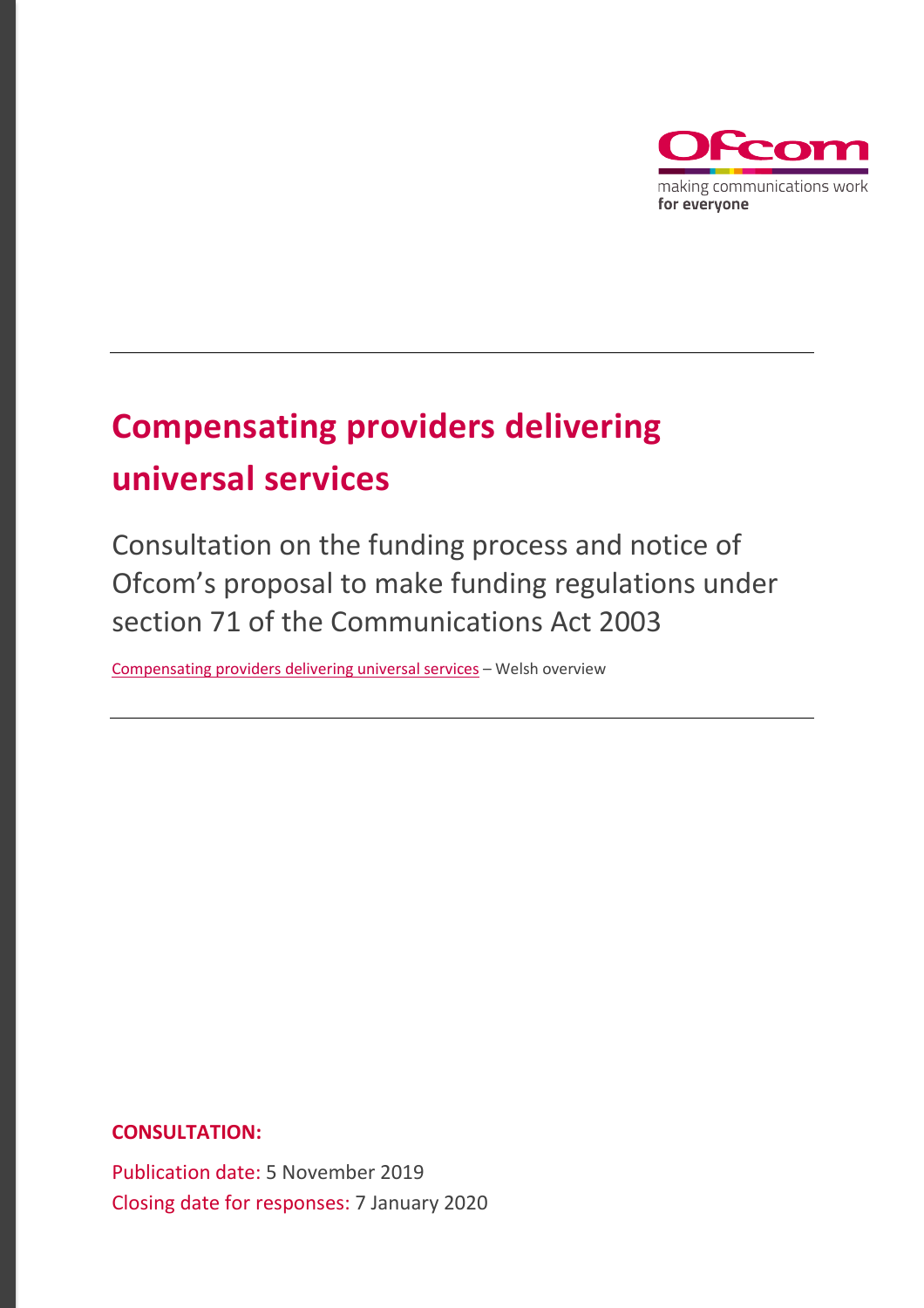

# **Compensating providers delivering universal services**

Consultation on the funding process and notice of Ofcom's proposal to make funding regulations under section 71 of the Communications Act 2003

[Compensating providers delivering universal services](https://www.ofcom.org.uk/__data/assets/pdf_file/0022/173830/ymgynghoriad-ar-reoliadau-ariannu.pdf) – Welsh overview

**CONSULTATION:**

Publication date: 5 November 2019 Closing date for responses: 7 January 2020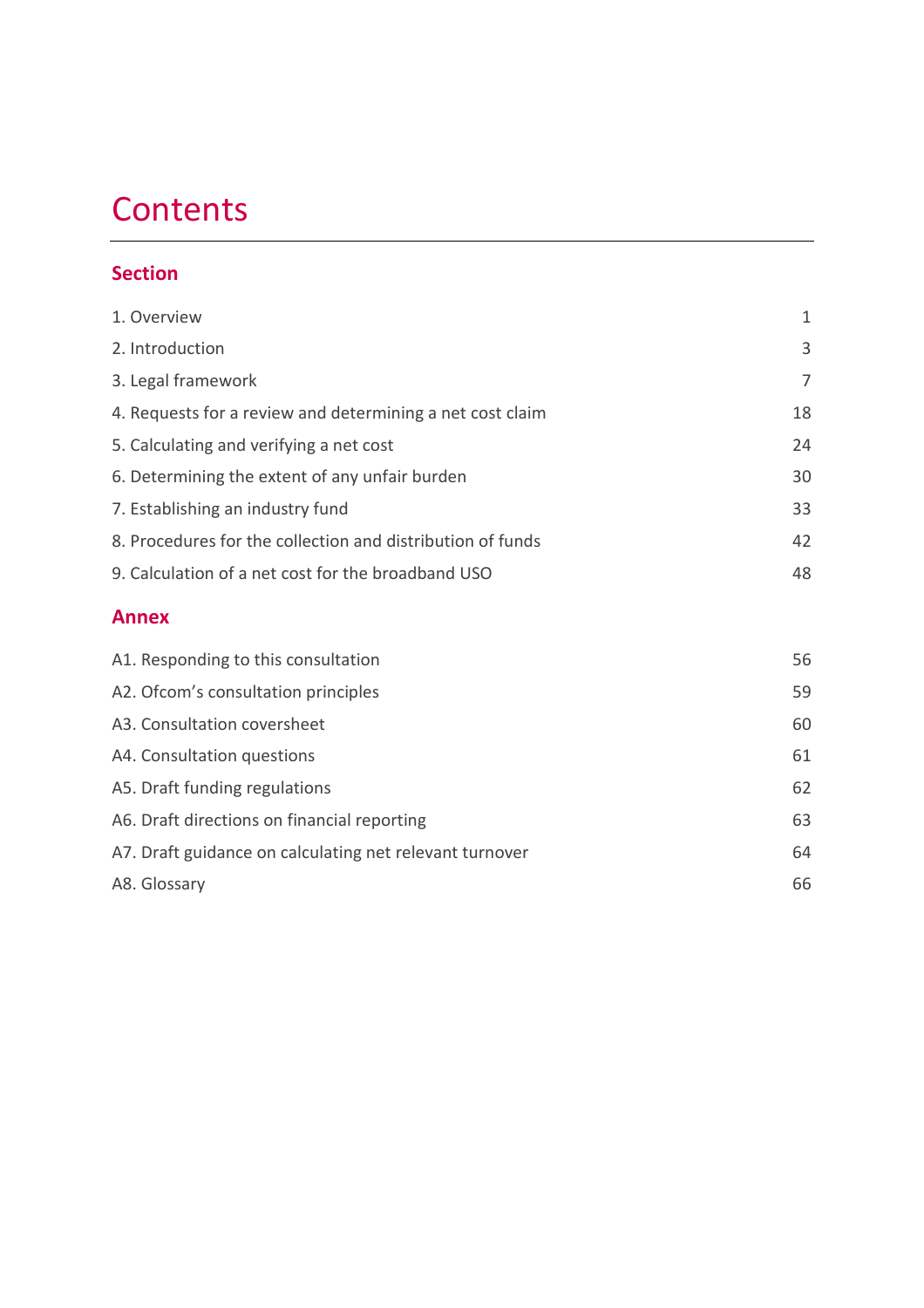# **Contents**

## **Section**

| 1. Overview                                                | 1  |
|------------------------------------------------------------|----|
| 2. Introduction                                            | 3  |
| 3. Legal framework                                         | 7  |
| 4. Requests for a review and determining a net cost claim  | 18 |
| 5. Calculating and verifying a net cost                    | 24 |
| 6. Determining the extent of any unfair burden             | 30 |
| 7. Establishing an industry fund                           | 33 |
| 8. Procedures for the collection and distribution of funds | 42 |
| 9. Calculation of a net cost for the broadband USO         | 48 |

## **Annex**

| A1. Responding to this consultation                     | 56 |
|---------------------------------------------------------|----|
| A2. Of com's consultation principles                    | 59 |
| A3. Consultation coversheet                             | 60 |
| A4. Consultation questions                              | 61 |
| A5. Draft funding regulations                           | 62 |
| A6. Draft directions on financial reporting             | 63 |
| A7. Draft guidance on calculating net relevant turnover | 64 |
| A8. Glossary                                            | 66 |
|                                                         |    |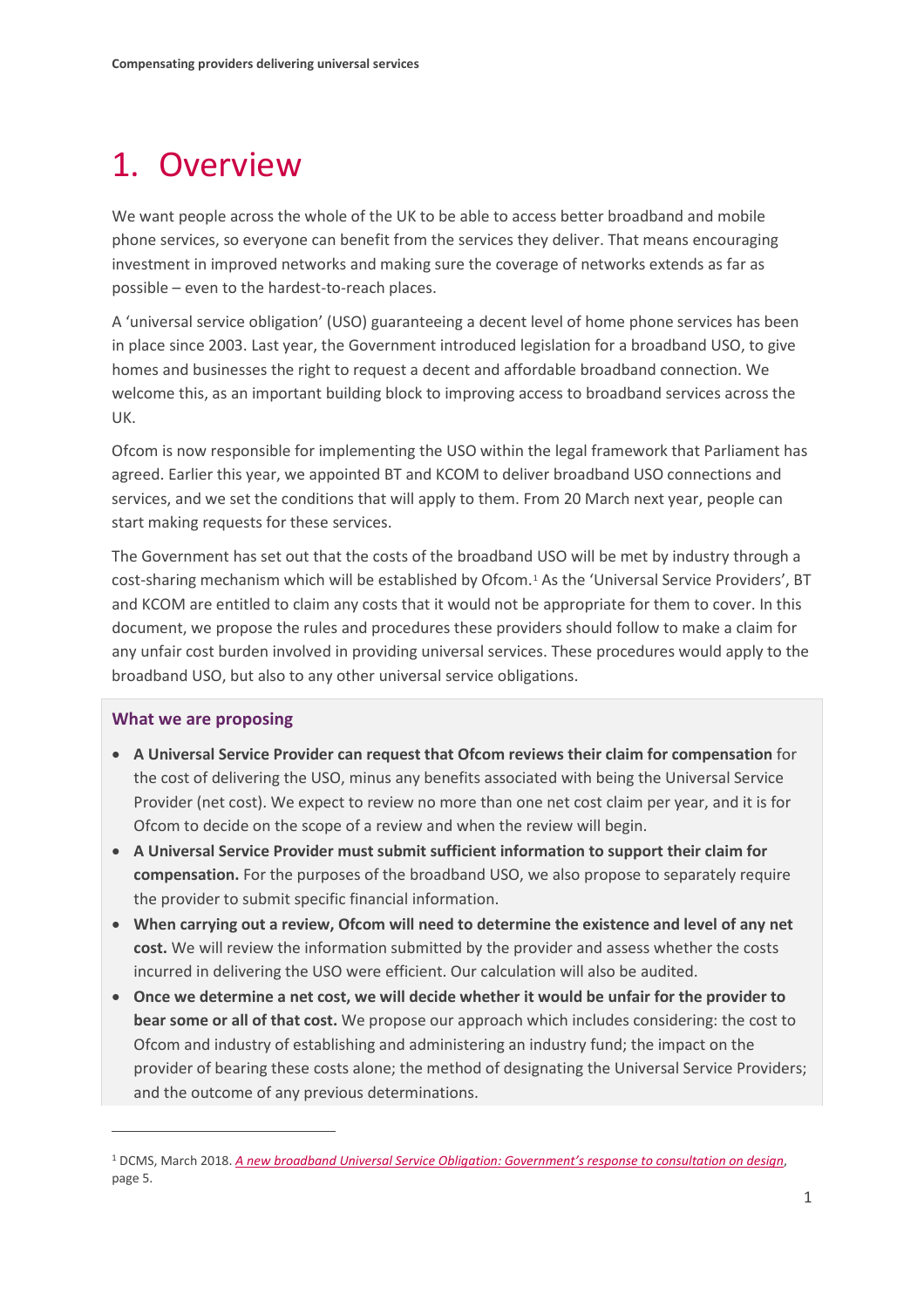# <span id="page-2-0"></span>1. Overview

We want people across the whole of the UK to be able to access better broadband and mobile phone services, so everyone can benefit from the services they deliver. That means encouraging investment in improved networks and making sure the coverage of networks extends as far as possible – even to the hardest-to-reach places.

A 'universal service obligation' (USO) guaranteeing a decent level of home phone services has been in place since 2003. Last year, the Government introduced legislation for a broadband USO, to give homes and businesses the right to request a decent and affordable broadband connection. We welcome this, as an important building block to improving access to broadband services across the UK.

Ofcom is now responsible for implementing the USO within the legal framework that Parliament has agreed. Earlier this year, we appointed BT and KCOM to deliver broadband USO connections and services, and we set the conditions that will apply to them. From 20 March next year, people can start making requests for these services.

The Government has set out that the costs of the broadband USO will be met by industry through a cost-sharing mechanism which will be established by Ofcom.<sup>[1](#page-2-1)</sup> As the 'Universal Service Providers', BT and KCOM are entitled to claim any costs that it would not be appropriate for them to cover. In this document, we propose the rules and procedures these providers should follow to make a claim for any unfair cost burden involved in providing universal services. These procedures would apply to the broadband USO, but also to any other universal service obligations.

#### **What we are proposing**

- **A Universal Service Provider can request that Ofcom reviews their claim for compensation** for the cost of delivering the USO, minus any benefits associated with being the Universal Service Provider (net cost). We expect to review no more than one net cost claim per year, and it is for Ofcom to decide on the scope of a review and when the review will begin.
- **A Universal Service Provider must submit sufficient information to support their claim for compensation.** For the purposes of the broadband USO, we also propose to separately require the provider to submit specific financial information.
- **When carrying out a review, Ofcom will need to determine the existence and level of any net cost.** We will review the information submitted by the provider and assess whether the costs incurred in delivering the USO were efficient. Our calculation will also be audited.
- **Once we determine a net cost, we will decide whether it would be unfair for the provider to bear some or all of that cost.** We propose our approach which includes considering: the cost to Ofcom and industry of establishing and administering an industry fund; the impact on the provider of bearing these costs alone; the method of designating the Universal Service Providers; and the outcome of any previous determinations.

<span id="page-2-1"></span><sup>1</sup> DCMS, March 2018. *[A new broadband Universal Service Obligation: Government's response to consultation](https://assets.publishing.service.gov.uk/government/uploads/system/uploads/attachment_data/file/696490/USO_consultation_government_response_28_March_FINAL.pdf) on design*, page 5.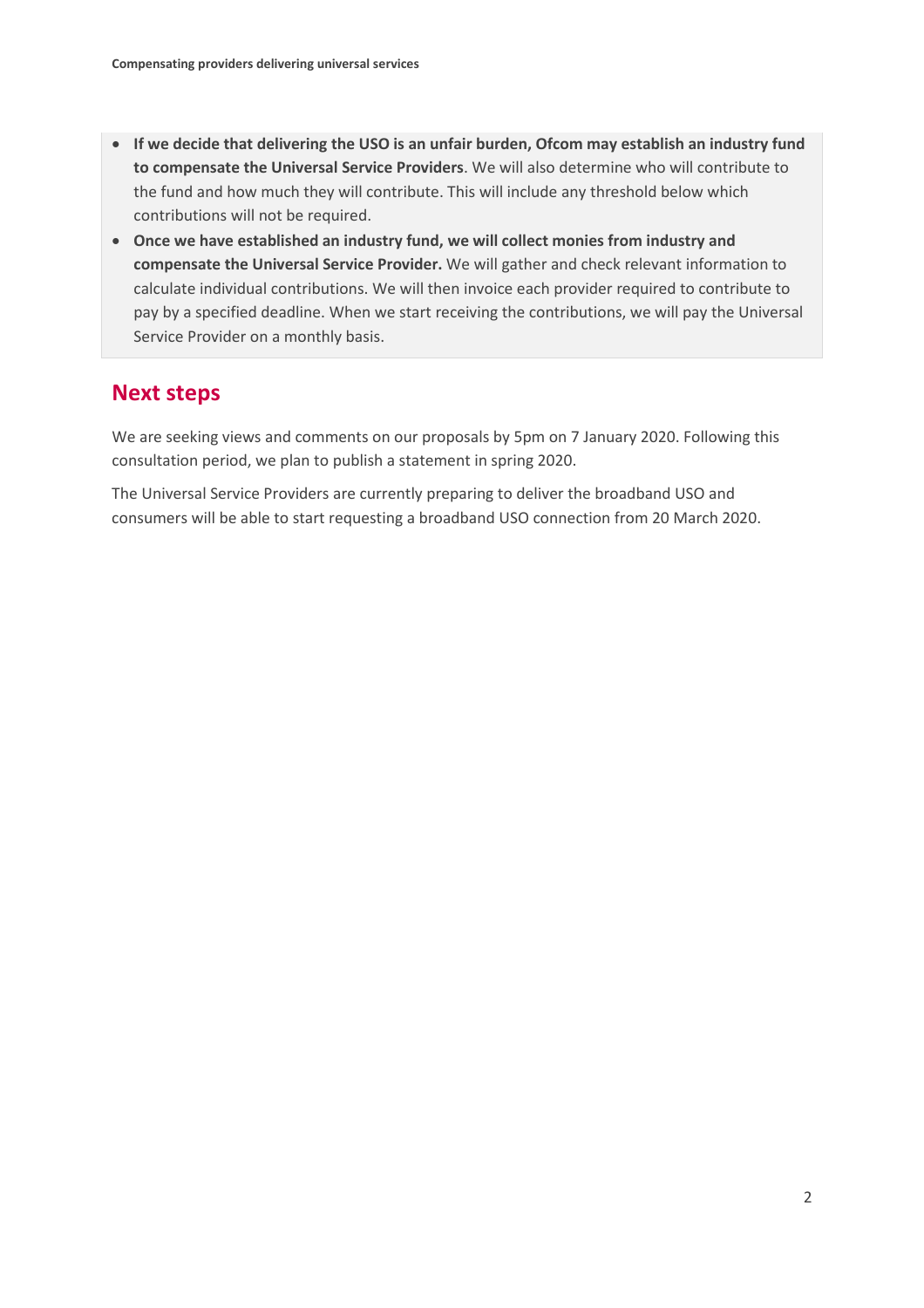- **If we decide that delivering the USO is an unfair burden, Ofcom may establish an industry fund to compensate the Universal Service Providers**. We will also determine who will contribute to the fund and how much they will contribute. This will include any threshold below which contributions will not be required.
- **Once we have established an industry fund, we will collect monies from industry and compensate the Universal Service Provider.** We will gather and check relevant information to calculate individual contributions. We will then invoice each provider required to contribute to pay by a specified deadline. When we start receiving the contributions, we will pay the Universal Service Provider on a monthly basis.

## **Next steps**

We are seeking views and comments on our proposals by 5pm on 7 January 2020. Following this consultation period, we plan to publish a statement in spring 2020.

The Universal Service Providers are currently preparing to deliver the broadband USO and consumers will be able to start requesting a broadband USO connection from 20 March 2020.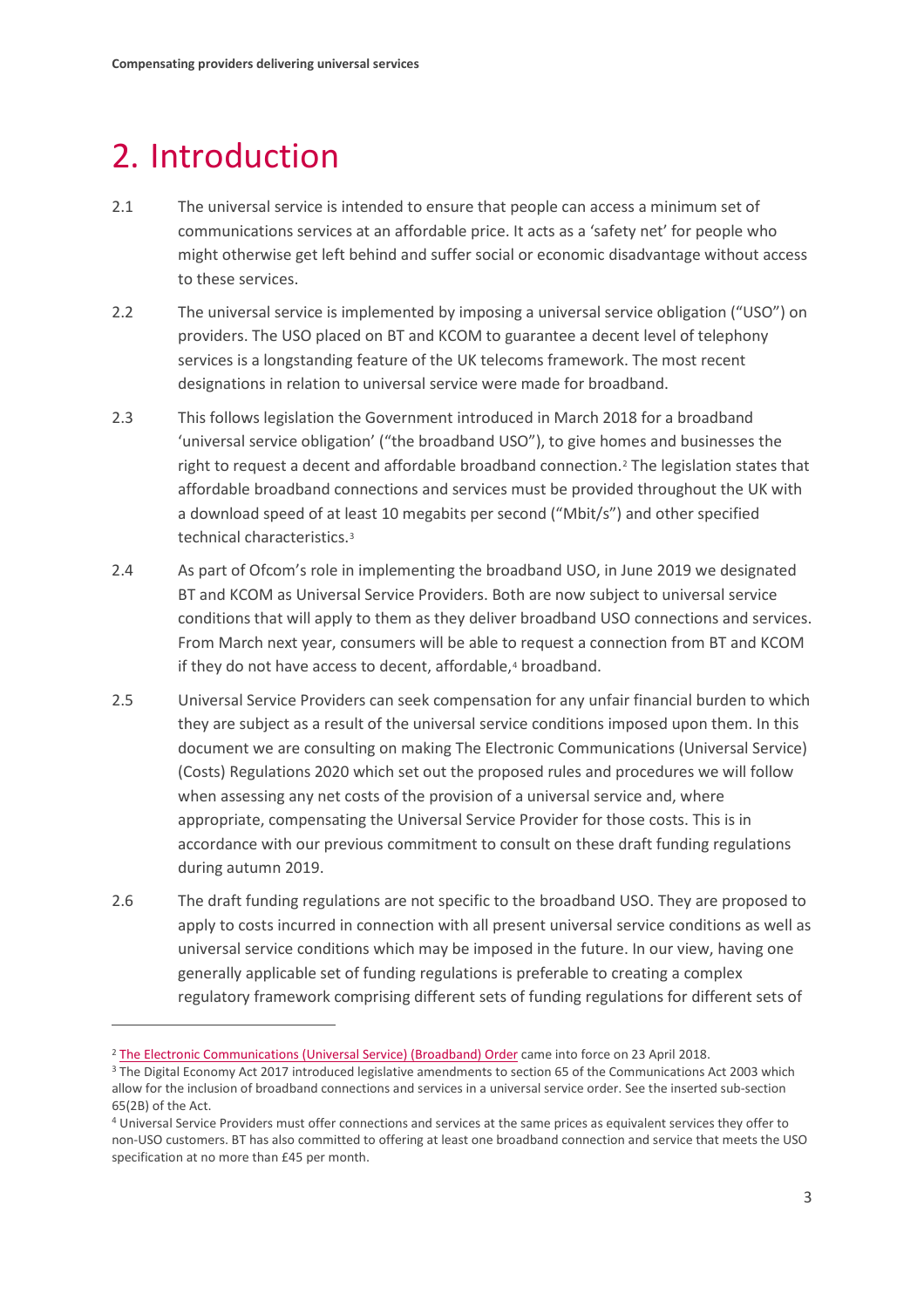# <span id="page-4-0"></span>2. Introduction

- 2.1 The universal service is intended to ensure that people can access a minimum set of communications services at an affordable price. It acts as a 'safety net' for people who might otherwise get left behind and suffer social or economic disadvantage without access to these services.
- 2.2 The universal service is implemented by imposing a universal service obligation ("USO") on providers. The USO placed on BT and KCOM to guarantee a decent level of telephony services is a longstanding feature of the UK telecoms framework. The most recent designations in relation to universal service were made for broadband.
- 2.3 This follows legislation the Government introduced in March 2018 for a broadband 'universal service obligation' ("the broadband USO"), to give homes and businesses the right to request a decent and affordable broadband connection.<sup>[2](#page-4-1)</sup> The legislation states that affordable broadband connections and services must be provided throughout the UK with a download speed of at least 10 megabits per second ("Mbit/s") and other specified technical characteristics.[3](#page-4-2)
- 2.4 As part of Ofcom's role in implementing the broadband USO, in June 2019 we designated BT and KCOM as Universal Service Providers. Both are now subject to universal service conditions that will apply to them as they deliver broadband USO connections and services. From March next year, consumers will be able to request a connection from BT and KCOM if they do not have access to decent, affordable,<sup>[4](#page-4-3)</sup> broadband.
- 2.5 Universal Service Providers can seek compensation for any unfair financial burden to which they are subject as a result of the universal service conditions imposed upon them. In this document we are consulting on making The Electronic Communications (Universal Service) (Costs) Regulations 2020 which set out the proposed rules and procedures we will follow when assessing any net costs of the provision of a universal service and, where appropriate, compensating the Universal Service Provider for those costs. This is in accordance with our previous commitment to consult on these draft funding regulations during autumn 2019.
- 2.6 The draft funding regulations are not specific to the broadband USO. They are proposed to apply to costs incurred in connection with all present universal service conditions as well as universal service conditions which may be imposed in the future. In our view, having one generally applicable set of funding regulations is preferable to creating a complex regulatory framework comprising different sets of funding regulations for different sets of

<span id="page-4-1"></span><sup>&</sup>lt;sup>2</sup> [The Electronic Communications \(Universal Service\) \(Broadband\) Order](http://www.legislation.gov.uk/uksi/2018/445/contents/made) came into force on 23 April 2018.

<span id="page-4-2"></span><sup>&</sup>lt;sup>3</sup> The Digital Economy Act 2017 introduced legislative amendments to section 65 of the Communications Act 2003 which allow for the inclusion of broadband connections and services in a universal service order. See the inserted sub-section 65(2B) of the Act.

<span id="page-4-3"></span><sup>4</sup> Universal Service Providers must offer connections and services at the same prices as equivalent services they offer to non-USO customers. BT has also committed to offering at least one broadband connection and service that meets the USO specification at no more than £45 per month.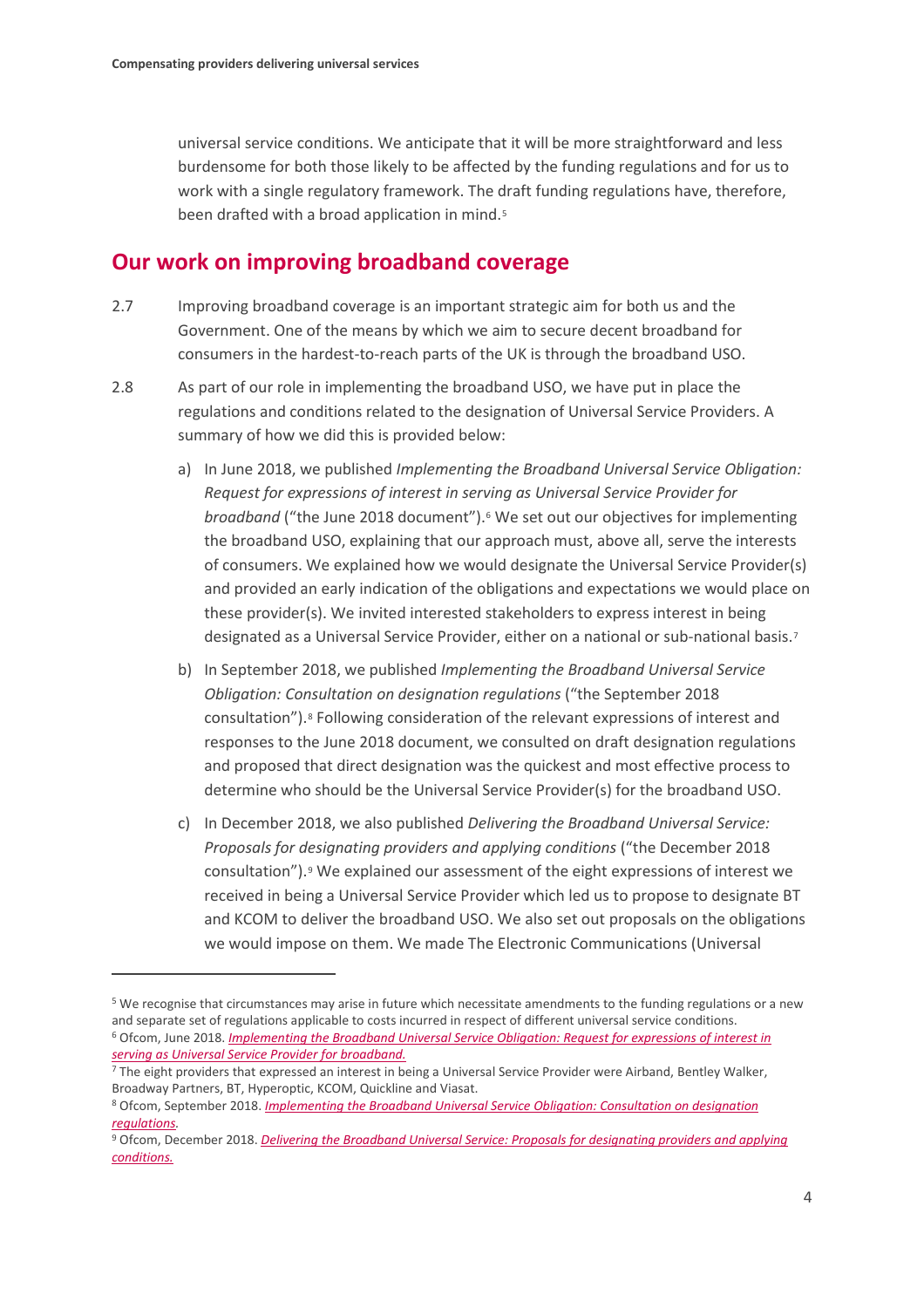$\overline{a}$ 

universal service conditions. We anticipate that it will be more straightforward and less burdensome for both those likely to be affected by the funding regulations and for us to work with a single regulatory framework. The draft funding regulations have, therefore, been drafted with a broad application in mind.<sup>[5](#page-5-0)</sup>

## **Our work on improving broadband coverage**

- 2.7 Improving broadband coverage is an important strategic aim for both us and the Government. One of the means by which we aim to secure decent broadband for consumers in the hardest-to-reach parts of the UK is through the broadband USO.
- 2.8 As part of our role in implementing the broadband USO, we have put in place the regulations and conditions related to the designation of Universal Service Providers. A summary of how we did this is provided below:
	- a) In June 2018, we published *Implementing the Broadband Universal Service Obligation: Request for expressions of interest in serving as Universal Service Provider for broadband* ("the June 2018 document").<sup>[6](#page-5-1)</sup> We set out our objectives for implementing the broadband USO, explaining that our approach must, above all, serve the interests of consumers. We explained how we would designate the Universal Service Provider(s) and provided an early indication of the obligations and expectations we would place on these provider(s). We invited interested stakeholders to express interest in being designated as a Universal Service Provider, either on a national or sub-national basis.<sup>[7](#page-5-2)</sup>
	- b) In September 2018, we published *Implementing the Broadband Universal Service Obligation: Consultation on designation regulations* ("the September 2018 consultation").[8](#page-5-3) Following consideration of the relevant expressions of interest and responses to the June 2018 document, we consulted on draft designation regulations and proposed that direct designation was the quickest and most effective process to determine who should be the Universal Service Provider(s) for the broadband USO.
	- c) In December 2018, we also published *Delivering the Broadband Universal Service: Proposals for designating providers and applying conditions* ("the December 2018 consultation").[9](#page-5-4) We explained our assessment of the eight expressions of interest we received in being a Universal Service Provider which led us to propose to designate BT and KCOM to deliver the broadband USO. We also set out proposals on the obligations we would impose on them. We made The Electronic Communications (Universal

<span id="page-5-1"></span><span id="page-5-0"></span><sup>5</sup> We recognise that circumstances may arise in future which necessitate amendments to the funding regulations or a new and separate set of regulations applicable to costs incurred in respect of different universal service conditions. <sup>6</sup> Ofcom, June 2018. *[Implementing the Broadband Universal Service Obligation: Request for expressions of interest in](https://www.ofcom.org.uk/__data/assets/pdf_file/0013/115042/implementing-broadband-uso.pdf)  [serving as Universal Service Provider for broadband.](https://www.ofcom.org.uk/__data/assets/pdf_file/0013/115042/implementing-broadband-uso.pdf)*

<span id="page-5-2"></span><sup>7</sup> The eight providers that expressed an interest in being a Universal Service Provider were Airband, Bentley Walker, Broadway Partners, BT, Hyperoptic, KCOM, Quickline and Viasat.

<span id="page-5-3"></span><sup>8</sup> Ofcom, September 2018. *[Implementing the Broadband Universal Service Obligation: Consultation on designation](https://www.ofcom.org.uk/__data/assets/pdf_file/0011/120404/Implementing-the-Broadband-Universal-Service-Obligation.pdf)  [regulations.](https://www.ofcom.org.uk/__data/assets/pdf_file/0011/120404/Implementing-the-Broadband-Universal-Service-Obligation.pdf)*

<span id="page-5-4"></span><sup>9</sup> Ofcom, December 2018. *[Delivering the Broadband Universal Service: Proposals for designating providers and applying](https://www.ofcom.org.uk/__data/assets/pdf_file/0024/129408/Consultation-Delivering-the-Broadband-Universal-Service.pdf)  [conditions.](https://www.ofcom.org.uk/__data/assets/pdf_file/0024/129408/Consultation-Delivering-the-Broadband-Universal-Service.pdf)*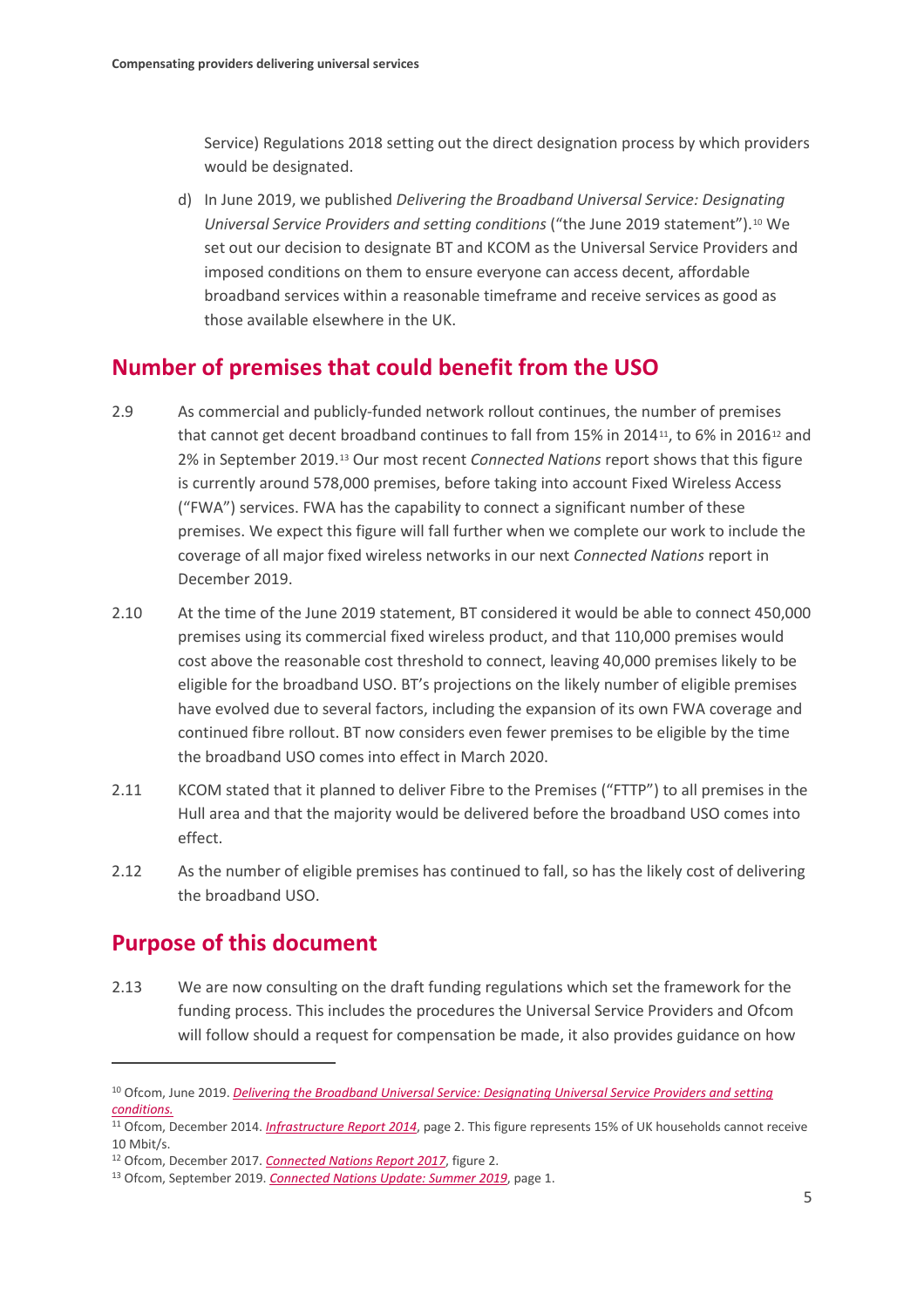Service) Regulations 2018 setting out the direct designation process by which providers would be designated.

d) In June 2019, we published *Delivering the Broadband Universal Service: Designating Universal Service Providers and setting conditions* ("the June 2019 statement").[10](#page-6-0) We set out our decision to designate BT and KCOM as the Universal Service Providers and imposed conditions on them to ensure everyone can access decent, affordable broadband services within a reasonable timeframe and receive services as good as those available elsewhere in the UK.

## **Number of premises that could benefit from the USO**

- 2.9 As commercial and publicly-funded network rollout continues, the number of premises that cannot get decent broadband continues to fall from 15% in 2014<sup>[11](#page-6-1)</sup>, to 6% in 2016<sup>[12](#page-6-2)</sup> and 2% in September 2019.[13](#page-6-3) Our most recent *Connected Nations* report shows that this figure is currently around 578,000 premises, before taking into account Fixed Wireless Access ("FWA") services. FWA has the capability to connect a significant number of these premises. We expect this figure will fall further when we complete our work to include the coverage of all major fixed wireless networks in our next *Connected Nations* report in December 2019.
- 2.10 At the time of the June 2019 statement, BT considered it would be able to connect 450,000 premises using its commercial fixed wireless product, and that 110,000 premises would cost above the reasonable cost threshold to connect, leaving 40,000 premises likely to be eligible for the broadband USO. BT's projections on the likely number of eligible premises have evolved due to several factors, including the expansion of its own FWA coverage and continued fibre rollout. BT now considers even fewer premises to be eligible by the time the broadband USO comes into effect in March 2020.
- 2.11 KCOM stated that it planned to deliver Fibre to the Premises ("FTTP") to all premises in the Hull area and that the majority would be delivered before the broadband USO comes into effect.
- 2.12 As the number of eligible premises has continued to fall, so has the likely cost of delivering the broadband USO.

## **Purpose of this document**

 $\overline{a}$ 

2.13 We are now consulting on the draft funding regulations which set the framework for the funding process. This includes the procedures the Universal Service Providers and Ofcom will follow should a request for compensation be made, it also provides guidance on how

<span id="page-6-0"></span><sup>10</sup> Ofcom, June 2019. *[Delivering the Broadband Universal Service: Designating Universal Service Providers and setting](https://www.ofcom.org.uk/__data/assets/pdf_file/0019/151354/statement-delivering-the-broadband-universal-service.pdf)  [conditions.](https://www.ofcom.org.uk/__data/assets/pdf_file/0019/151354/statement-delivering-the-broadband-universal-service.pdf)*

<span id="page-6-1"></span><sup>11</sup> Ofcom, December 2014. *[Infrastructure Report 2014](https://www.ofcom.org.uk/__data/assets/pdf_file/0011/46010/infrastructure-14.pdf)*, page 2. This figure represents 15% of UK households cannot receive 10 Mbit/s.

<span id="page-6-2"></span><sup>12</sup> Ofcom, December 2017. *[Connected Nations Report 2017](https://www.ofcom.org.uk/__data/assets/pdf_file/0024/108843/summary-report-connected-nations-2017.pdf)*, figure 2.

<span id="page-6-3"></span><sup>13</sup> Ofcom, September 2019. *[Connected Nations Update: Summer 2019](https://www.ofcom.org.uk/__data/assets/pdf_file/0024/166650/connected-nations-update-summer-2019.pdf)*, page 1.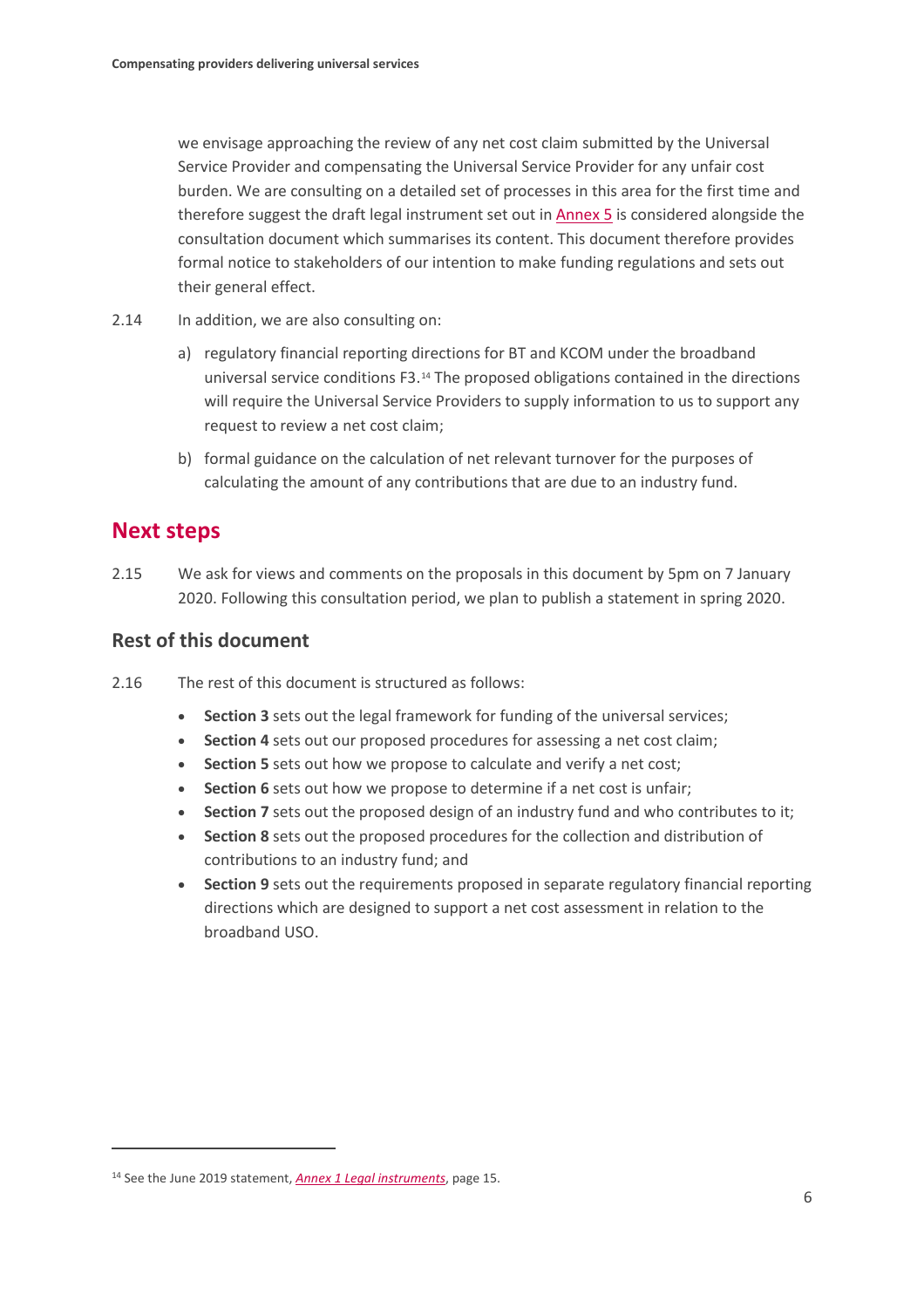we envisage approaching the review of any net cost claim submitted by the Universal Service Provider and compensating the Universal Service Provider for any unfair cost burden. We are consulting on a detailed set of processes in this area for the first time and therefore suggest the draft legal instrument set out in [Annex 5](https://www.ofcom.org.uk/__data/assets/pdf_file/0029/176456/annex-5-draft-funding-regulations.pdf) is considered alongside the consultation document which summarises its content. This document therefore provides formal notice to stakeholders of our intention to make funding regulations and sets out their general effect.

- 2.14 In addition, we are also consulting on:
	- a) regulatory financial reporting directions for BT and KCOM under the broadband universal service conditions F3.[14](#page-7-0) The proposed obligations contained in the directions will require the Universal Service Providers to supply information to us to support any request to review a net cost claim;
	- b) formal guidance on the calculation of net relevant turnover for the purposes of calculating the amount of any contributions that are due to an industry fund.

## **Next steps**

 $\overline{a}$ 

2.15 We ask for views and comments on the proposals in this document by 5pm on 7 January 2020. Following this consultation period, we plan to publish a statement in spring 2020.

### **Rest of this document**

- 2.16 The rest of this document is structured as follows:
	- **Section 3** sets out the legal framework for funding of the universal services;
	- **Section 4** sets out our proposed procedures for assessing a net cost claim;
	- **Section 5** sets out how we propose to calculate and verify a net cost;
	- **Section 6** sets out how we propose to determine if a net cost is unfair;
	- **Section 7** sets out the proposed design of an industry fund and who contributes to it;
	- **Section 8** sets out the proposed procedures for the collection and distribution of contributions to an industry fund; and
	- **Section 9** sets out the requirements proposed in separate regulatory financial reporting directions which are designed to support a net cost assessment in relation to the broadband USO.

<span id="page-7-0"></span><sup>14</sup> See the June 2019 statement, *[Annex 1 Legal instruments](https://www.ofcom.org.uk/__data/assets/pdf_file/0019/151273/annex-1-legal-instruments.pdf)*, page 15.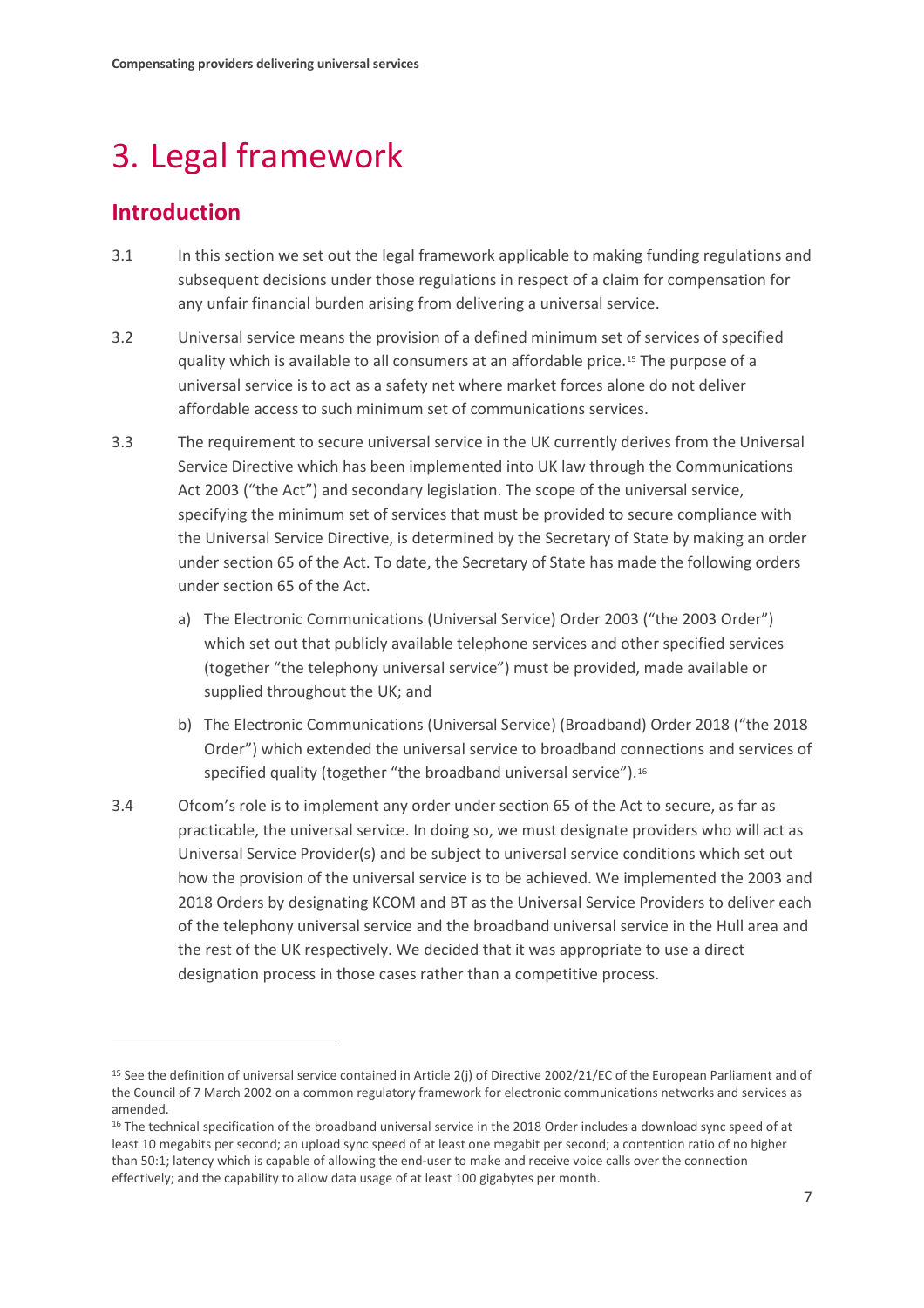# <span id="page-8-0"></span>3. Legal framework

## **Introduction**

- 3.1 In this section we set out the legal framework applicable to making funding regulations and subsequent decisions under those regulations in respect of a claim for compensation for any unfair financial burden arising from delivering a universal service.
- 3.2 Universal service means the provision of a defined minimum set of services of specified quality which is available to all consumers at an affordable price.[15](#page-8-1) The purpose of a universal service is to act as a safety net where market forces alone do not deliver affordable access to such minimum set of communications services.
- 3.3 The requirement to secure universal service in the UK currently derives from the Universal Service Directive which has been implemented into UK law through the Communications Act 2003 ("the Act") and secondary legislation. The scope of the universal service, specifying the minimum set of services that must be provided to secure compliance with the Universal Service Directive, is determined by the Secretary of State by making an order under section 65 of the Act. To date, the Secretary of State has made the following orders under section 65 of the Act.
	- a) The Electronic Communications (Universal Service) Order 2003 ("the 2003 Order") which set out that publicly available telephone services and other specified services (together "the telephony universal service") must be provided, made available or supplied throughout the UK; and
	- b) The Electronic Communications (Universal Service) (Broadband) Order 2018 ("the 2018 Order") which extended the universal service to broadband connections and services of specified quality (together "the broadband universal service").<sup>16</sup>
- 3.4 Ofcom's role is to implement any order under section 65 of the Act to secure, as far as practicable, the universal service. In doing so, we must designate providers who will act as Universal Service Provider(s) and be subject to universal service conditions which set out how the provision of the universal service is to be achieved. We implemented the 2003 and 2018 Orders by designating KCOM and BT as the Universal Service Providers to deliver each of the telephony universal service and the broadband universal service in the Hull area and the rest of the UK respectively. We decided that it was appropriate to use a direct designation process in those cases rather than a competitive process.

<span id="page-8-1"></span><sup>&</sup>lt;sup>15</sup> See the definition of universal service contained in Article 2(j) of Directive 2002/21/EC of the European Parliament and of the Council of 7 March 2002 on a common regulatory framework for electronic communications networks and services as amended.

<span id="page-8-2"></span><sup>&</sup>lt;sup>16</sup> The technical specification of the broadband universal service in the 2018 Order includes a download sync speed of at least 10 megabits per second; an upload sync speed of at least one megabit per second; a contention ratio of no higher than 50:1; latency which is capable of allowing the end-user to make and receive voice calls over the connection effectively; and the capability to allow data usage of at least 100 gigabytes per month.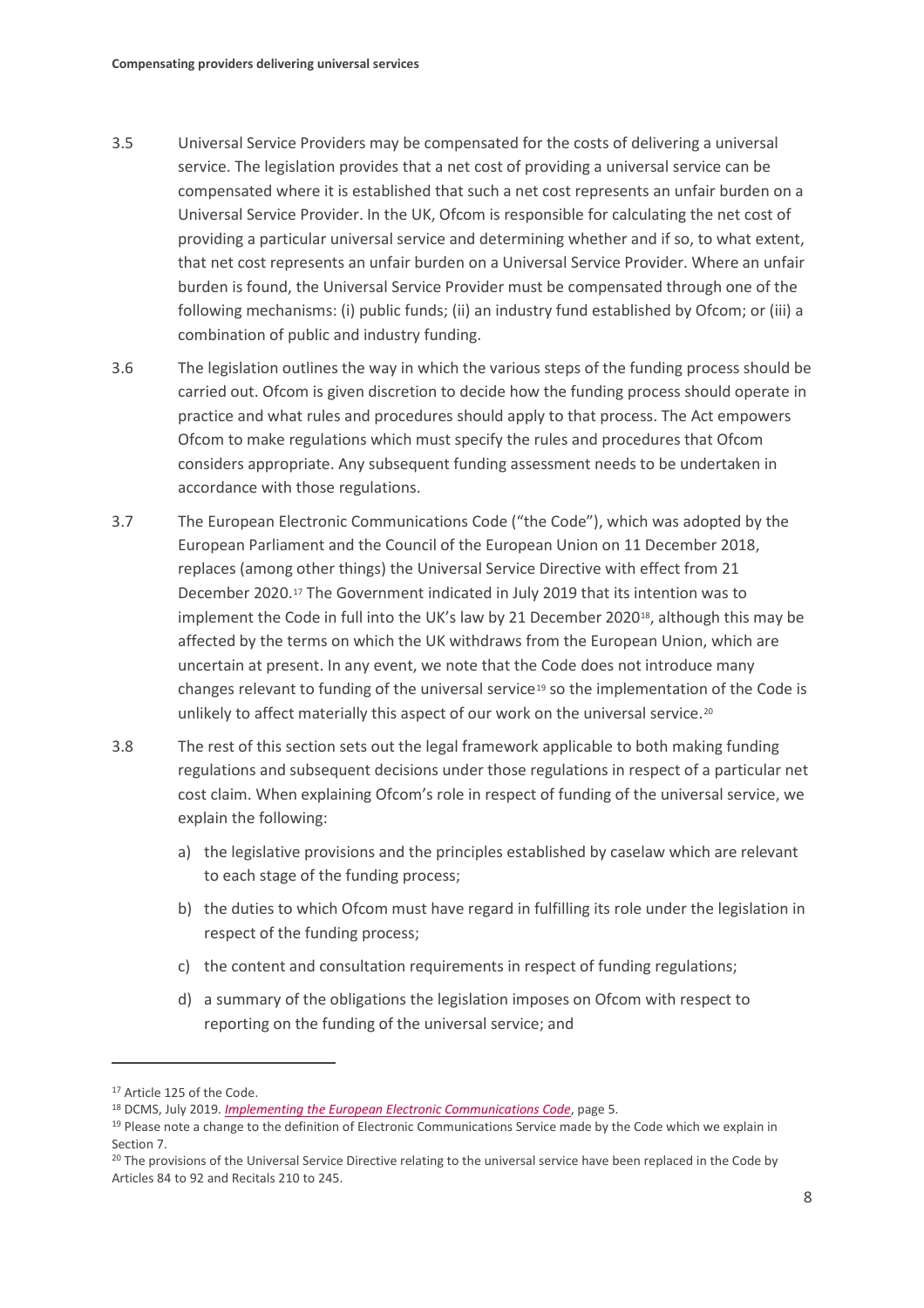- 3.5 Universal Service Providers may be compensated for the costs of delivering a universal service. The legislation provides that a net cost of providing a universal service can be compensated where it is established that such a net cost represents an unfair burden on a Universal Service Provider. In the UK, Ofcom is responsible for calculating the net cost of providing a particular universal service and determining whether and if so, to what extent, that net cost represents an unfair burden on a Universal Service Provider. Where an unfair burden is found, the Universal Service Provider must be compensated through one of the following mechanisms: (i) public funds; (ii) an industry fund established by Ofcom; or (iii) a combination of public and industry funding.
- 3.6 The legislation outlines the way in which the various steps of the funding process should be carried out. Ofcom is given discretion to decide how the funding process should operate in practice and what rules and procedures should apply to that process. The Act empowers Ofcom to make regulations which must specify the rules and procedures that Ofcom considers appropriate. Any subsequent funding assessment needs to be undertaken in accordance with those regulations.
- 3.7 The European Electronic Communications Code ("the Code"), which was adopted by the European Parliament and the Council of the European Union on 11 December 2018, replaces (among other things) the Universal Service Directive with effect from 21 December 2020.[17](#page-9-0) The Government indicated in July 2019 that its intention was to implement the Code in full into the UK's law by 21 December 2020<sup>18</sup>, although this may be affected by the terms on which the UK withdraws from the European Union, which are uncertain at present. In any event, we note that the Code does not introduce many changes relevant to funding of the universal service<sup>[19](#page-9-2)</sup> so the implementation of the Code is unlikely to affect materially this aspect of our work on the universal service.<sup>[20](#page-9-3)</sup>
- 3.8 The rest of this section sets out the legal framework applicable to both making funding regulations and subsequent decisions under those regulations in respect of a particular net cost claim. When explaining Ofcom's role in respect of funding of the universal service, we explain the following:
	- a) the legislative provisions and the principles established by caselaw which are relevant to each stage of the funding process;
	- b) the duties to which Ofcom must have regard in fulfilling its role under the legislation in respect of the funding process;
	- c) the content and consultation requirements in respect of funding regulations;
	- d) a summary of the obligations the legislation imposes on Ofcom with respect to reporting on the funding of the universal service; and

<span id="page-9-0"></span><sup>&</sup>lt;sup>17</sup> Article 125 of the Code.

<span id="page-9-2"></span><span id="page-9-1"></span><sup>&</sup>lt;sup>18</sup> DCMS[,](https://www.gov.uk/government/consultations/implementing-the-european-electronic-communications-code) July 2019. *Implementing the European Electronic Communications Code*, page 5.<br><sup>19</sup> Please note a change to the definition of Electronic Communications Service made by the Code which we explain in Section 7.

<span id="page-9-3"></span><sup>&</sup>lt;sup>20</sup> The provisions of the Universal Service Directive relating to the universal service have been replaced in the Code by Articles 84 to 92 and Recitals 210 to 245.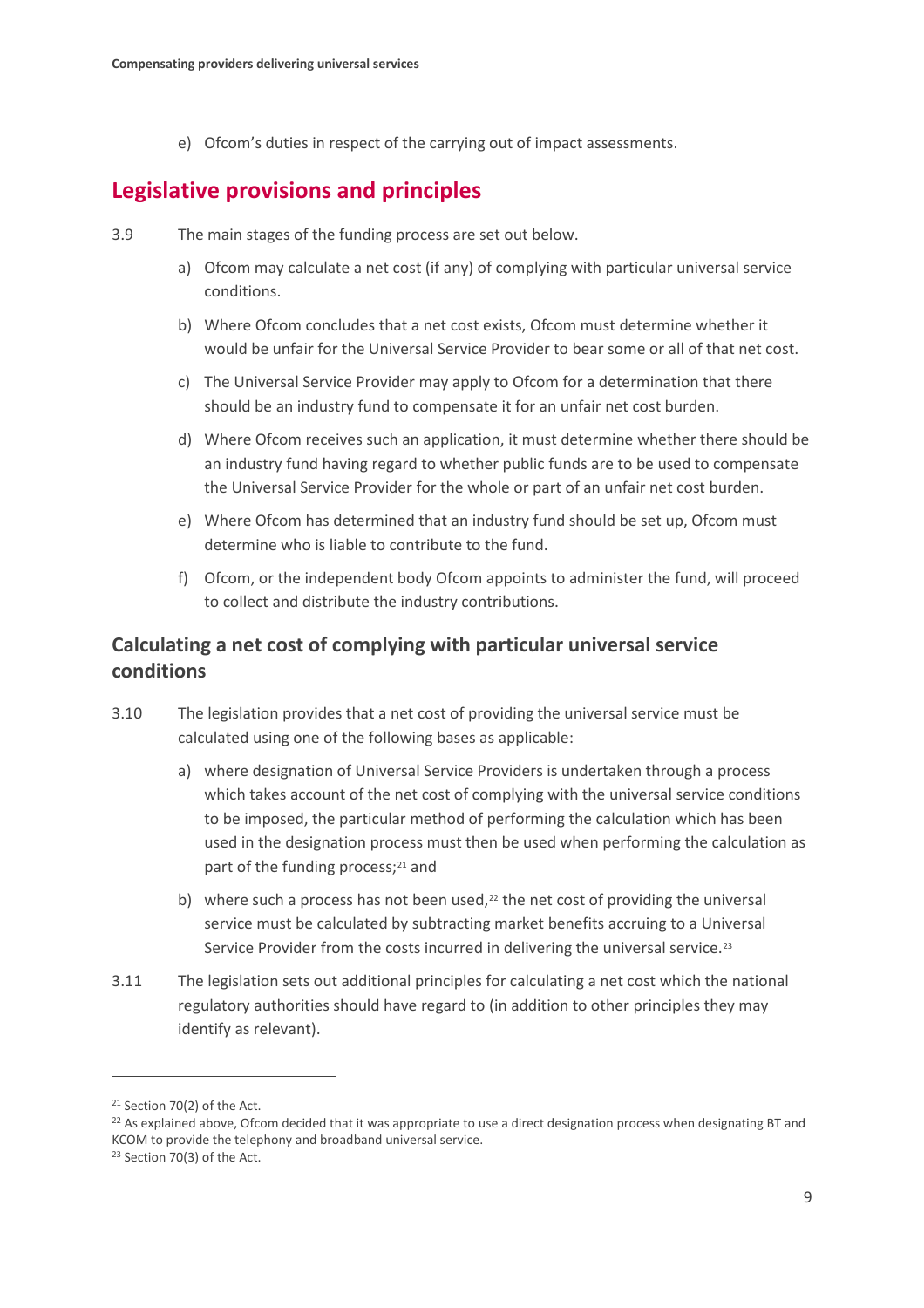e) Ofcom's duties in respect of the carrying out of impact assessments.

## **Legislative provisions and principles**

- 3.9 The main stages of the funding process are set out below.
	- a) Ofcom may calculate a net cost (if any) of complying with particular universal service conditions.
	- b) Where Ofcom concludes that a net cost exists, Ofcom must determine whether it would be unfair for the Universal Service Provider to bear some or all of that net cost.
	- c) The Universal Service Provider may apply to Ofcom for a determination that there should be an industry fund to compensate it for an unfair net cost burden.
	- d) Where Ofcom receives such an application, it must determine whether there should be an industry fund having regard to whether public funds are to be used to compensate the Universal Service Provider for the whole or part of an unfair net cost burden.
	- e) Where Ofcom has determined that an industry fund should be set up, Ofcom must determine who is liable to contribute to the fund.
	- f) Ofcom, or the independent body Ofcom appoints to administer the fund, will proceed to collect and distribute the industry contributions.

## **Calculating a net cost of complying with particular universal service conditions**

- 3.10 The legislation provides that a net cost of providing the universal service must be calculated using one of the following bases as applicable:
	- a) where designation of Universal Service Providers is undertaken through a process which takes account of the net cost of complying with the universal service conditions to be imposed, the particular method of performing the calculation which has been used in the designation process must then be used when performing the calculation as part of the funding process;<sup>[21](#page-10-0)</sup> and
	- b) where such a process has not been used, $22$  the net cost of providing the universal service must be calculated by subtracting market benefits accruing to a Universal Service Provider from the costs incurred in delivering the universal service.<sup>[23](#page-10-2)</sup>
- 3.11 The legislation sets out additional principles for calculating a net cost which the national regulatory authorities should have regard to (in addition to other principles they may identify as relevant).

<span id="page-10-0"></span><sup>21</sup> Section 70(2) of the Act.

<span id="page-10-1"></span><sup>&</sup>lt;sup>22</sup> As explained above, Ofcom decided that it was appropriate to use a direct designation process when designating BT and KCOM to provide the telephony and broadband universal service.

<span id="page-10-2"></span><sup>23</sup> Section 70(3) of the Act.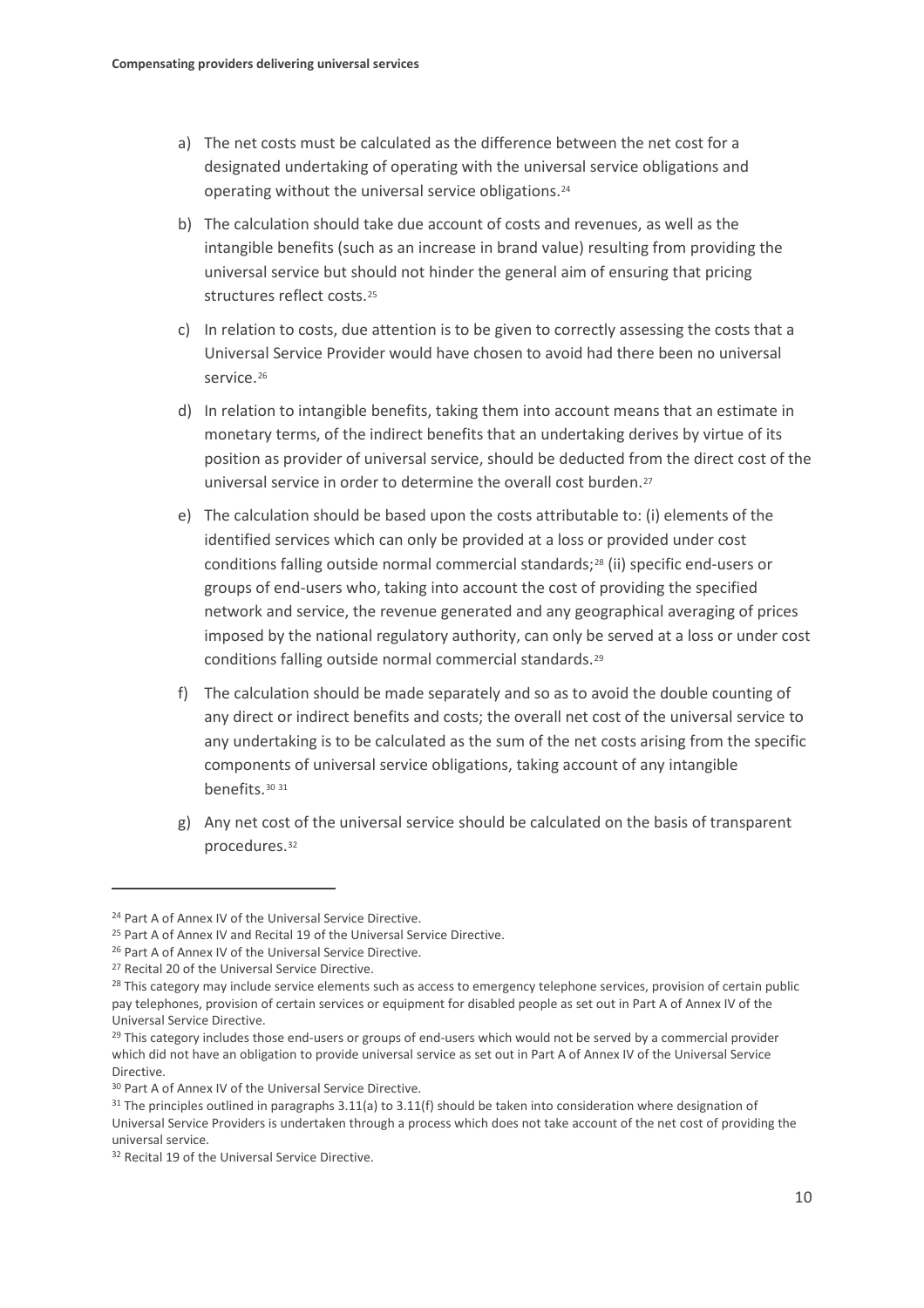- a) The net costs must be calculated as the difference between the net cost for a designated undertaking of operating with the universal service obligations and operating without the universal service obligations[.24](#page-11-0)
- b) The calculation should take due account of costs and revenues, as well as the intangible benefits (such as an increase in brand value) resulting from providing the universal service but should not hinder the general aim of ensuring that pricing structures reflect costs.[25](#page-11-1)
- c) In relation to costs, due attention is to be given to correctly assessing the costs that a Universal Service Provider would have chosen to avoid had there been no universal service.<sup>[26](#page-11-2)</sup>
- d) In relation to intangible benefits, taking them into account means that an estimate in monetary terms, of the indirect benefits that an undertaking derives by virtue of its position as provider of universal service, should be deducted from the direct cost of the universal service in order to determine the overall cost burden.[27](#page-11-3)
- e) The calculation should be based upon the costs attributable to: (i) elements of the identified services which can only be provided at a loss or provided under cost conditions falling outside normal commercial standards;[28](#page-11-4) (ii) specific end-users or groups of end-users who, taking into account the cost of providing the specified network and service, the revenue generated and any geographical averaging of prices imposed by the national regulatory authority, can only be served at a loss or under cost conditions falling outside normal commercial standards.[29](#page-11-5)
- f) The calculation should be made separately and so as to avoid the double counting of any direct or indirect benefits and costs; the overall net cost of the universal service to any undertaking is to be calculated as the sum of the net costs arising from the specific components of universal service obligations, taking account of any intangible benefits.[30](#page-11-6) [31](#page-11-7)
- g) Any net cost of the universal service should be calculated on the basis of transparent procedures.[32](#page-11-8)

<span id="page-11-1"></span><span id="page-11-0"></span><sup>&</sup>lt;sup>24</sup> Part A of Annex IV of the Universal Service Directive.<br><sup>25</sup> Part A of Annex IV and Recital 19 of the Universal Service Directive.

<span id="page-11-4"></span>

<span id="page-11-3"></span><span id="page-11-2"></span><sup>&</sup>lt;sup>26</sup> Part A of Annex IV of the Universal Service Directive.<br><sup>27</sup> Recital 20 of the Universal Service Directive.<br><sup>28</sup> This category may include service elements such as access to emergency telephone services, provision of c pay telephones, provision of certain services or equipment for disabled people as set out in Part A of Annex IV of the Universal Service Directive.

<span id="page-11-5"></span> $29$  This category includes those end-users or groups of end-users which would not be served by a commercial provider which did not have an obligation to provide universal service as set out in Part A of Annex IV of the Universal Service Directive.

<span id="page-11-6"></span><sup>30</sup> Part A of Annex IV of the Universal Service Directive.

<span id="page-11-7"></span> $31$  The principles outlined in paragraphs 3.11(a) to 3.11(f) should be taken into consideration where designation of Universal Service Providers is undertaken through a process which does not take account of the net cost of providing the universal service.<br><sup>32</sup> Recital 19 of the Universal Service Directive.

<span id="page-11-8"></span>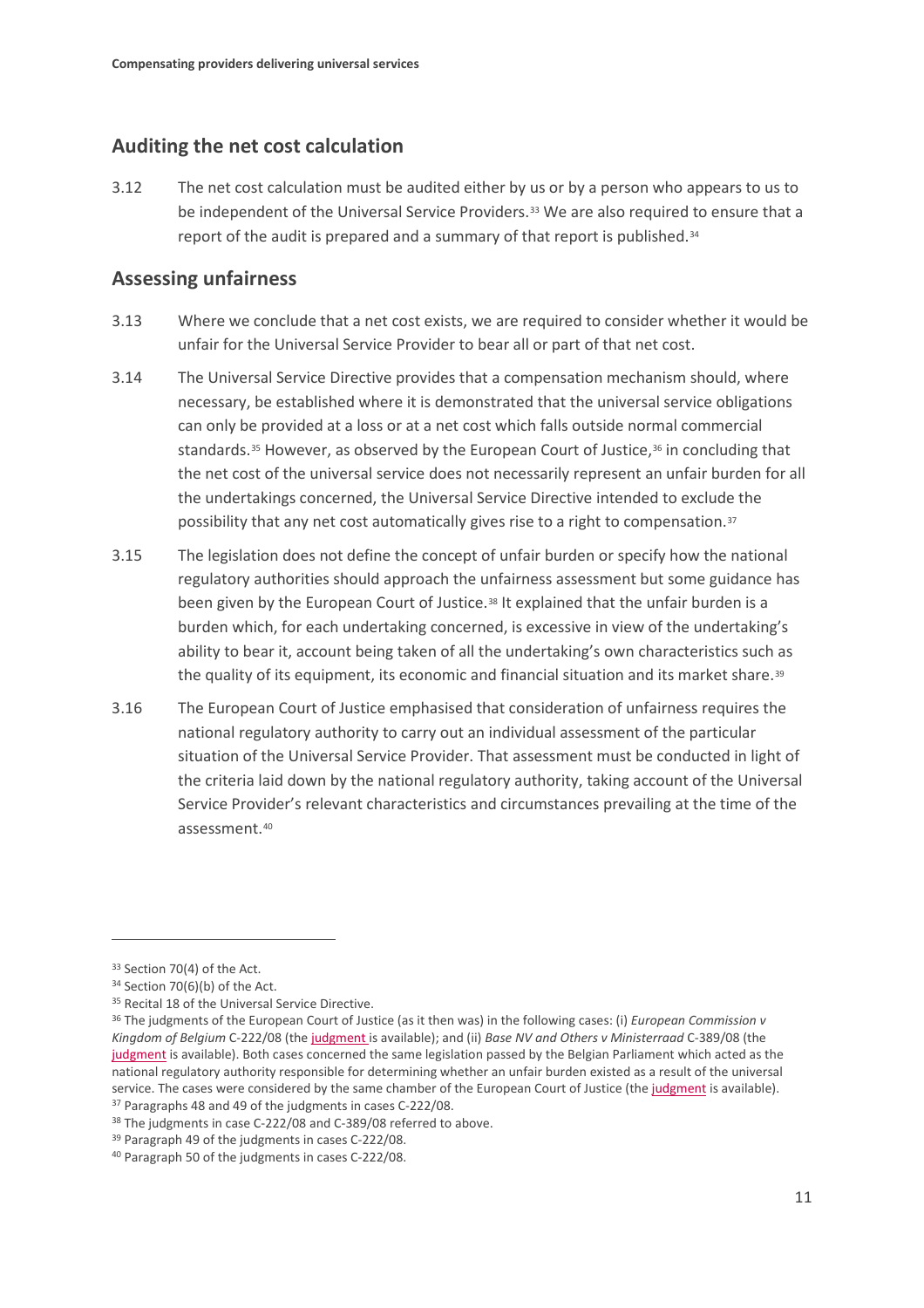### **Auditing the net cost calculation**

3.12 The net cost calculation must be audited either by us or by a person who appears to us to be independent of the Universal Service Providers.<sup>[33](#page-12-0)</sup> We are also required to ensure that a report of the audit is prepared and a summary of that report is published.[34](#page-12-1)

### **Assessing unfairness**

- 3.13 Where we conclude that a net cost exists, we are required to consider whether it would be unfair for the Universal Service Provider to bear all or part of that net cost.
- 3.14 The Universal Service Directive provides that a compensation mechanism should, where necessary, be established where it is demonstrated that the universal service obligations can only be provided at a loss or at a net cost which falls outside normal commercial standards.<sup>[35](#page-12-2)</sup> However, as observed by the European Court of Justice,<sup>36</sup> in concluding that the net cost of the universal service does not necessarily represent an unfair burden for all the undertakings concerned, the Universal Service Directive intended to exclude the possibility that any net cost automatically gives rise to a right to compensation[.37](#page-12-4)
- 3.15 The legislation does not define the concept of unfair burden or specify how the national regulatory authorities should approach the unfairness assessment but some guidance has been given by the European Court of Justice.<sup>[38](#page-12-5)</sup> It explained that the unfair burden is a burden which, for each undertaking concerned, is excessive in view of the undertaking's ability to bear it, account being taken of all the undertaking's own characteristics such as the quality of its equipment, its economic and financial situation and its market share.<sup>[39](#page-12-6)</sup>
- 3.16 The European Court of Justice emphasised that consideration of unfairness requires the national regulatory authority to carry out an individual assessment of the particular situation of the Universal Service Provider. That assessment must be conducted in light of the criteria laid down by the national regulatory authority, taking account of the Universal Service Provider's relevant characteristics and circumstances prevailing at the time of the assessment.[40](#page-12-7)

<span id="page-12-0"></span><sup>33</sup> Section 70(4) of the Act.

<span id="page-12-1"></span><sup>34</sup> Section 70(6)(b) of the Act.

<span id="page-12-2"></span><sup>&</sup>lt;sup>35</sup> Recital 18 of the Universal Service Directive.

<span id="page-12-3"></span><sup>36</sup> The judgments of the European Court of Justice (as it then was) in the following cases: (i) *European Commission v Kingdom of Belgium* C-222/08 (th[e judgment is](http://curia.europa.eu/juris/liste.jsf?language=en,T,F&num=c-222/080) available); and (ii) *Base NV and Others v Ministerraad* C-389/08 (the [judgment](https://eur-lex.europa.eu/legal-content/EN/TXT/HTML/?uri=CELEX:62014CJ0001&from=EN) is available). Both cases concerned the same legislation passed by the Belgian Parliament which acted as the national regulatory authority responsible for determining whether an unfair burden existed as a result of the universal service. The cases were considered by the same chamber of the European Court of Justice (the [judgment](https://eur-lex.europa.eu/LexUriServ/LexUriServ.do?uri=OJ:C:2010:328:0002:0003:EN:PDF) is available). <sup>37</sup> Paragraphs 48 and 49 of the judgments in cases C-222/08.

<span id="page-12-5"></span><span id="page-12-4"></span><sup>&</sup>lt;sup>38</sup> The judgments in case C-222/08 and C-389/08 referred to above.

<span id="page-12-6"></span><sup>39</sup> Paragraph 49 of the judgments in cases C-222/08.

<span id="page-12-7"></span><sup>40</sup> Paragraph 50 of the judgments in cases C-222/08.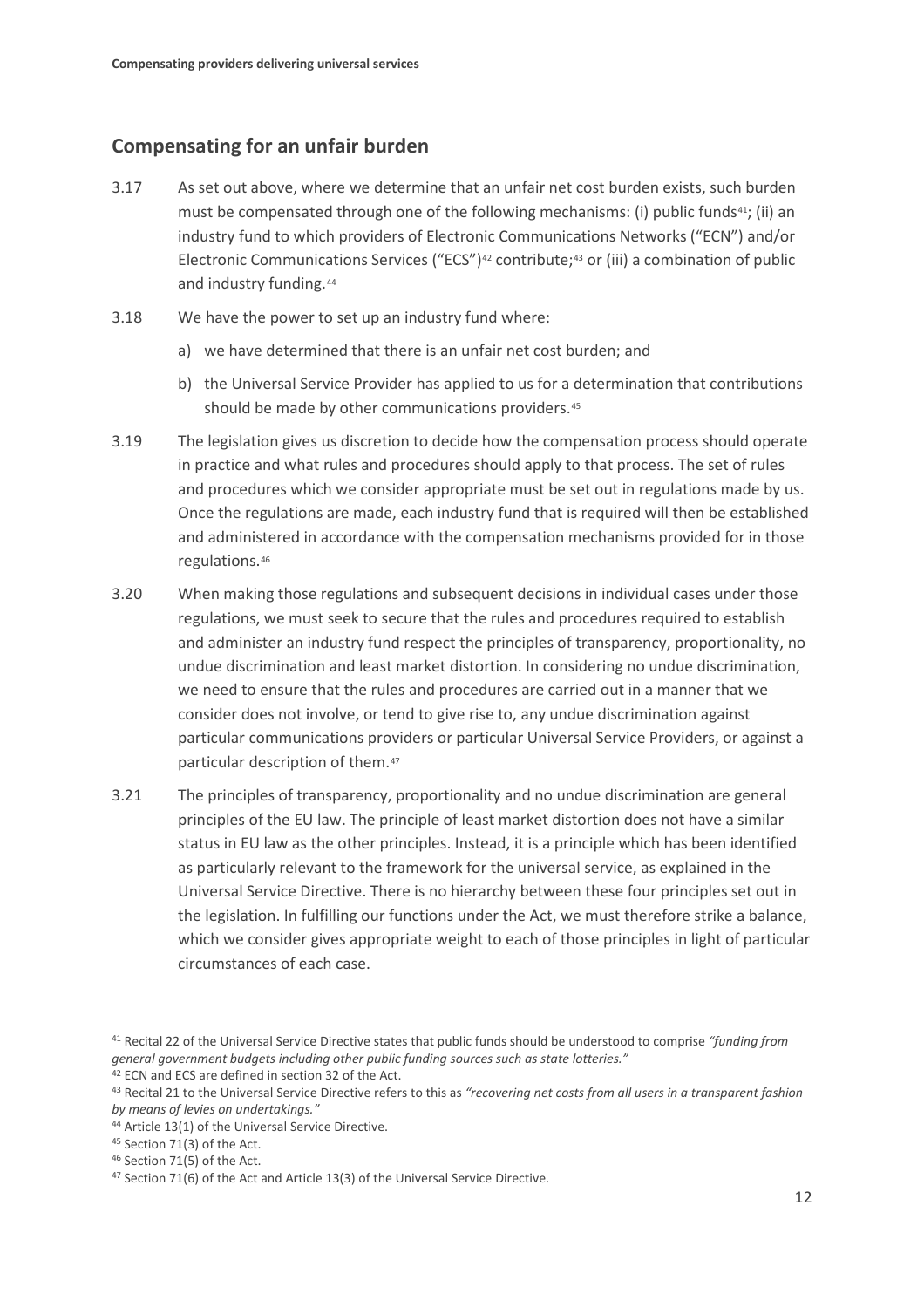## **Compensating for an unfair burden**

- 3.17 As set out above, where we determine that an unfair net cost burden exists, such burden must be compensated through one of the following mechanisms: (i) public funds<sup>[41](#page-13-0)</sup>; (ii) an industry fund to which providers of Electronic Communications Networks ("ECN") and/or Electronic Communications Services ("ECS")<sup>[42](#page-13-1)</sup> contribute;<sup>[43](#page-13-2)</sup> or (iii) a combination of public and industry funding.<sup>44</sup>
- 3.18 We have the power to set up an industry fund where:
	- a) we have determined that there is an unfair net cost burden; and
	- b) the Universal Service Provider has applied to us for a determination that contributions should be made by other communications providers.<sup>[45](#page-13-4)</sup>
- 3.19 The legislation gives us discretion to decide how the compensation process should operate in practice and what rules and procedures should apply to that process. The set of rules and procedures which we consider appropriate must be set out in regulations made by us. Once the regulations are made, each industry fund that is required will then be established and administered in accordance with the compensation mechanisms provided for in those regulations.[46](#page-13-5)
- 3.20 When making those regulations and subsequent decisions in individual cases under those regulations, we must seek to secure that the rules and procedures required to establish and administer an industry fund respect the principles of transparency, proportionality, no undue discrimination and least market distortion. In considering no undue discrimination, we need to ensure that the rules and procedures are carried out in a manner that we consider does not involve, or tend to give rise to, any undue discrimination against particular communications providers or particular Universal Service Providers, or against a particular description of them.[47](#page-13-6)
- 3.21 The principles of transparency, proportionality and no undue discrimination are general principles of the EU law. The principle of least market distortion does not have a similar status in EU law as the other principles. Instead, it is a principle which has been identified as particularly relevant to the framework for the universal service, as explained in the Universal Service Directive. There is no hierarchy between these four principles set out in the legislation. In fulfilling our functions under the Act, we must therefore strike a balance, which we consider gives appropriate weight to each of those principles in light of particular circumstances of each case.

<span id="page-13-0"></span><sup>41</sup> Recital 22 of the Universal Service Directive states that public funds should be understood to comprise *"funding from general government budgets including other public funding sources such as state lotteries."*

<span id="page-13-1"></span><sup>42</sup> ECN and ECS are defined in section 32 of the Act.

<span id="page-13-2"></span><sup>43</sup> Recital 21 to the Universal Service Directive refers to this as *"recovering net costs from all users in a transparent fashion by means of levies on undertakings."*

<span id="page-13-3"></span><sup>44</sup> Article 13(1) of the Universal Service Directive.

<span id="page-13-4"></span><sup>45</sup> Section 71(3) of the Act.

<span id="page-13-5"></span><sup>46</sup> Section 71(5) of the Act.

<span id="page-13-6"></span><sup>47</sup> Section 71(6) of the Act and Article 13(3) of the Universal Service Directive.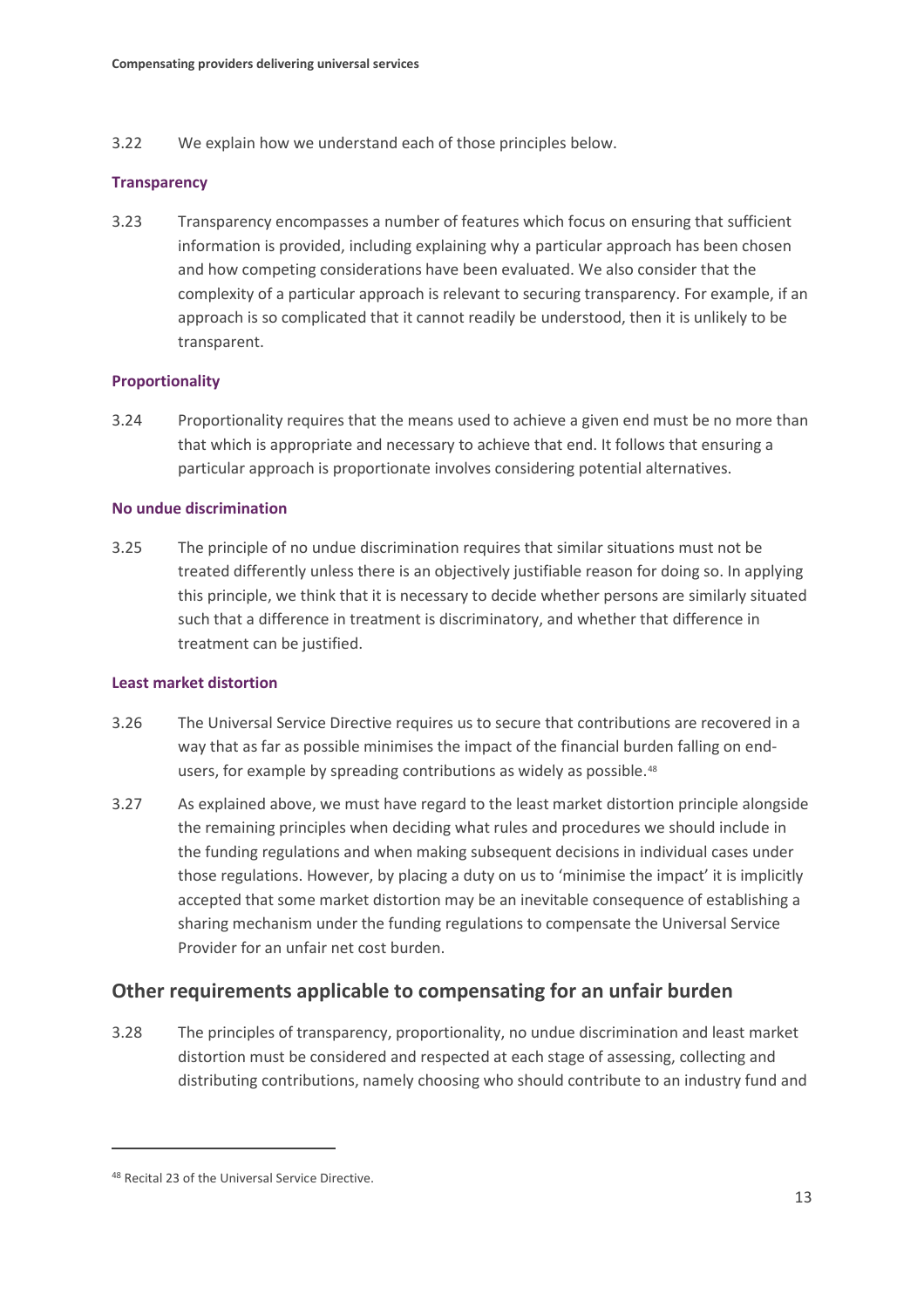3.22 We explain how we understand each of those principles below.

#### **Transparency**

3.23 Transparency encompasses a number of features which focus on ensuring that sufficient information is provided, including explaining why a particular approach has been chosen and how competing considerations have been evaluated. We also consider that the complexity of a particular approach is relevant to securing transparency. For example, if an approach is so complicated that it cannot readily be understood, then it is unlikely to be transparent.

#### **Proportionality**

3.24 Proportionality requires that the means used to achieve a given end must be no more than that which is appropriate and necessary to achieve that end. It follows that ensuring a particular approach is proportionate involves considering potential alternatives.

#### **No undue discrimination**

3.25 The principle of no undue discrimination requires that similar situations must not be treated differently unless there is an objectively justifiable reason for doing so. In applying this principle, we think that it is necessary to decide whether persons are similarly situated such that a difference in treatment is discriminatory, and whether that difference in treatment can be justified.

#### **Least market distortion**

- 3.26 The Universal Service Directive requires us to secure that contributions are recovered in a way that as far as possible minimises the impact of the financial burden falling on end-users, for example by spreading contributions as widely as possible.<sup>[48](#page-14-0)</sup>
- 3.27 As explained above, we must have regard to the least market distortion principle alongside the remaining principles when deciding what rules and procedures we should include in the funding regulations and when making subsequent decisions in individual cases under those regulations. However, by placing a duty on us to 'minimise the impact' it is implicitly accepted that some market distortion may be an inevitable consequence of establishing a sharing mechanism under the funding regulations to compensate the Universal Service Provider for an unfair net cost burden.

### **Other requirements applicable to compensating for an unfair burden**

3.28 The principles of transparency, proportionality, no undue discrimination and least market distortion must be considered and respected at each stage of assessing, collecting and distributing contributions, namely choosing who should contribute to an industry fund and

<span id="page-14-0"></span><sup>48</sup> Recital 23 of the Universal Service Directive.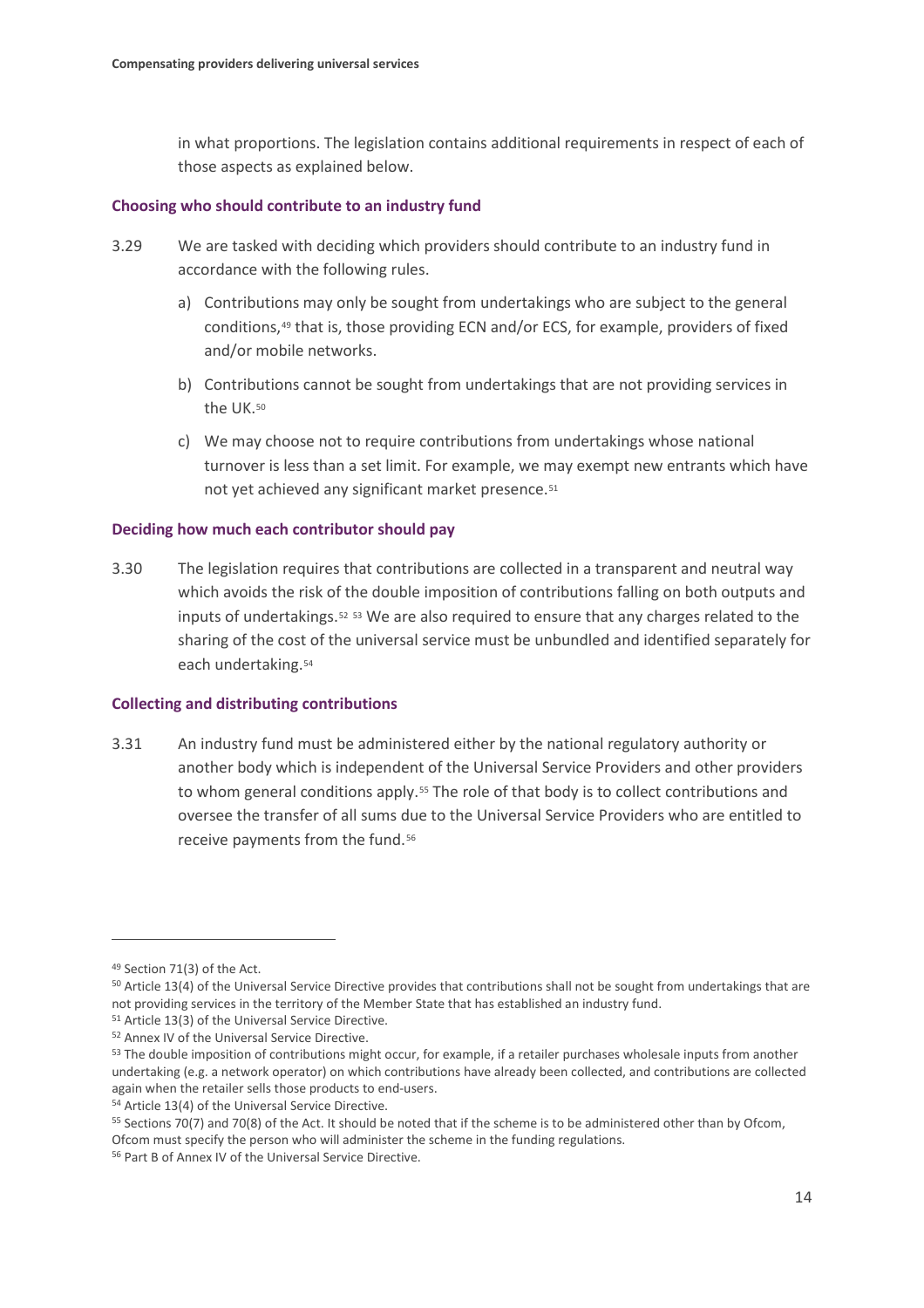in what proportions. The legislation contains additional requirements in respect of each of those aspects as explained below.

#### **Choosing who should contribute to an industry fund**

- 3.29 We are tasked with deciding which providers should contribute to an industry fund in accordance with the following rules.
	- a) Contributions may only be sought from undertakings who are subject to the general conditions,[49](#page-15-0) that is, those providing ECN and/or ECS, for example, providers of fixed and/or mobile networks.
	- b) Contributions cannot be sought from undertakings that are not providing services in the UK.[50](#page-15-1)
	- c) We may choose not to require contributions from undertakings whose national turnover is less than a set limit. For example, we may exempt new entrants which have not yet achieved any significant market presence[.51](#page-15-2)

#### **Deciding how much each contributor should pay**

3.30 The legislation requires that contributions are collected in a transparent and neutral way which avoids the risk of the double imposition of contributions falling on both outputs and inputs of undertakings.[52](#page-15-3) [53](#page-15-4) We are also required to ensure that any charges related to the sharing of the cost of the universal service must be unbundled and identified separately for each undertaking.[54](#page-15-5)

#### **Collecting and distributing contributions**

3.31 An industry fund must be administered either by the national regulatory authority or another body which is independent of the Universal Service Providers and other providers to whom general conditions apply.[55](#page-15-6) The role of that body is to collect contributions and oversee the transfer of all sums due to the Universal Service Providers who are entitled to receive payments from the fund.<sup>[56](#page-15-7)</sup>

<span id="page-15-0"></span><sup>49</sup> Section 71(3) of the Act.

<span id="page-15-1"></span><sup>&</sup>lt;sup>50</sup> Article 13(4) of the Universal Service Directive provides that contributions shall not be sought from undertakings that are not providing services in the territory of the Member State that has established an industry fund.

<span id="page-15-2"></span><sup>51</sup> Article 13(3) of the Universal Service Directive.

<span id="page-15-3"></span><sup>52</sup> Annex IV of the Universal Service Directive.

<span id="page-15-4"></span><sup>53</sup> The double imposition of contributions might occur, for example, if a retailer purchases wholesale inputs from another undertaking (e.g. a network operator) on which contributions have already been collected, and contributions are collected again when the retailer sells those products to end-users.

<span id="page-15-5"></span><sup>54</sup> Article 13(4) of the Universal Service Directive.

<span id="page-15-6"></span><sup>55</sup> Sections 70(7) and 70(8) of the Act. It should be noted that if the scheme is to be administered other than by Ofcom, Ofcom must specify the person who will administer the scheme in the funding regulations.

<span id="page-15-7"></span><sup>56</sup> Part B of Annex IV of the Universal Service Directive.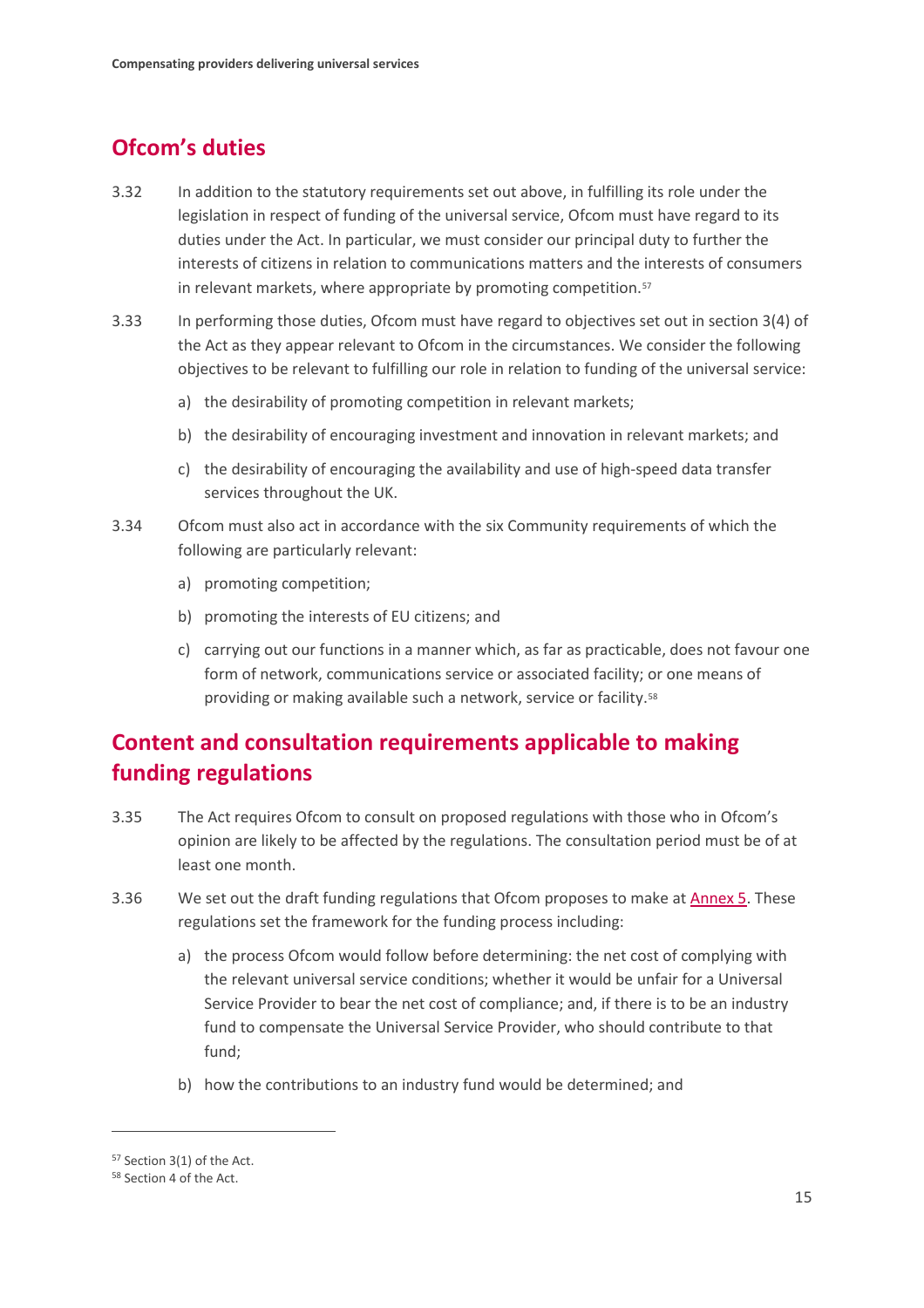# **Ofcom's duties**

- 3.32 In addition to the statutory requirements set out above, in fulfilling its role under the legislation in respect of funding of the universal service, Ofcom must have regard to its duties under the Act. In particular, we must consider our principal duty to further the interests of citizens in relation to communications matters and the interests of consumers in relevant markets, where appropriate by promoting competition.<sup>[57](#page-16-0)</sup>
- 3.33 In performing those duties, Ofcom must have regard to objectives set out in section 3(4) of the Act as they appear relevant to Ofcom in the circumstances. We consider the following objectives to be relevant to fulfilling our role in relation to funding of the universal service:
	- a) the desirability of promoting competition in relevant markets;
	- b) the desirability of encouraging investment and innovation in relevant markets; and
	- c) the desirability of encouraging the availability and use of high-speed data transfer services throughout the UK.
- 3.34 Ofcom must also act in accordance with the six Community requirements of which the following are particularly relevant:
	- a) promoting competition;
	- b) promoting the interests of EU citizens; and
	- c) carrying out our functions in a manner which, as far as practicable, does not favour one form of network, communications service or associated facility; or one means of providing or making available such a network, service or facility.<sup>58</sup>

# **Content and consultation requirements applicable to making funding regulations**

- 3.35 The Act requires Ofcom to consult on proposed regulations with those who in Ofcom's opinion are likely to be affected by the regulations. The consultation period must be of at least one month.
- 3.36 We set out the draft funding regulations that Ofcom proposes to make at [Annex 5.](https://www.ofcom.org.uk/__data/assets/pdf_file/0029/176456/annex-5-draft-funding-regulations.pdf) These regulations set the framework for the funding process including:
	- a) the process Ofcom would follow before determining: the net cost of complying with the relevant universal service conditions; whether it would be unfair for a Universal Service Provider to bear the net cost of compliance; and, if there is to be an industry fund to compensate the Universal Service Provider, who should contribute to that fund;
	- b) how the contributions to an industry fund would be determined; and

<span id="page-16-0"></span><sup>57</sup> Section 3(1) of the Act.

<span id="page-16-1"></span><sup>58</sup> Section 4 of the Act.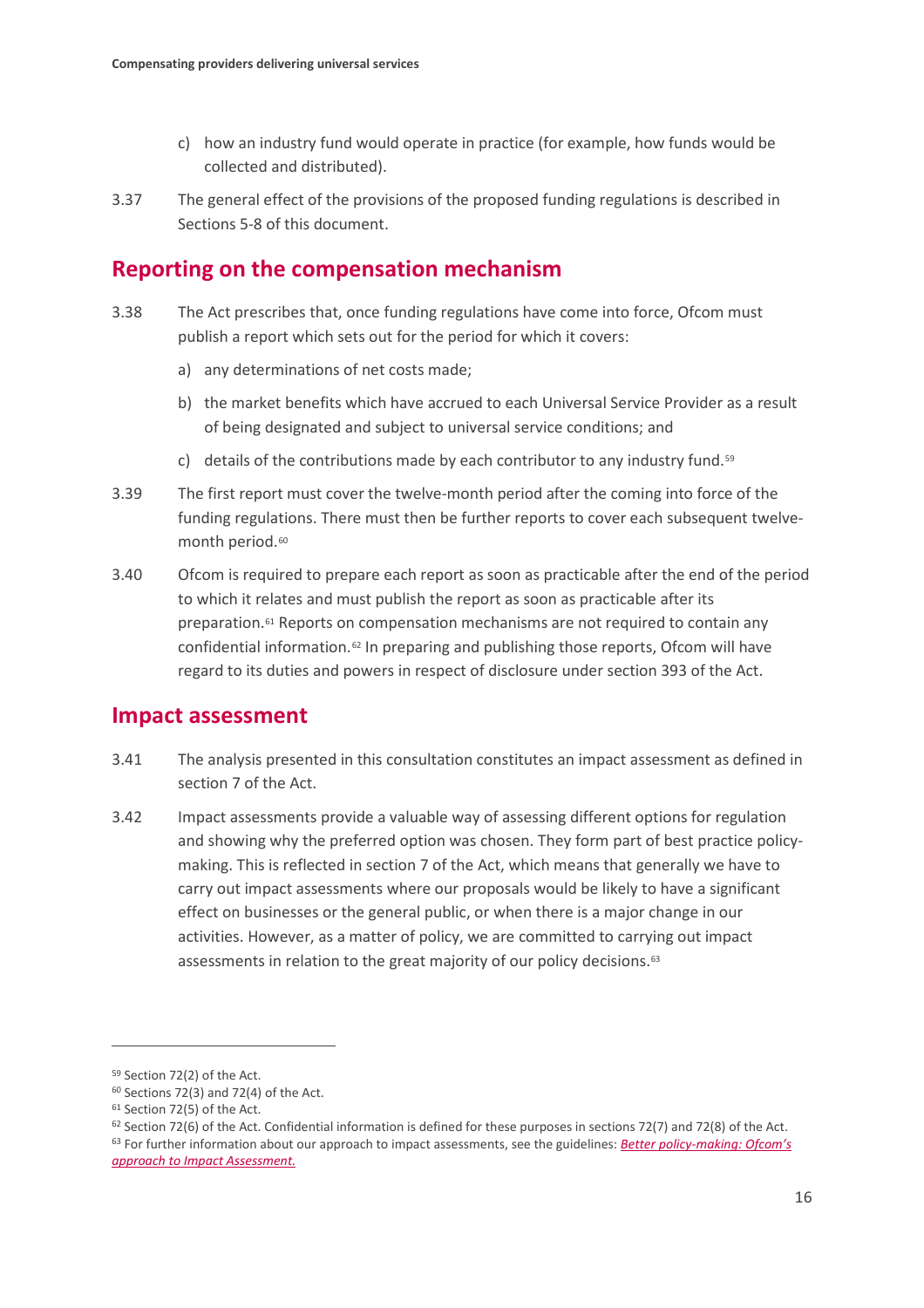- c) how an industry fund would operate in practice (for example, how funds would be collected and distributed).
- 3.37 The general effect of the provisions of the proposed funding regulations is described in Sections 5-8 of this document.

## **Reporting on the compensation mechanism**

- 3.38 The Act prescribes that, once funding regulations have come into force, Ofcom must publish a report which sets out for the period for which it covers:
	- a) any determinations of net costs made;
	- b) the market benefits which have accrued to each Universal Service Provider as a result of being designated and subject to universal service conditions; and
	- c) details of the contributions made by each contributor to any industry fund.<sup>[59](#page-17-0)</sup>
- 3.39 The first report must cover the twelve-month period after the coming into force of the funding regulations. There must then be further reports to cover each subsequent twelve-month period.<sup>[60](#page-17-1)</sup>
- 3.40 Ofcom is required to prepare each report as soon as practicable after the end of the period to which it relates and must publish the report as soon as practicable after its preparation.[61](#page-17-2) Reports on compensation mechanisms are not required to contain any confidential information.[62](#page-17-3) In preparing and publishing those reports, Ofcom will have regard to its duties and powers in respect of disclosure under section 393 of the Act.

## **Impact assessment**

- 3.41 The analysis presented in this consultation constitutes an impact assessment as defined in section 7 of the Act.
- 3.42 Impact assessments provide a valuable way of assessing different options for regulation and showing why the preferred option was chosen. They form part of best practice policymaking. This is reflected in section 7 of the Act, which means that generally we have to carry out impact assessments where our proposals would be likely to have a significant effect on businesses or the general public, or when there is a major change in our activities. However, as a matter of policy, we are committed to carrying out impact assessments in relation to the great majority of our policy decisions.<sup>[63](#page-17-4)</sup>

 $\overline{a}$ 

<span id="page-17-4"></span><span id="page-17-3"></span> $62$  Section 72(6) of the Act. Confidential information is defined for these purposes in sections 72(7) and 72(8) of the Act. <sup>63</sup> For further information about our approach to impact assessments, see the guidelines: *[Better policy-making: Ofcom's](https://www.ofcom.org.uk/consultations-and-statements/better-policy-making-ofcoms-approach-to-impact-assessment)  [approach to Impact Assessment.](https://www.ofcom.org.uk/consultations-and-statements/better-policy-making-ofcoms-approach-to-impact-assessment)*

<span id="page-17-0"></span><sup>59</sup> Section 72(2) of the Act.

<span id="page-17-2"></span><span id="page-17-1"></span> $60$  Sections 72(3) and 72(4) of the Act.<br> $61$  Section 72(5) of the Act.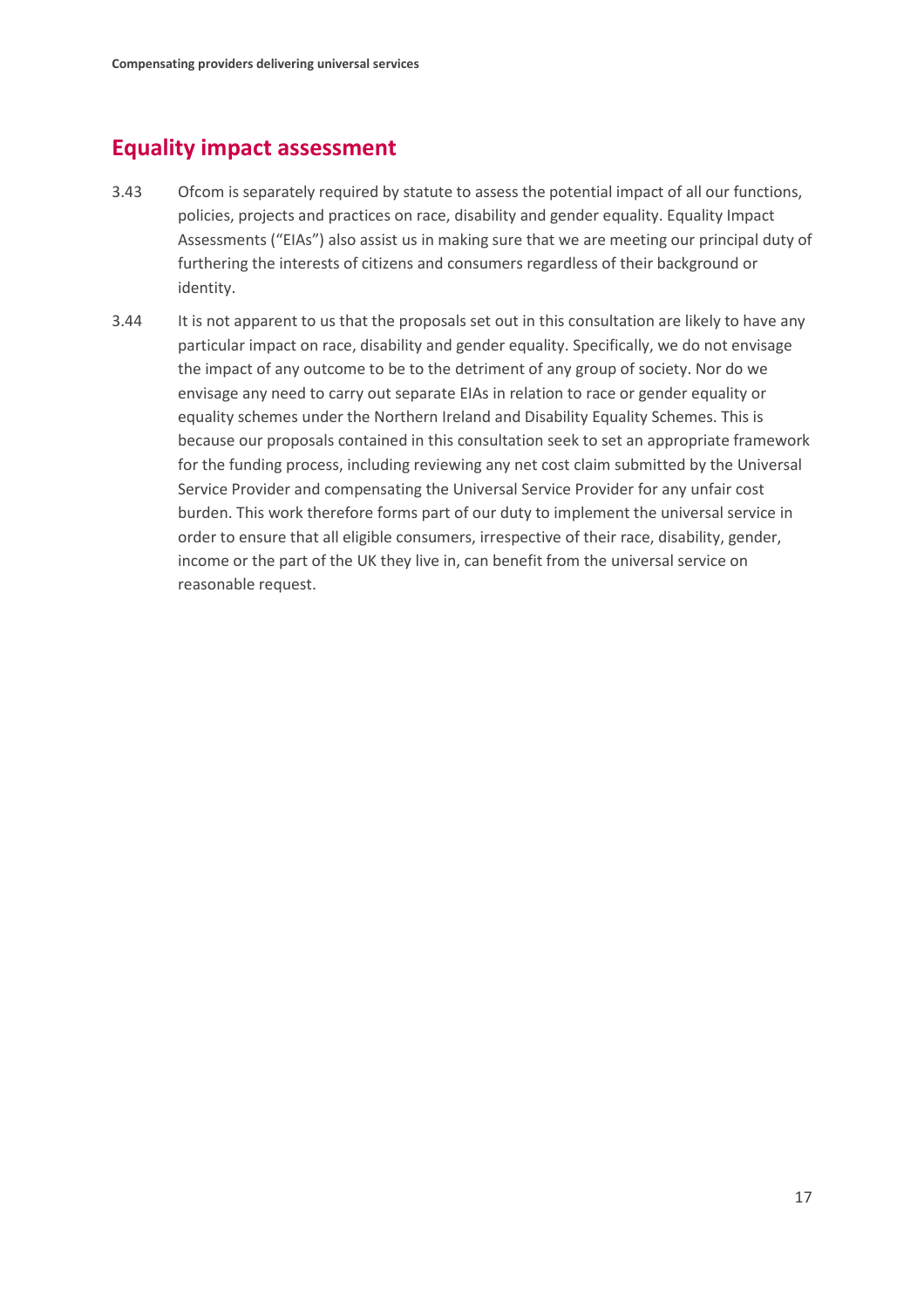## **Equality impact assessment**

- 3.43 Ofcom is separately required by statute to assess the potential impact of all our functions, policies, projects and practices on race, disability and gender equality. Equality Impact Assessments ("EIAs") also assist us in making sure that we are meeting our principal duty of furthering the interests of citizens and consumers regardless of their background or identity.
- 3.44 It is not apparent to us that the proposals set out in this consultation are likely to have any particular impact on race, disability and gender equality. Specifically, we do not envisage the impact of any outcome to be to the detriment of any group of society. Nor do we envisage any need to carry out separate EIAs in relation to race or gender equality or equality schemes under the Northern Ireland and Disability Equality Schemes. This is because our proposals contained in this consultation seek to set an appropriate framework for the funding process, including reviewing any net cost claim submitted by the Universal Service Provider and compensating the Universal Service Provider for any unfair cost burden. This work therefore forms part of our duty to implement the universal service in order to ensure that all eligible consumers, irrespective of their race, disability, gender, income or the part of the UK they live in, can benefit from the universal service on reasonable request.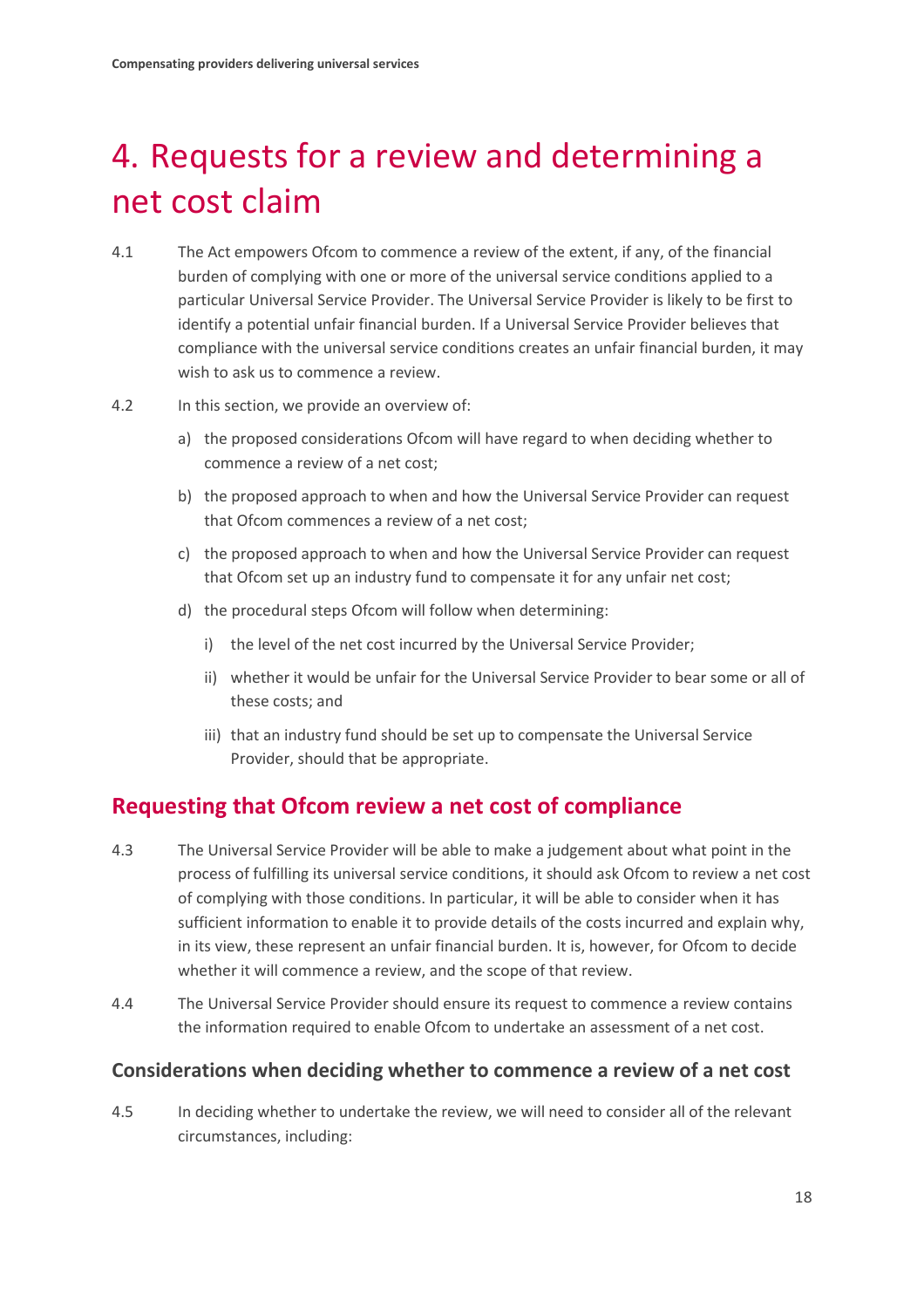# <span id="page-19-0"></span>4. Requests for a review and determining a net cost claim

- 4.1 The Act empowers Ofcom to commence a review of the extent, if any, of the financial burden of complying with one or more of the universal service conditions applied to a particular Universal Service Provider. The Universal Service Provider is likely to be first to identify a potential unfair financial burden. If a Universal Service Provider believes that compliance with the universal service conditions creates an unfair financial burden, it may wish to ask us to commence a review.
- 4.2 In this section, we provide an overview of:
	- a) the proposed considerations Ofcom will have regard to when deciding whether to commence a review of a net cost;
	- b) the proposed approach to when and how the Universal Service Provider can request that Ofcom commences a review of a net cost;
	- c) the proposed approach to when and how the Universal Service Provider can request that Ofcom set up an industry fund to compensate it for any unfair net cost;
	- d) the procedural steps Ofcom will follow when determining:
		- i) the level of the net cost incurred by the Universal Service Provider;
		- ii) whether it would be unfair for the Universal Service Provider to bear some or all of these costs; and
		- iii) that an industry fund should be set up to compensate the Universal Service Provider, should that be appropriate.

## **Requesting that Ofcom review a net cost of compliance**

- 4.3 The Universal Service Provider will be able to make a judgement about what point in the process of fulfilling its universal service conditions, it should ask Ofcom to review a net cost of complying with those conditions. In particular, it will be able to consider when it has sufficient information to enable it to provide details of the costs incurred and explain why, in its view, these represent an unfair financial burden. It is, however, for Ofcom to decide whether it will commence a review, and the scope of that review.
- 4.4 The Universal Service Provider should ensure its request to commence a review contains the information required to enable Ofcom to undertake an assessment of a net cost.

### **Considerations when deciding whether to commence a review of a net cost**

4.5 In deciding whether to undertake the review, we will need to consider all of the relevant circumstances, including: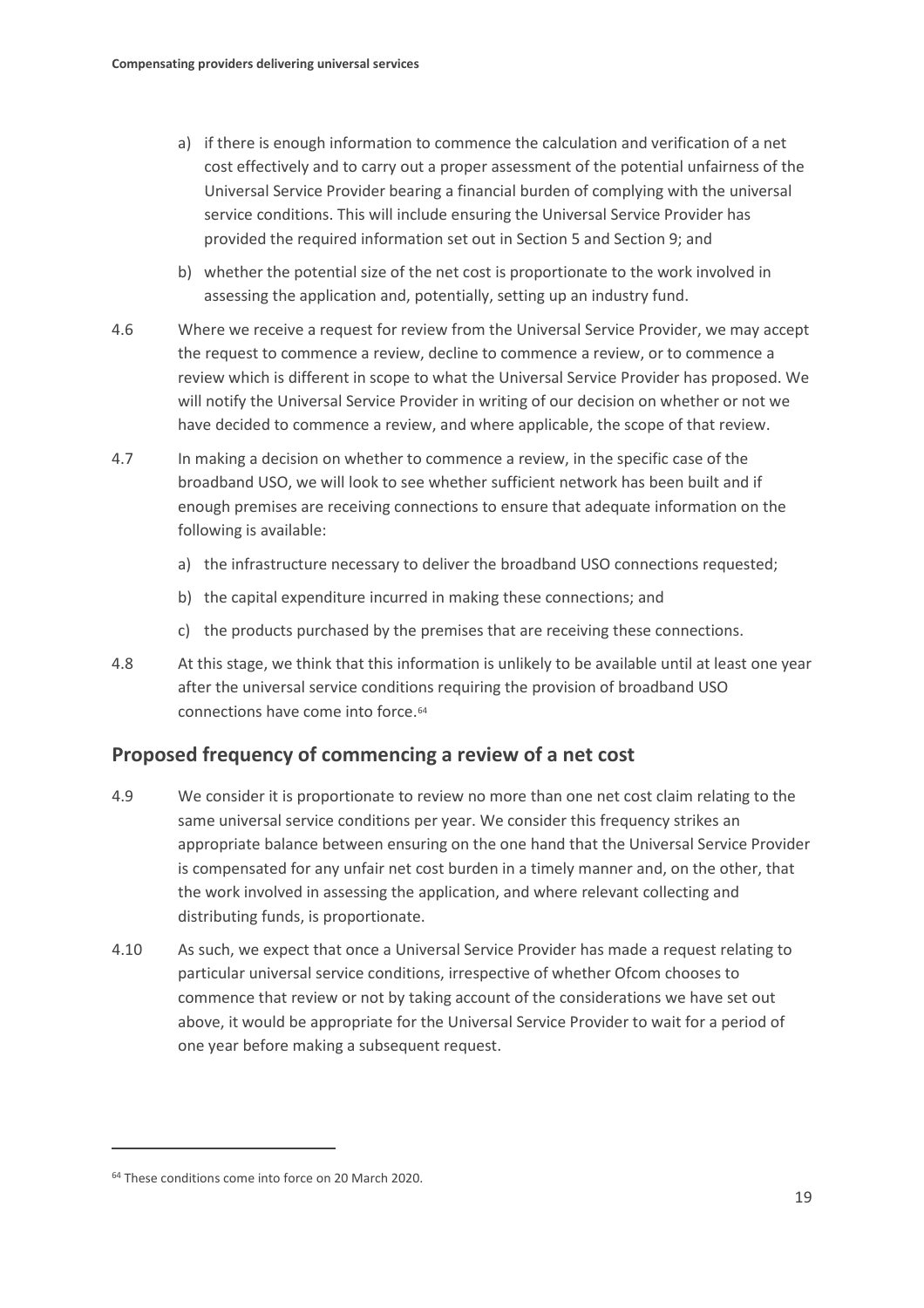- a) if there is enough information to commence the calculation and verification of a net cost effectively and to carry out a proper assessment of the potential unfairness of the Universal Service Provider bearing a financial burden of complying with the universal service conditions. This will include ensuring the Universal Service Provider has provided the required information set out in Section 5 and Section 9; and
- b) whether the potential size of the net cost is proportionate to the work involved in assessing the application and, potentially, setting up an industry fund.
- 4.6 Where we receive a request for review from the Universal Service Provider, we may accept the request to commence a review, decline to commence a review, or to commence a review which is different in scope to what the Universal Service Provider has proposed. We will notify the Universal Service Provider in writing of our decision on whether or not we have decided to commence a review, and where applicable, the scope of that review.
- 4.7 In making a decision on whether to commence a review, in the specific case of the broadband USO, we will look to see whether sufficient network has been built and if enough premises are receiving connections to ensure that adequate information on the following is available:
	- a) the infrastructure necessary to deliver the broadband USO connections requested;
	- b) the capital expenditure incurred in making these connections; and
	- c) the products purchased by the premises that are receiving these connections.
- 4.8 At this stage, we think that this information is unlikely to be available until at least one year after the universal service conditions requiring the provision of broadband USO connections have come into force.[64](#page-20-0)

## **Proposed frequency of commencing a review of a net cost**

- 4.9 We consider it is proportionate to review no more than one net cost claim relating to the same universal service conditions per year. We consider this frequency strikes an appropriate balance between ensuring on the one hand that the Universal Service Provider is compensated for any unfair net cost burden in a timely manner and, on the other, that the work involved in assessing the application, and where relevant collecting and distributing funds, is proportionate.
- 4.10 As such, we expect that once a Universal Service Provider has made a request relating to particular universal service conditions, irrespective of whether Ofcom chooses to commence that review or not by taking account of the considerations we have set out above, it would be appropriate for the Universal Service Provider to wait for a period of one year before making a subsequent request.

<span id="page-20-0"></span><sup>64</sup> These conditions come into force on 20 March 2020.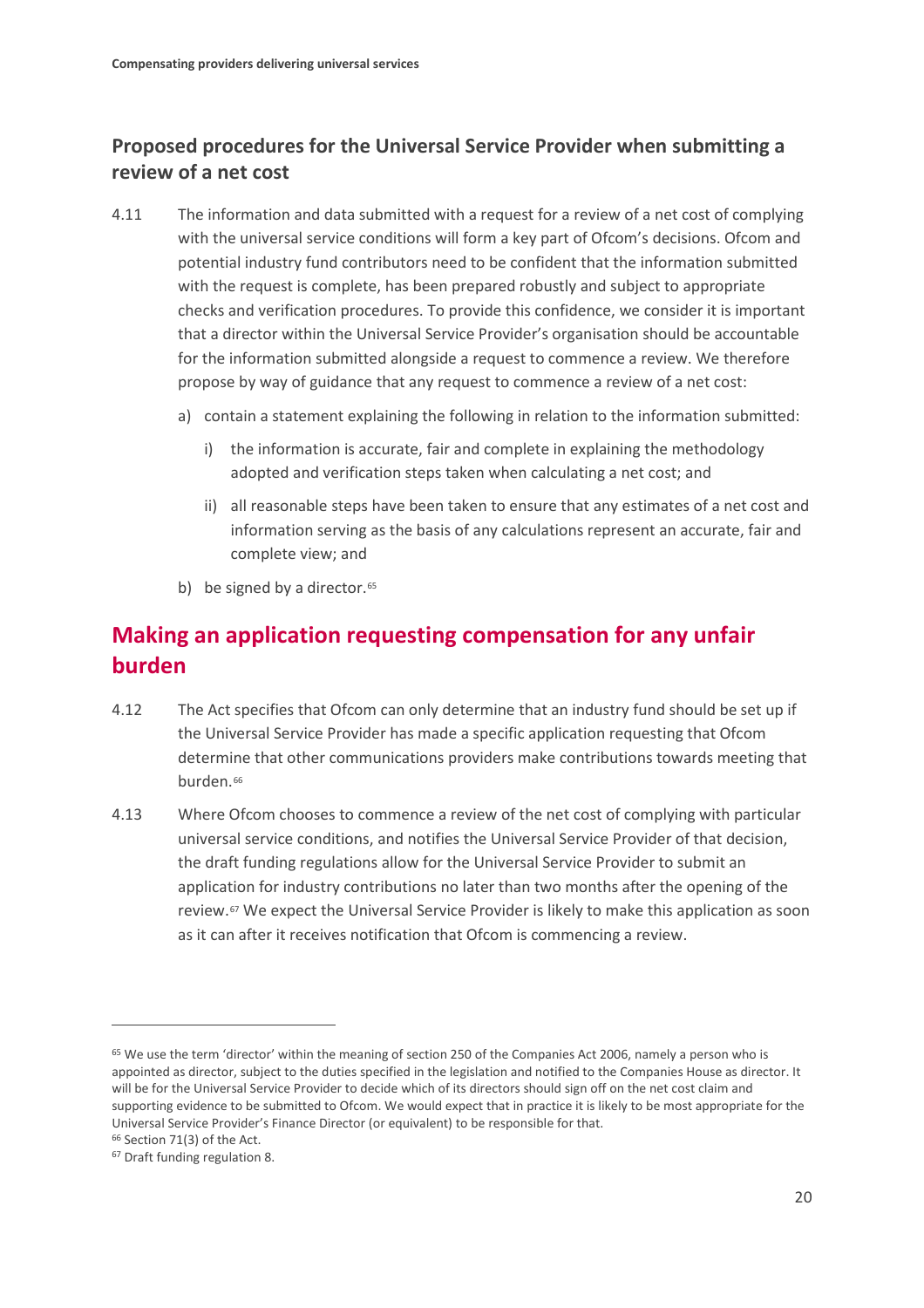## **Proposed procedures for the Universal Service Provider when submitting a review of a net cost**

- 4.11 The information and data submitted with a request for a review of a net cost of complying with the universal service conditions will form a key part of Ofcom's decisions. Ofcom and potential industry fund contributors need to be confident that the information submitted with the request is complete, has been prepared robustly and subject to appropriate checks and verification procedures. To provide this confidence, we consider it is important that a director within the Universal Service Provider's organisation should be accountable for the information submitted alongside a request to commence a review. We therefore propose by way of guidance that any request to commence a review of a net cost:
	- a) contain a statement explaining the following in relation to the information submitted:
		- i) the information is accurate, fair and complete in explaining the methodology adopted and verification steps taken when calculating a net cost; and
		- ii) all reasonable steps have been taken to ensure that any estimates of a net cost and information serving as the basis of any calculations represent an accurate, fair and complete view; and
	- b) be signed by a director. $65$

# **Making an application requesting compensation for any unfair burden**

- 4.12 The Act specifies that Ofcom can only determine that an industry fund should be set up if the Universal Service Provider has made a specific application requesting that Ofcom determine that other communications providers make contributions towards meeting that burden.<sup>[66](#page-21-1)</sup>
- 4.13 Where Ofcom chooses to commence a review of the net cost of complying with particular universal service conditions, and notifies the Universal Service Provider of that decision, the draft funding regulations allow for the Universal Service Provider to submit an application for industry contributions no later than two months after the opening of the review.[67](#page-21-2) We expect the Universal Service Provider is likely to make this application as soon as it can after it receives notification that Ofcom is commencing a review.

<span id="page-21-0"></span><sup>&</sup>lt;sup>65</sup> We use the term 'director' within the meaning of section 250 of the Companies Act 2006, namely a person who is appointed as director, subject to the duties specified in the legislation and notified to the Companies House as director. It will be for the Universal Service Provider to decide which of its directors should sign off on the net cost claim and supporting evidence to be submitted to Ofcom. We would expect that in practice it is likely to be most appropriate for the Universal Service Provider's Finance Director (or equivalent) to be responsible for that.

<span id="page-21-1"></span><sup>66</sup> Section 71(3) of the Act.

<span id="page-21-2"></span><sup>67</sup> Draft funding regulation 8.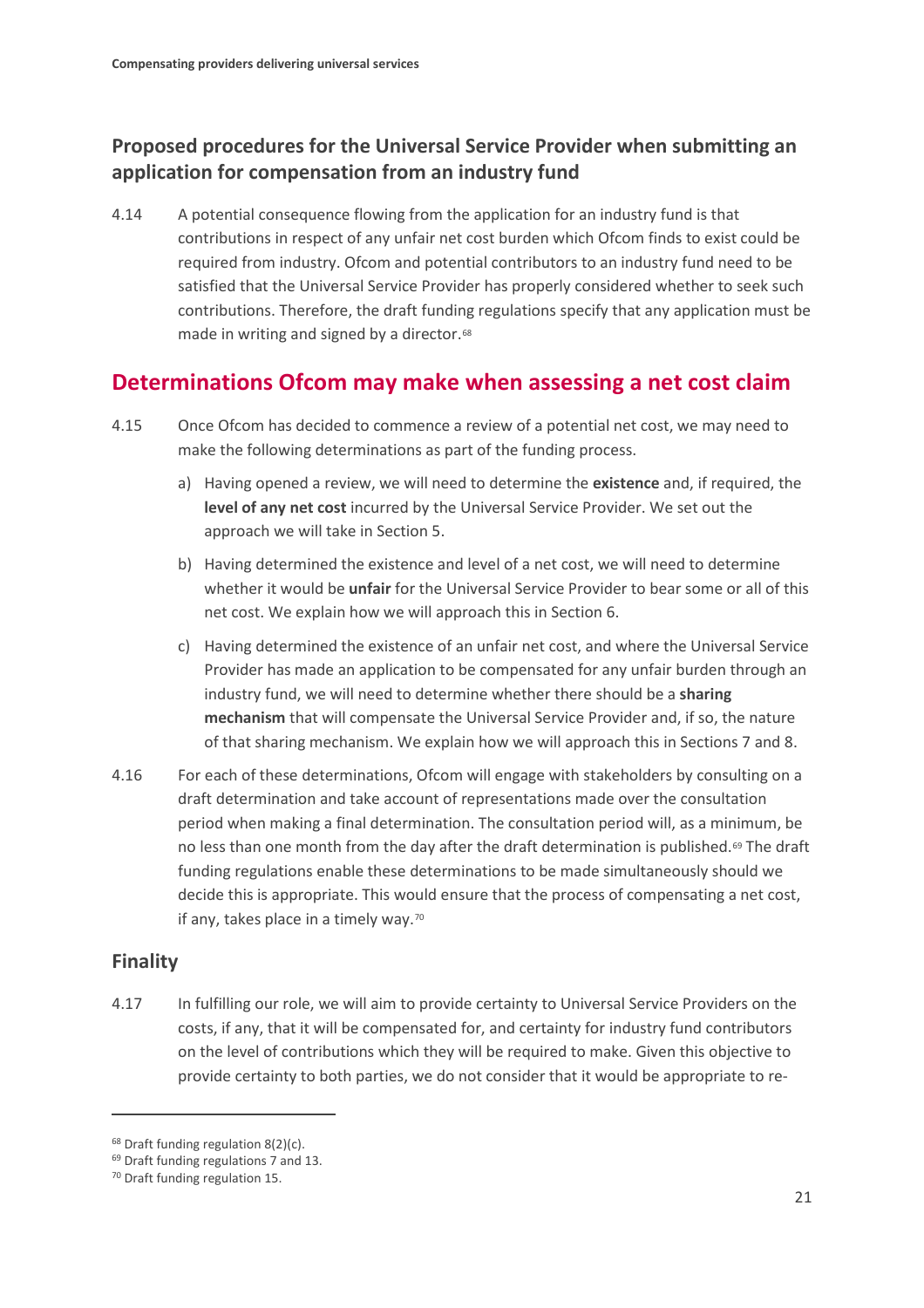## **Proposed procedures for the Universal Service Provider when submitting an application for compensation from an industry fund**

4.14 A potential consequence flowing from the application for an industry fund is that contributions in respect of any unfair net cost burden which Ofcom finds to exist could be required from industry. Ofcom and potential contributors to an industry fund need to be satisfied that the Universal Service Provider has properly considered whether to seek such contributions. Therefore, the draft funding regulations specify that any application must be made in writing and signed by a director.<sup>[68](#page-22-0)</sup>

## **Determinations Ofcom may make when assessing a net cost claim**

- 4.15 Once Ofcom has decided to commence a review of a potential net cost, we may need to make the following determinations as part of the funding process.
	- a) Having opened a review, we will need to determine the **existence** and, if required, the **level of any net cost** incurred by the Universal Service Provider. We set out the approach we will take in Section 5.
	- b) Having determined the existence and level of a net cost, we will need to determine whether it would be **unfair** for the Universal Service Provider to bear some or all of this net cost. We explain how we will approach this in Section 6.
	- c) Having determined the existence of an unfair net cost, and where the Universal Service Provider has made an application to be compensated for any unfair burden through an industry fund, we will need to determine whether there should be a **sharing mechanism** that will compensate the Universal Service Provider and, if so, the nature of that sharing mechanism. We explain how we will approach this in Sections 7 and 8.
- 4.16 For each of these determinations, Ofcom will engage with stakeholders by consulting on a draft determination and take account of representations made over the consultation period when making a final determination. The consultation period will, as a minimum, be no less than one month from the day after the draft determination is published.<sup>[69](#page-22-1)</sup> The draft funding regulations enable these determinations to be made simultaneously should we decide this is appropriate. This would ensure that the process of compensating a net cost, if any, takes place in a timely way.<sup>[70](#page-22-2)</sup>

## **Finality**

 $\overline{a}$ 

4.17 In fulfilling our role, we will aim to provide certainty to Universal Service Providers on the costs, if any, that it will be compensated for, and certainty for industry fund contributors on the level of contributions which they will be required to make. Given this objective to provide certainty to both parties, we do not consider that it would be appropriate to re-

<span id="page-22-0"></span><sup>&</sup>lt;sup>68</sup> Draft funding regulation 8(2)(c).

<span id="page-22-1"></span><sup>69</sup> Draft funding regulations 7 and 13.

<span id="page-22-2"></span><sup>70</sup> Draft funding regulation 15.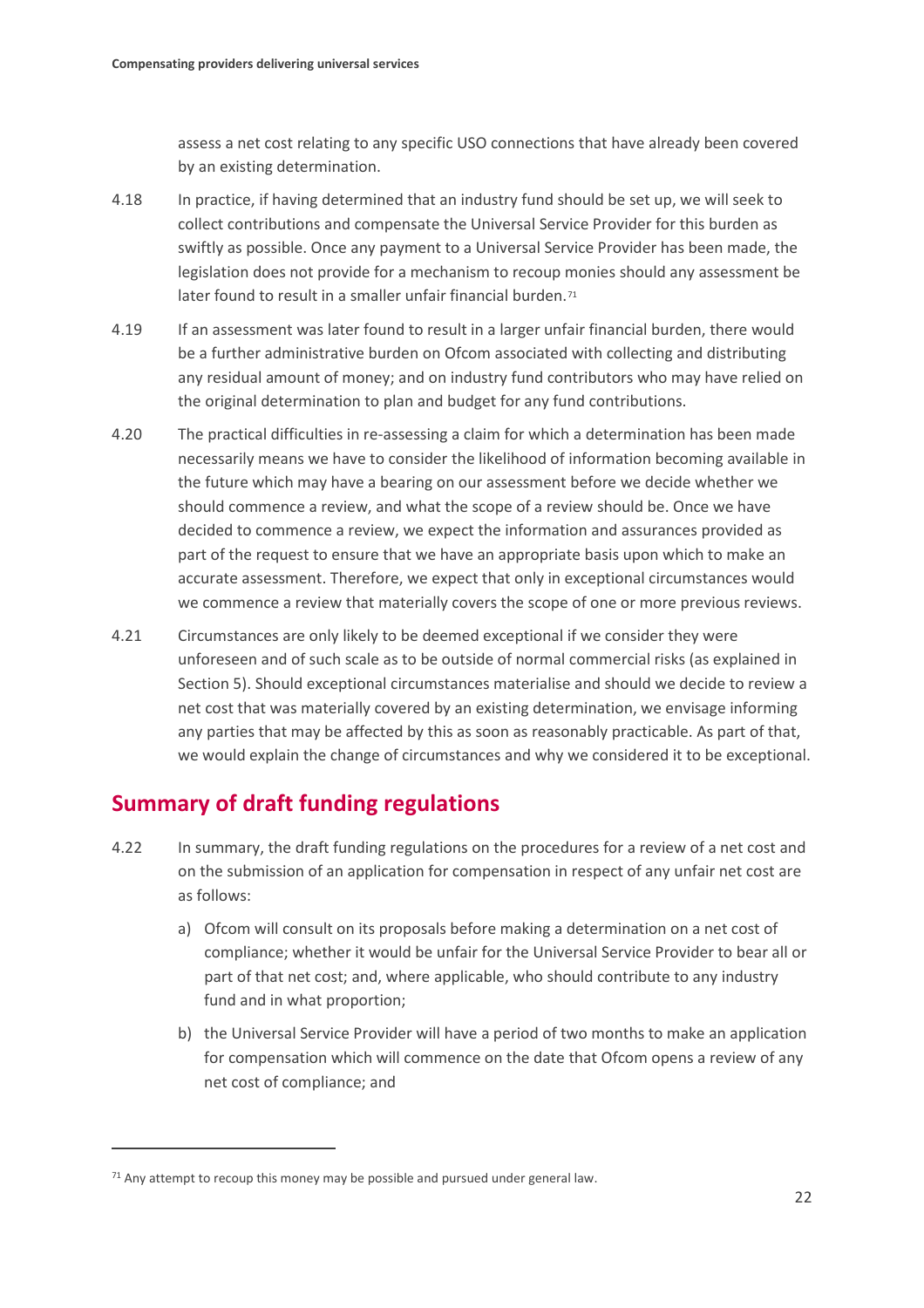assess a net cost relating to any specific USO connections that have already been covered by an existing determination.

- 4.18 In practice, if having determined that an industry fund should be set up, we will seek to collect contributions and compensate the Universal Service Provider for this burden as swiftly as possible. Once any payment to a Universal Service Provider has been made, the legislation does not provide for a mechanism to recoup monies should any assessment be later found to result in a smaller unfair financial burden.<sup>[71](#page-23-0)</sup>
- 4.19 If an assessment was later found to result in a larger unfair financial burden, there would be a further administrative burden on Ofcom associated with collecting and distributing any residual amount of money; and on industry fund contributors who may have relied on the original determination to plan and budget for any fund contributions.
- 4.20 The practical difficulties in re-assessing a claim for which a determination has been made necessarily means we have to consider the likelihood of information becoming available in the future which may have a bearing on our assessment before we decide whether we should commence a review, and what the scope of a review should be. Once we have decided to commence a review, we expect the information and assurances provided as part of the request to ensure that we have an appropriate basis upon which to make an accurate assessment. Therefore, we expect that only in exceptional circumstances would we commence a review that materially covers the scope of one or more previous reviews.
- 4.21 Circumstances are only likely to be deemed exceptional if we consider they were unforeseen and of such scale as to be outside of normal commercial risks (as explained in Section 5). Should exceptional circumstances materialise and should we decide to review a net cost that was materially covered by an existing determination, we envisage informing any parties that may be affected by this as soon as reasonably practicable. As part of that, we would explain the change of circumstances and why we considered it to be exceptional.

## **Summary of draft funding regulations**

- 4.22 In summary, the draft funding regulations on the procedures for a review of a net cost and on the submission of an application for compensation in respect of any unfair net cost are as follows:
	- a) Ofcom will consult on its proposals before making a determination on a net cost of compliance; whether it would be unfair for the Universal Service Provider to bear all or part of that net cost; and, where applicable, who should contribute to any industry fund and in what proportion;
	- b) the Universal Service Provider will have a period of two months to make an application for compensation which will commence on the date that Ofcom opens a review of any net cost of compliance; and

<span id="page-23-0"></span> $71$  Any attempt to recoup this money may be possible and pursued under general law.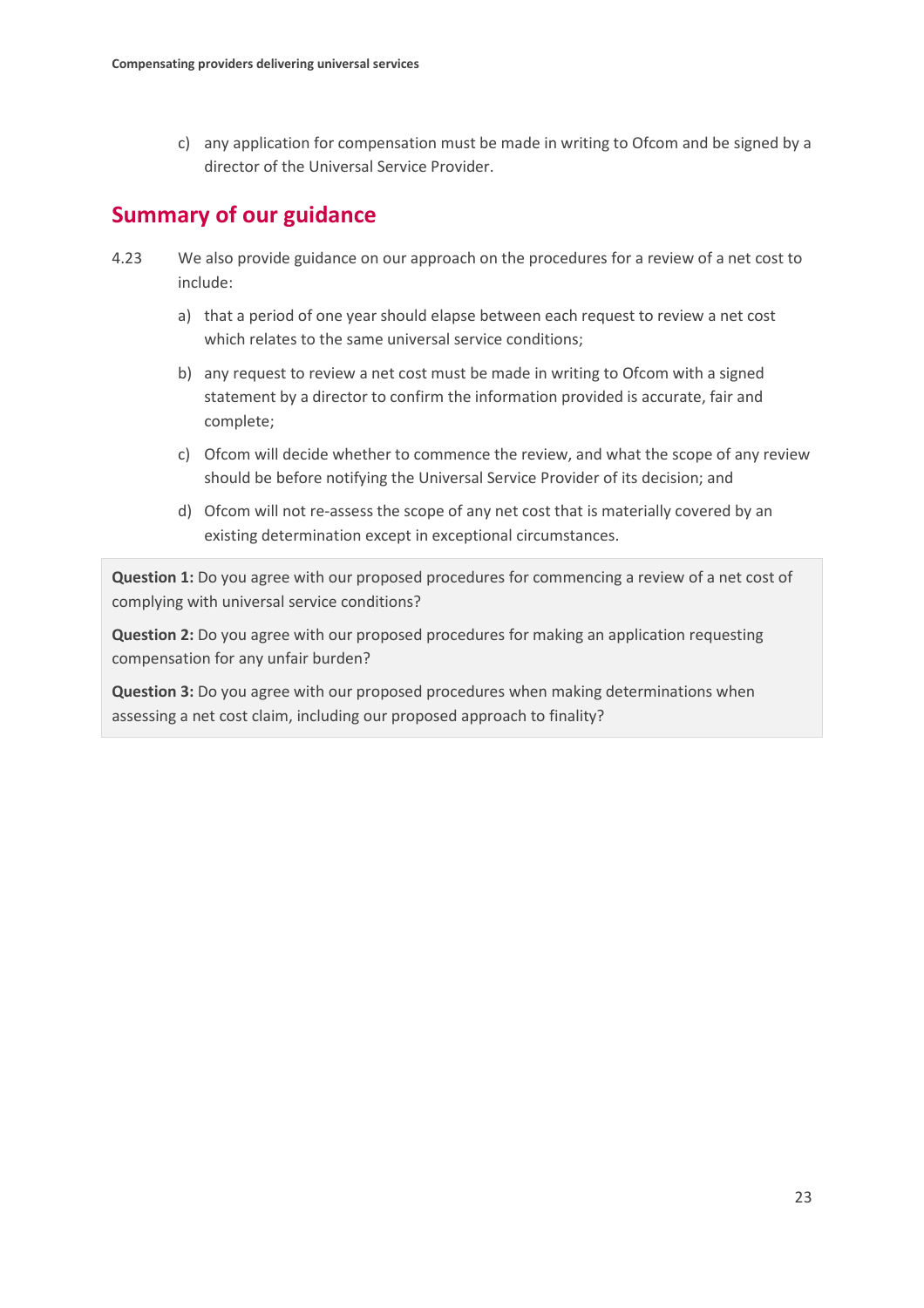c) any application for compensation must be made in writing to Ofcom and be signed by a director of the Universal Service Provider.

# **Summary of our guidance**

- 4.23 We also provide guidance on our approach on the procedures for a review of a net cost to include:
	- a) that a period of one year should elapse between each request to review a net cost which relates to the same universal service conditions;
	- b) any request to review a net cost must be made in writing to Ofcom with a signed statement by a director to confirm the information provided is accurate, fair and complete;
	- c) Ofcom will decide whether to commence the review, and what the scope of any review should be before notifying the Universal Service Provider of its decision; and
	- d) Ofcom will not re-assess the scope of any net cost that is materially covered by an existing determination except in exceptional circumstances.

**Question 1:** Do you agree with our proposed procedures for commencing a review of a net cost of complying with universal service conditions?

**Question 2:** Do you agree with our proposed procedures for making an application requesting compensation for any unfair burden?

**Question 3:** Do you agree with our proposed procedures when making determinations when assessing a net cost claim, including our proposed approach to finality?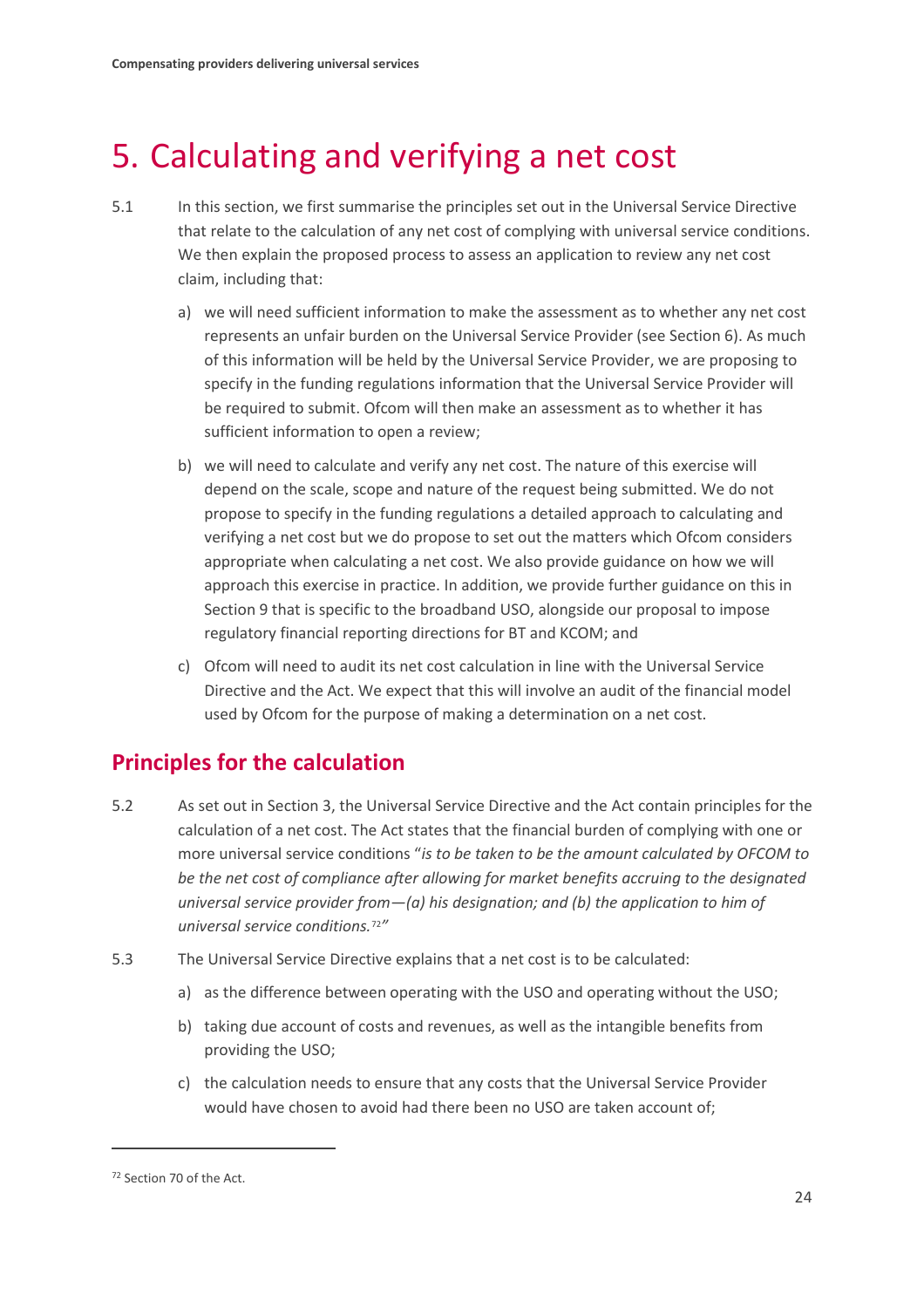# <span id="page-25-0"></span>5. Calculating and verifying a net cost

- 5.1 In this section, we first summarise the principles set out in the Universal Service Directive that relate to the calculation of any net cost of complying with universal service conditions. We then explain the proposed process to assess an application to review any net cost claim, including that:
	- a) we will need sufficient information to make the assessment as to whether any net cost represents an unfair burden on the Universal Service Provider (see Section 6). As much of this information will be held by the Universal Service Provider, we are proposing to specify in the funding regulations information that the Universal Service Provider will be required to submit. Ofcom will then make an assessment as to whether it has sufficient information to open a review;
	- b) we will need to calculate and verify any net cost. The nature of this exercise will depend on the scale, scope and nature of the request being submitted. We do not propose to specify in the funding regulations a detailed approach to calculating and verifying a net cost but we do propose to set out the matters which Ofcom considers appropriate when calculating a net cost. We also provide guidance on how we will approach this exercise in practice. In addition, we provide further guidance on this in Section 9 that is specific to the broadband USO, alongside our proposal to impose regulatory financial reporting directions for BT and KCOM; and
	- c) Ofcom will need to audit its net cost calculation in line with the Universal Service Directive and the Act. We expect that this will involve an audit of the financial model used by Ofcom for the purpose of making a determination on a net cost.

# **Principles for the calculation**

- 5.2 As set out in Section 3, the Universal Service Directive and the Act contain principles for the calculation of a net cost. The Act states that the financial burden of complying with one or more universal service conditions "*is to be taken to be the amount calculated by OFCOM to be the net cost of compliance after allowing for market benefits accruing to the designated universal service provider from—(a) his designation; and (b) the application to him of universal service conditions.*[72](#page-25-1)*"*
- 5.3 The Universal Service Directive explains that a net cost is to be calculated:
	- a) as the difference between operating with the USO and operating without the USO;
	- b) taking due account of costs and revenues, as well as the intangible benefits from providing the USO;
	- c) the calculation needs to ensure that any costs that the Universal Service Provider would have chosen to avoid had there been no USO are taken account of;

<span id="page-25-1"></span><sup>72</sup> Section 70 of the Act.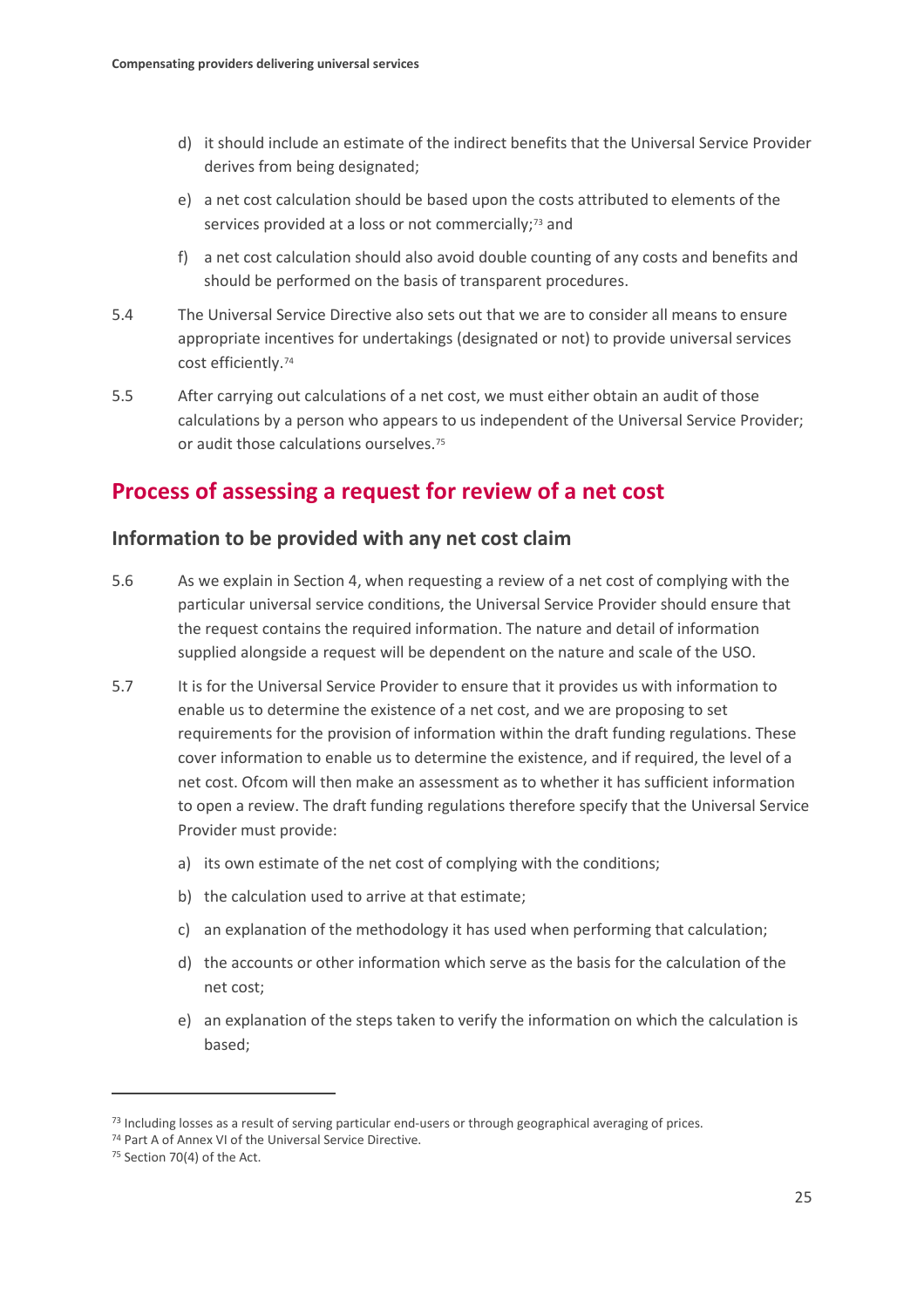- d) it should include an estimate of the indirect benefits that the Universal Service Provider derives from being designated;
- e) a net cost calculation should be based upon the costs attributed to elements of the services provided at a loss or not commercially;<sup>[73](#page-26-0)</sup> and
- f) a net cost calculation should also avoid double counting of any costs and benefits and should be performed on the basis of transparent procedures.
- 5.4 The Universal Service Directive also sets out that we are to consider all means to ensure appropriate incentives for undertakings (designated or not) to provide universal services cost efficiently.[74](#page-26-1)
- 5.5 After carrying out calculations of a net cost, we must either obtain an audit of those calculations by a person who appears to us independent of the Universal Service Provider; or audit those calculations ourselves.[75](#page-26-2)

## **Process of assessing a request for review of a net cost**

### **Information to be provided with any net cost claim**

- 5.6 As we explain in Section 4, when requesting a review of a net cost of complying with the particular universal service conditions, the Universal Service Provider should ensure that the request contains the required information. The nature and detail of information supplied alongside a request will be dependent on the nature and scale of the USO.
- 5.7 It is for the Universal Service Provider to ensure that it provides us with information to enable us to determine the existence of a net cost, and we are proposing to set requirements for the provision of information within the draft funding regulations. These cover information to enable us to determine the existence, and if required, the level of a net cost. Ofcom will then make an assessment as to whether it has sufficient information to open a review. The draft funding regulations therefore specify that the Universal Service Provider must provide:
	- a) its own estimate of the net cost of complying with the conditions;
	- b) the calculation used to arrive at that estimate;
	- c) an explanation of the methodology it has used when performing that calculation;
	- d) the accounts or other information which serve as the basis for the calculation of the net cost;
	- e) an explanation of the steps taken to verify the information on which the calculation is based;

<span id="page-26-0"></span> $^{73}$  Including losses as a result of serving particular end-users or through geographical averaging of prices.  $^{74}$  Part A of Annex VI of the Universal Service Directive.

<span id="page-26-1"></span>

<span id="page-26-2"></span><sup>75</sup> Section 70(4) of the Act.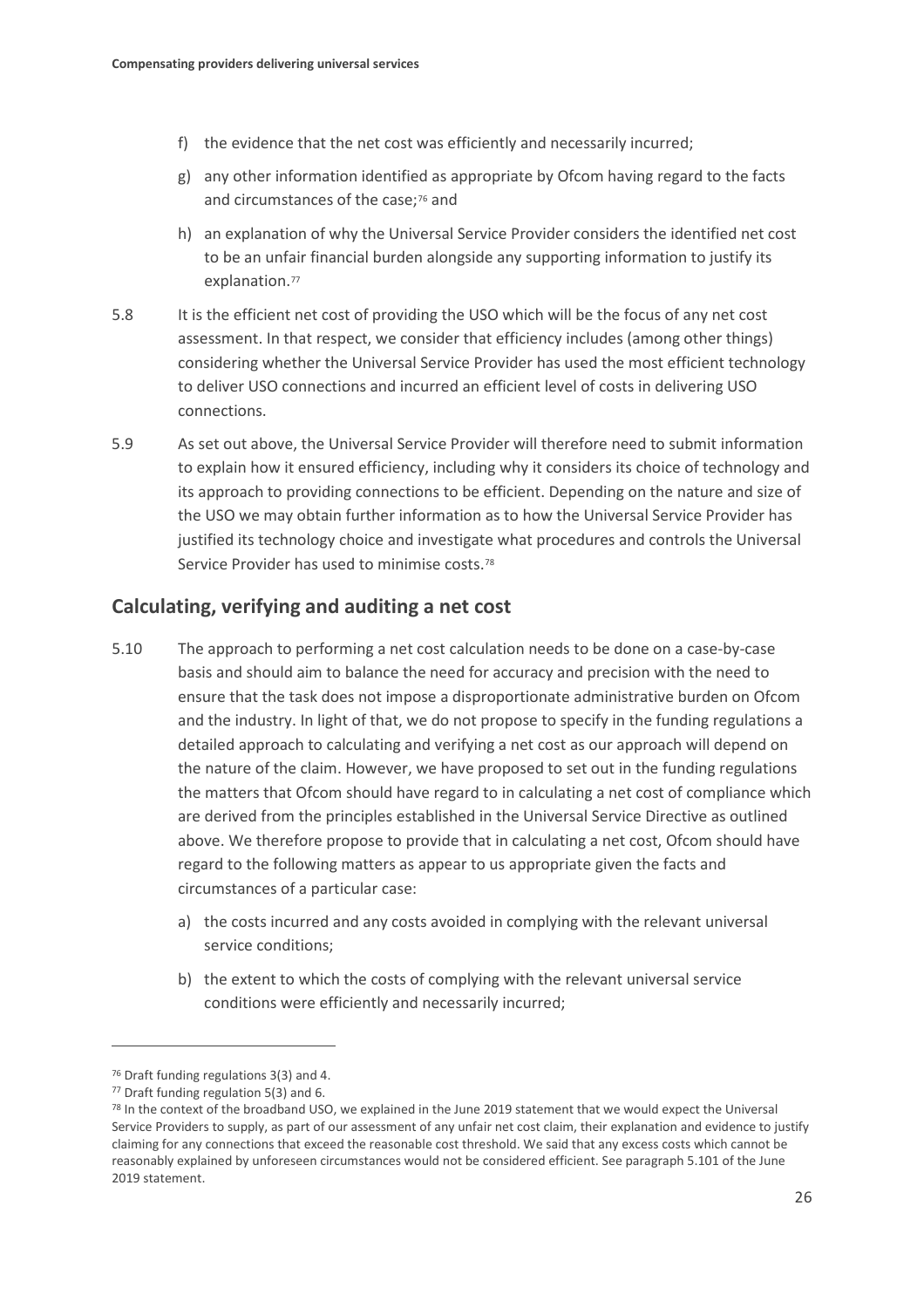- f) the evidence that the net cost was efficiently and necessarily incurred;
- g) any other information identified as appropriate by Ofcom having regard to the facts and circumstances of the case;<sup>[76](#page-27-0)</sup> and
- h) an explanation of why the Universal Service Provider considers the identified net cost to be an unfair financial burden alongside any supporting information to justify its explanation.<sup>77</sup>
- 5.8 It is the efficient net cost of providing the USO which will be the focus of any net cost assessment. In that respect, we consider that efficiency includes (among other things) considering whether the Universal Service Provider has used the most efficient technology to deliver USO connections and incurred an efficient level of costs in delivering USO connections.
- 5.9 As set out above, the Universal Service Provider will therefore need to submit information to explain how it ensured efficiency, including why it considers its choice of technology and its approach to providing connections to be efficient. Depending on the nature and size of the USO we may obtain further information as to how the Universal Service Provider has justified its technology choice and investigate what procedures and controls the Universal Service Provider has used to minimise costs.[78](#page-27-2)

## **Calculating, verifying and auditing a net cost**

- 5.10 The approach to performing a net cost calculation needs to be done on a case-by-case basis and should aim to balance the need for accuracy and precision with the need to ensure that the task does not impose a disproportionate administrative burden on Ofcom and the industry. In light of that, we do not propose to specify in the funding regulations a detailed approach to calculating and verifying a net cost as our approach will depend on the nature of the claim. However, we have proposed to set out in the funding regulations the matters that Ofcom should have regard to in calculating a net cost of compliance which are derived from the principles established in the Universal Service Directive as outlined above. We therefore propose to provide that in calculating a net cost, Ofcom should have regard to the following matters as appear to us appropriate given the facts and circumstances of a particular case:
	- a) the costs incurred and any costs avoided in complying with the relevant universal service conditions;
	- b) the extent to which the costs of complying with the relevant universal service conditions were efficiently and necessarily incurred;

<span id="page-27-0"></span><sup>76</sup> Draft funding regulations 3(3) and 4.

<span id="page-27-1"></span><sup>77</sup> Draft funding regulation 5(3) and 6.

<span id="page-27-2"></span><sup>78</sup> In the context of the broadband USO, we explained in the June 2019 statement that we would expect the Universal Service Providers to supply, as part of our assessment of any unfair net cost claim, their explanation and evidence to justify claiming for any connections that exceed the reasonable cost threshold. We said that any excess costs which cannot be reasonably explained by unforeseen circumstances would not be considered efficient. See paragraph 5.101 of the June 2019 statement.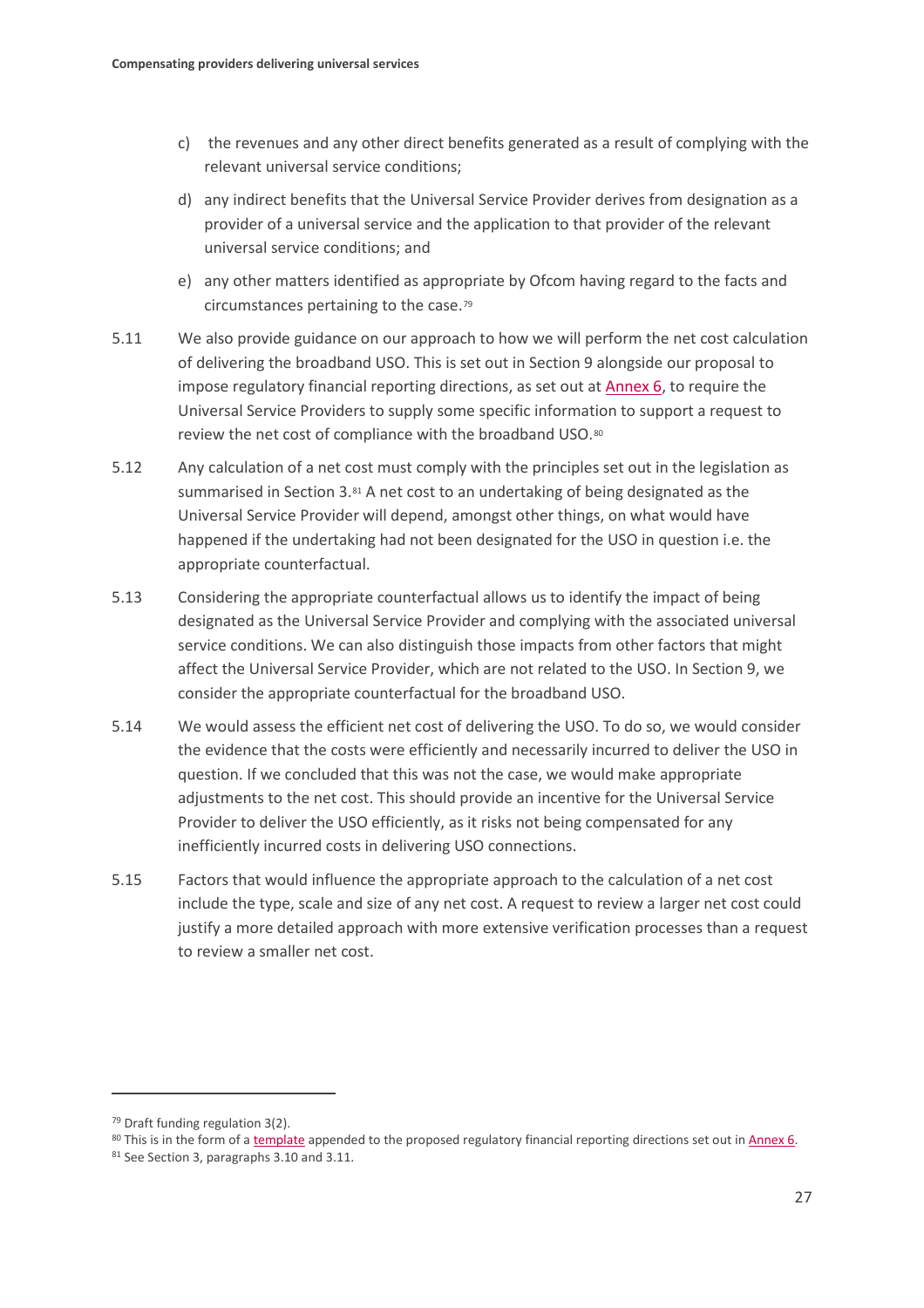- c) the revenues and any other direct benefits generated as a result of complying with the relevant universal service conditions;
- d) any indirect benefits that the Universal Service Provider derives from designation as a provider of a universal service and the application to that provider of the relevant universal service conditions; and
- e) any other matters identified as appropriate by Ofcom having regard to the facts and circumstances pertaining to the case.[79](#page-28-0)
- 5.11 We also provide guidance on our approach to how we will perform the net cost calculation of delivering the broadband USO. This is set out in Section 9 alongside our proposal to impose regulatory financial reporting directions, as set out at [Annex 6,](https://www.ofcom.org.uk/__data/assets/pdf_file/0028/176455/annex-6-draft-reporting-direction.pdf) to require the Universal Service Providers to supply some specific information to support a request to review the net cost of compliance with the broadband USO.[80](#page-28-1)
- 5.12 Any calculation of a net cost must comply with the principles set out in the legislation as summarised in Section 3.[81](#page-28-2) A net cost to an undertaking of being designated as the Universal Service Provider will depend, amongst other things, on what would have happened if the undertaking had not been designated for the USO in question i.e. the appropriate counterfactual.
- 5.13 Considering the appropriate counterfactual allows us to identify the impact of being designated as the Universal Service Provider and complying with the associated universal service conditions. We can also distinguish those impacts from other factors that might affect the Universal Service Provider, which are not related to the USO. In Section 9, we consider the appropriate counterfactual for the broadband USO.
- 5.14 We would assess the efficient net cost of delivering the USO. To do so, we would consider the evidence that the costs were efficiently and necessarily incurred to deliver the USO in question. If we concluded that this was not the case, we would make appropriate adjustments to the net cost. This should provide an incentive for the Universal Service Provider to deliver the USO efficiently, as it risks not being compensated for any inefficiently incurred costs in delivering USO connections.
- 5.15 Factors that would influence the appropriate approach to the calculation of a net cost include the type, scale and size of any net cost. A request to review a larger net cost could justify a more detailed approach with more extensive verification processes than a request to review a smaller net cost.

<span id="page-28-0"></span><sup>79</sup> Draft funding regulation 3(2).

<span id="page-28-2"></span><span id="page-28-1"></span><sup>&</sup>lt;sup>80</sup> This is in the form of [a](https://www.ofcom.org.uk/__data/assets/file/0027/176454/proposed-template-net-cost-claim.xlsb) template appended to the proposed regulatory financial reporting directions set out in  $\frac{\text{Annex }6}{\text{Anex }6}$ .<br><sup>81</sup> See Section 3, paragraphs 3.10 and 3.11.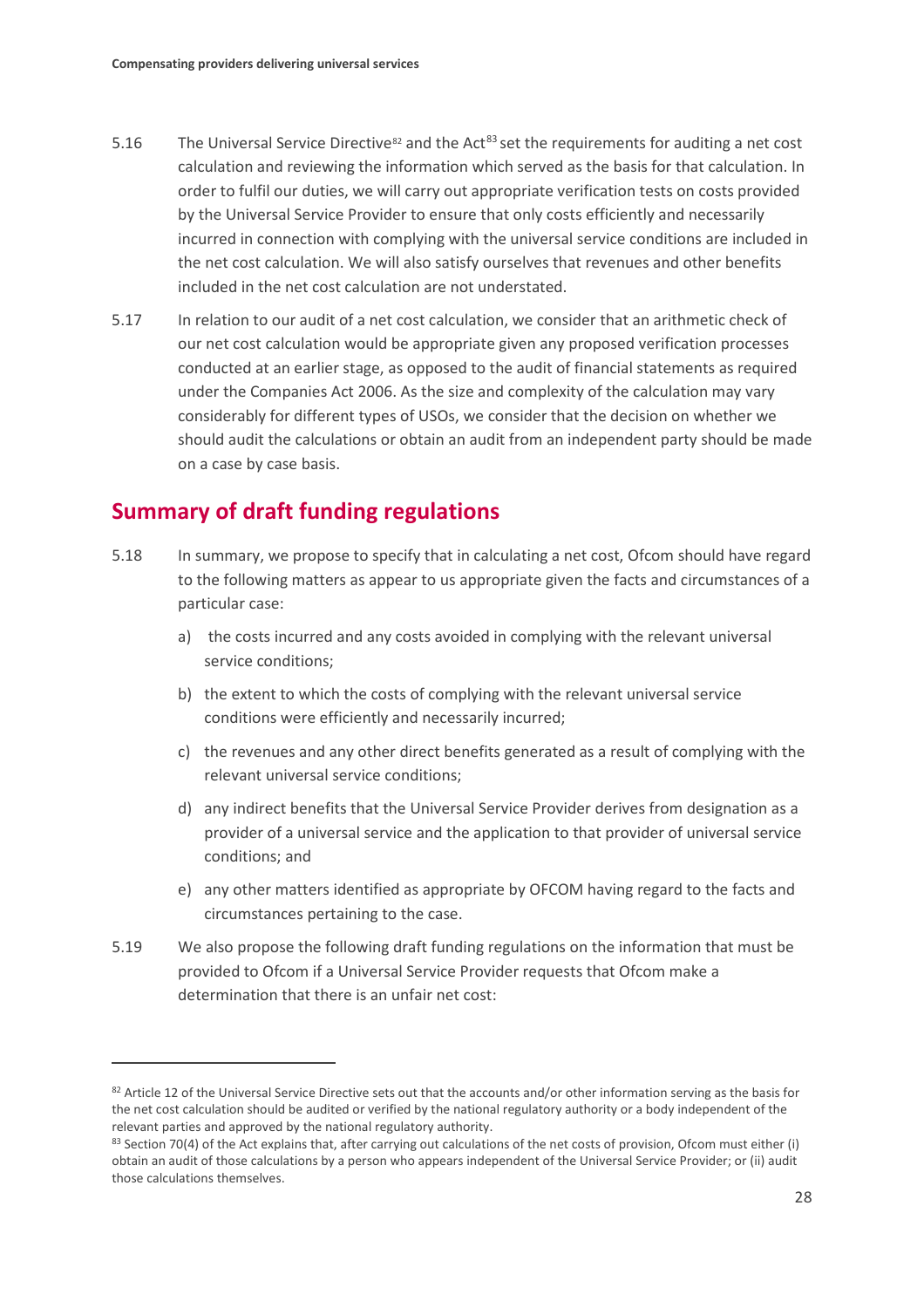- 5.16 The Universal Service Directive<sup>[82](#page-29-0)</sup> and the Act<sup>[83](#page-29-1)</sup> set the requirements for auditing a net cost calculation and reviewing the information which served as the basis for that calculation. In order to fulfil our duties, we will carry out appropriate verification tests on costs provided by the Universal Service Provider to ensure that only costs efficiently and necessarily incurred in connection with complying with the universal service conditions are included in the net cost calculation. We will also satisfy ourselves that revenues and other benefits included in the net cost calculation are not understated.
- 5.17 In relation to our audit of a net cost calculation, we consider that an arithmetic check of our net cost calculation would be appropriate given any proposed verification processes conducted at an earlier stage, as opposed to the audit of financial statements as required under the Companies Act 2006. As the size and complexity of the calculation may vary considerably for different types of USOs, we consider that the decision on whether we should audit the calculations or obtain an audit from an independent party should be made on a case by case basis.

## **Summary of draft funding regulations**

- 5.18 In summary, we propose to specify that in calculating a net cost, Ofcom should have regard to the following matters as appear to us appropriate given the facts and circumstances of a particular case:
	- a) the costs incurred and any costs avoided in complying with the relevant universal service conditions;
	- b) the extent to which the costs of complying with the relevant universal service conditions were efficiently and necessarily incurred;
	- c) the revenues and any other direct benefits generated as a result of complying with the relevant universal service conditions;
	- d) any indirect benefits that the Universal Service Provider derives from designation as a provider of a universal service and the application to that provider of universal service conditions; and
	- e) any other matters identified as appropriate by OFCOM having regard to the facts and circumstances pertaining to the case.
- 5.19 We also propose the following draft funding regulations on the information that must be provided to Ofcom if a Universal Service Provider requests that Ofcom make a determination that there is an unfair net cost:

<span id="page-29-0"></span><sup>82</sup> Article 12 of the Universal Service Directive sets out that the accounts and/or other information serving as the basis for the net cost calculation should be audited or verified by the national regulatory authority or a body independent of the relevant parties and approved by the national regulatory authority.

<span id="page-29-1"></span><sup>83</sup> Section 70(4) of the Act explains that, after carrying out calculations of the net costs of provision, Ofcom must either (i) obtain an audit of those calculations by a person who appears independent of the Universal Service Provider; or (ii) audit those calculations themselves.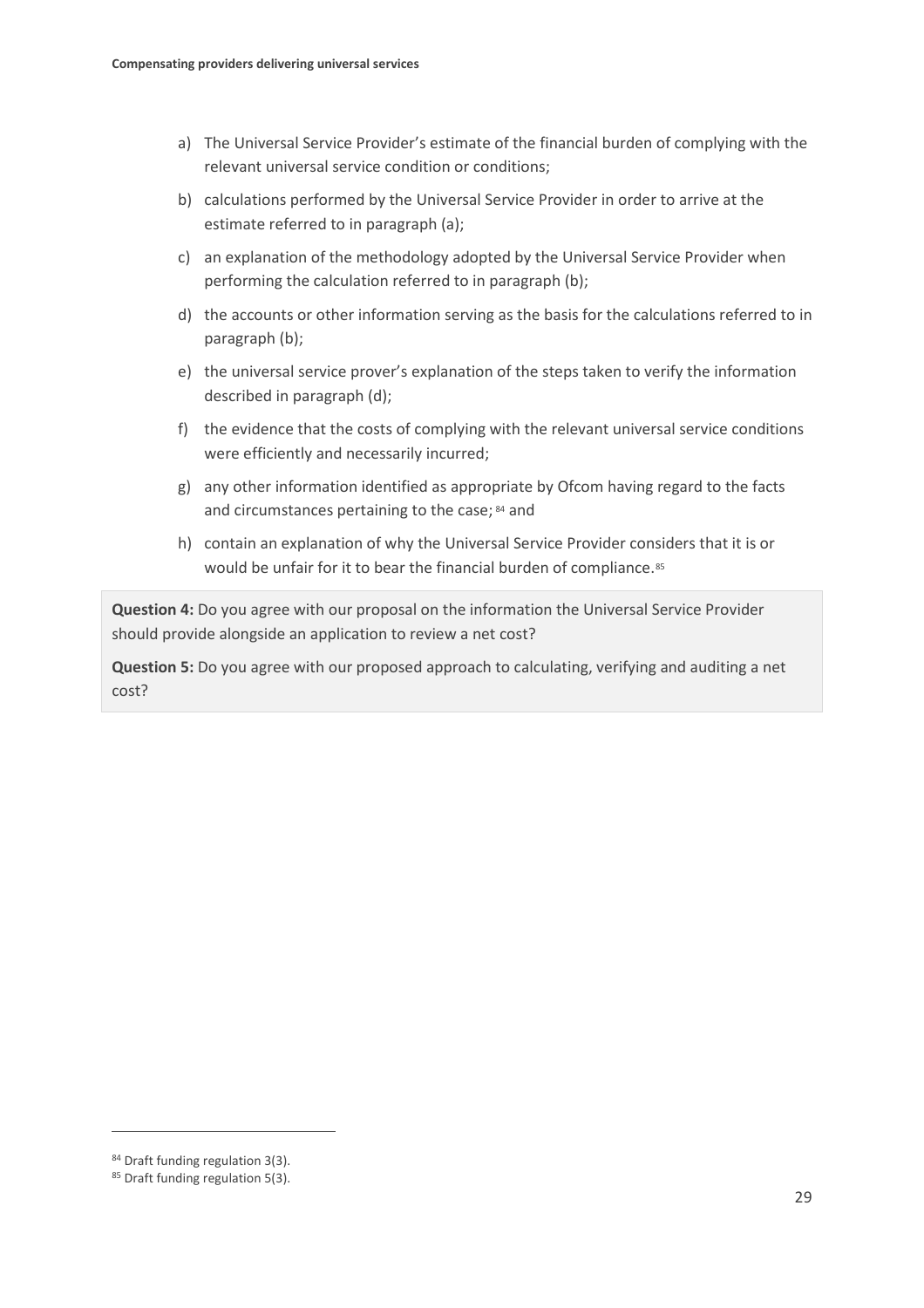- a) The Universal Service Provider's estimate of the financial burden of complying with the relevant universal service condition or conditions;
- b) calculations performed by the Universal Service Provider in order to arrive at the estimate referred to in paragraph (a);
- c) an explanation of the methodology adopted by the Universal Service Provider when performing the calculation referred to in paragraph (b);
- d) the accounts or other information serving as the basis for the calculations referred to in paragraph (b);
- e) the universal service prover's explanation of the steps taken to verify the information described in paragraph (d);
- f) the evidence that the costs of complying with the relevant universal service conditions were efficiently and necessarily incurred;
- g) any other information identified as appropriate by Ofcom having regard to the facts and circumstances pertaining to the case; [84](#page-30-0) and
- h) contain an explanation of why the Universal Service Provider considers that it is or would be unfair for it to bear the financial burden of compliance.<sup>[85](#page-30-1)</sup>

**Question 4:** Do you agree with our proposal on the information the Universal Service Provider should provide alongside an application to review a net cost?

**Question 5:** Do you agree with our proposed approach to calculating, verifying and auditing a net cost?

<span id="page-30-0"></span><sup>84</sup> Draft funding regulation 3(3).

<span id="page-30-1"></span><sup>85</sup> Draft funding regulation 5(3).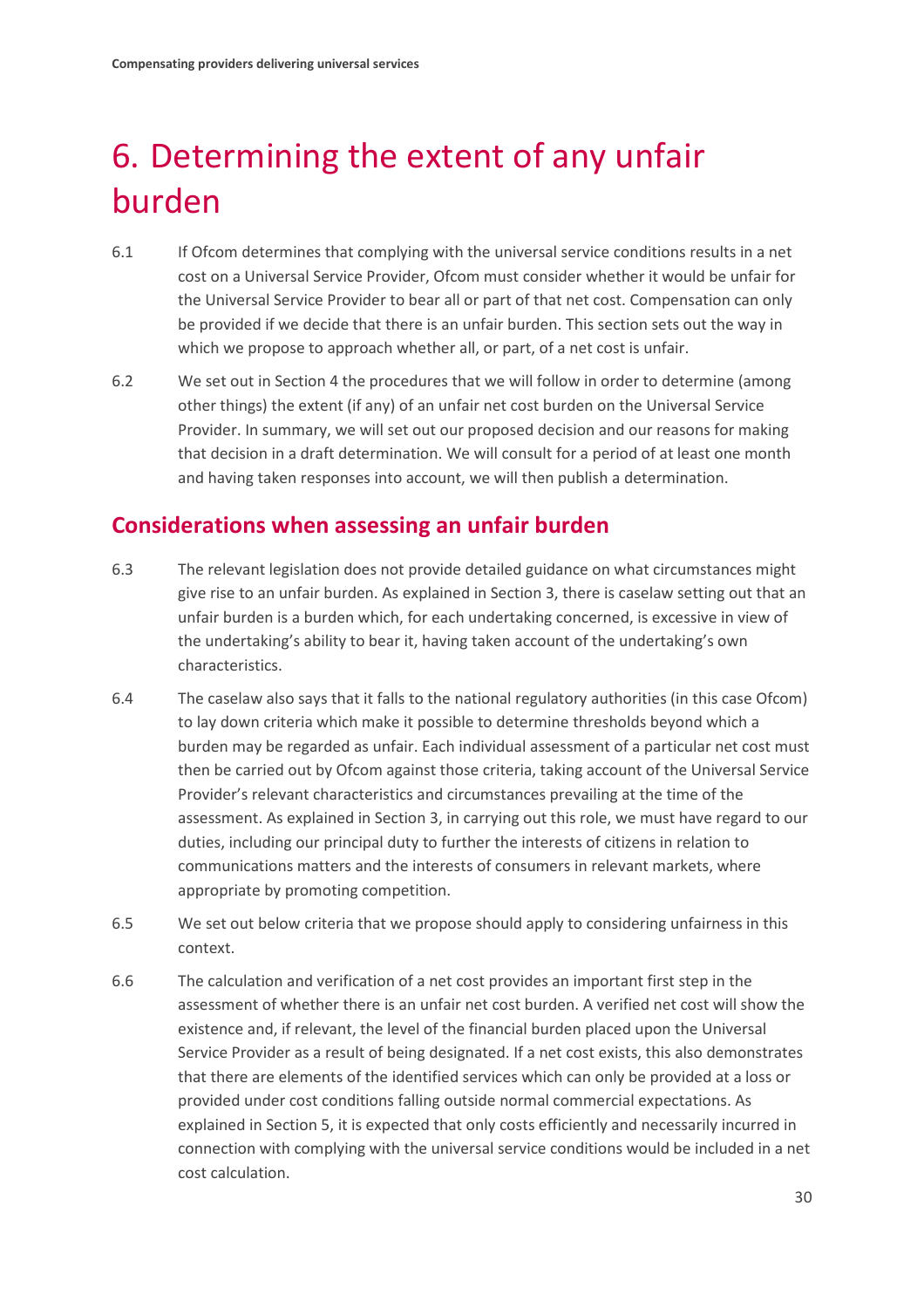# <span id="page-31-0"></span>6. Determining the extent of any unfair burden

- 6.1 If Ofcom determines that complying with the universal service conditions results in a net cost on a Universal Service Provider, Ofcom must consider whether it would be unfair for the Universal Service Provider to bear all or part of that net cost. Compensation can only be provided if we decide that there is an unfair burden. This section sets out the way in which we propose to approach whether all, or part, of a net cost is unfair.
- 6.2 We set out in Section 4 the procedures that we will follow in order to determine (among other things) the extent (if any) of an unfair net cost burden on the Universal Service Provider. In summary, we will set out our proposed decision and our reasons for making that decision in a draft determination. We will consult for a period of at least one month and having taken responses into account, we will then publish a determination.

## **Considerations when assessing an unfair burden**

- 6.3 The relevant legislation does not provide detailed guidance on what circumstances might give rise to an unfair burden. As explained in Section 3, there is caselaw setting out that an unfair burden is a burden which, for each undertaking concerned, is excessive in view of the undertaking's ability to bear it, having taken account of the undertaking's own characteristics.
- 6.4 The caselaw also says that it falls to the national regulatory authorities (in this case Ofcom) to lay down criteria which make it possible to determine thresholds beyond which a burden may be regarded as unfair. Each individual assessment of a particular net cost must then be carried out by Ofcom against those criteria, taking account of the Universal Service Provider's relevant characteristics and circumstances prevailing at the time of the assessment. As explained in Section 3, in carrying out this role, we must have regard to our duties, including our principal duty to further the interests of citizens in relation to communications matters and the interests of consumers in relevant markets, where appropriate by promoting competition.
- 6.5 We set out below criteria that we propose should apply to considering unfairness in this context.
- 6.6 The calculation and verification of a net cost provides an important first step in the assessment of whether there is an unfair net cost burden. A verified net cost will show the existence and, if relevant, the level of the financial burden placed upon the Universal Service Provider as a result of being designated. If a net cost exists, this also demonstrates that there are elements of the identified services which can only be provided at a loss or provided under cost conditions falling outside normal commercial expectations. As explained in Section 5, it is expected that only costs efficiently and necessarily incurred in connection with complying with the universal service conditions would be included in a net cost calculation.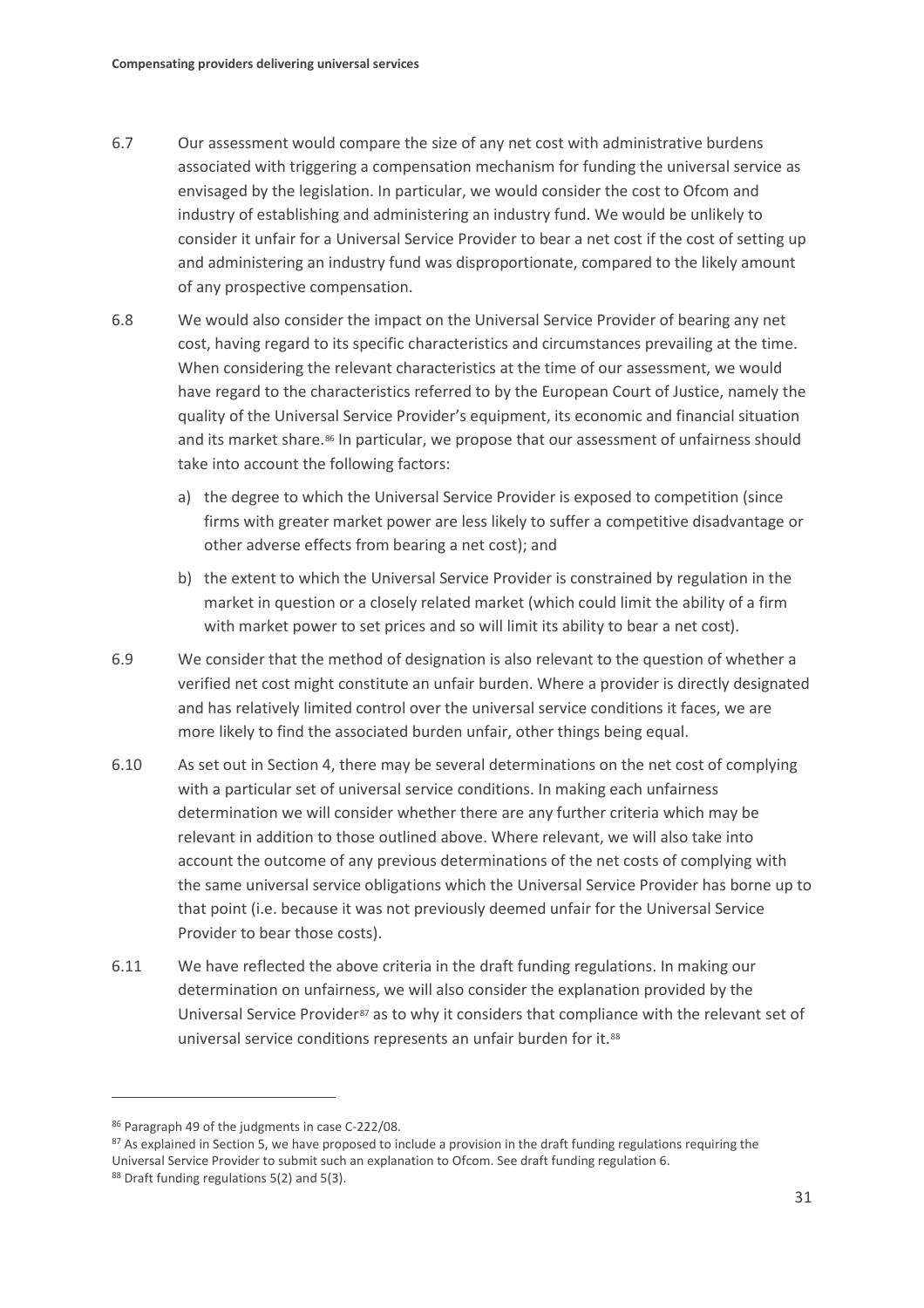- 6.7 Our assessment would compare the size of any net cost with administrative burdens associated with triggering a compensation mechanism for funding the universal service as envisaged by the legislation. In particular, we would consider the cost to Ofcom and industry of establishing and administering an industry fund. We would be unlikely to consider it unfair for a Universal Service Provider to bear a net cost if the cost of setting up and administering an industry fund was disproportionate, compared to the likely amount of any prospective compensation.
- 6.8 We would also consider the impact on the Universal Service Provider of bearing any net cost, having regard to its specific characteristics and circumstances prevailing at the time. When considering the relevant characteristics at the time of our assessment, we would have regard to the characteristics referred to by the European Court of Justice, namely the quality of the Universal Service Provider's equipment, its economic and financial situation and its market share.<sup>86</sup> In particular, we propose that our assessment of unfairness should take into account the following factors:
	- a) the degree to which the Universal Service Provider is exposed to competition (since firms with greater market power are less likely to suffer a competitive disadvantage or other adverse effects from bearing a net cost); and
	- b) the extent to which the Universal Service Provider is constrained by regulation in the market in question or a closely related market (which could limit the ability of a firm with market power to set prices and so will limit its ability to bear a net cost).
- 6.9 We consider that the method of designation is also relevant to the question of whether a verified net cost might constitute an unfair burden. Where a provider is directly designated and has relatively limited control over the universal service conditions it faces, we are more likely to find the associated burden unfair, other things being equal.
- 6.10 As set out in Section 4, there may be several determinations on the net cost of complying with a particular set of universal service conditions. In making each unfairness determination we will consider whether there are any further criteria which may be relevant in addition to those outlined above. Where relevant, we will also take into account the outcome of any previous determinations of the net costs of complying with the same universal service obligations which the Universal Service Provider has borne up to that point (i.e. because it was not previously deemed unfair for the Universal Service Provider to bear those costs).
- 6.11 We have reflected the above criteria in the draft funding regulations. In making our determination on unfairness, we will also consider the explanation provided by the Universal Service Provider<sup>[87](#page-32-1)</sup> as to why it considers that compliance with the relevant set of universal service conditions represents an unfair burden for it.[88](#page-32-2)

<span id="page-32-0"></span><sup>86</sup> Paragraph 49 of the judgments in case C-222/08.

<span id="page-32-1"></span><sup>87</sup> As explained in Section 5, we have proposed to include a provision in the draft funding regulations requiring the Universal Service Provider to submit such an explanation to Ofcom. See draft funding regulation 6.

<span id="page-32-2"></span><sup>88</sup> Draft funding regulations 5(2) and 5(3).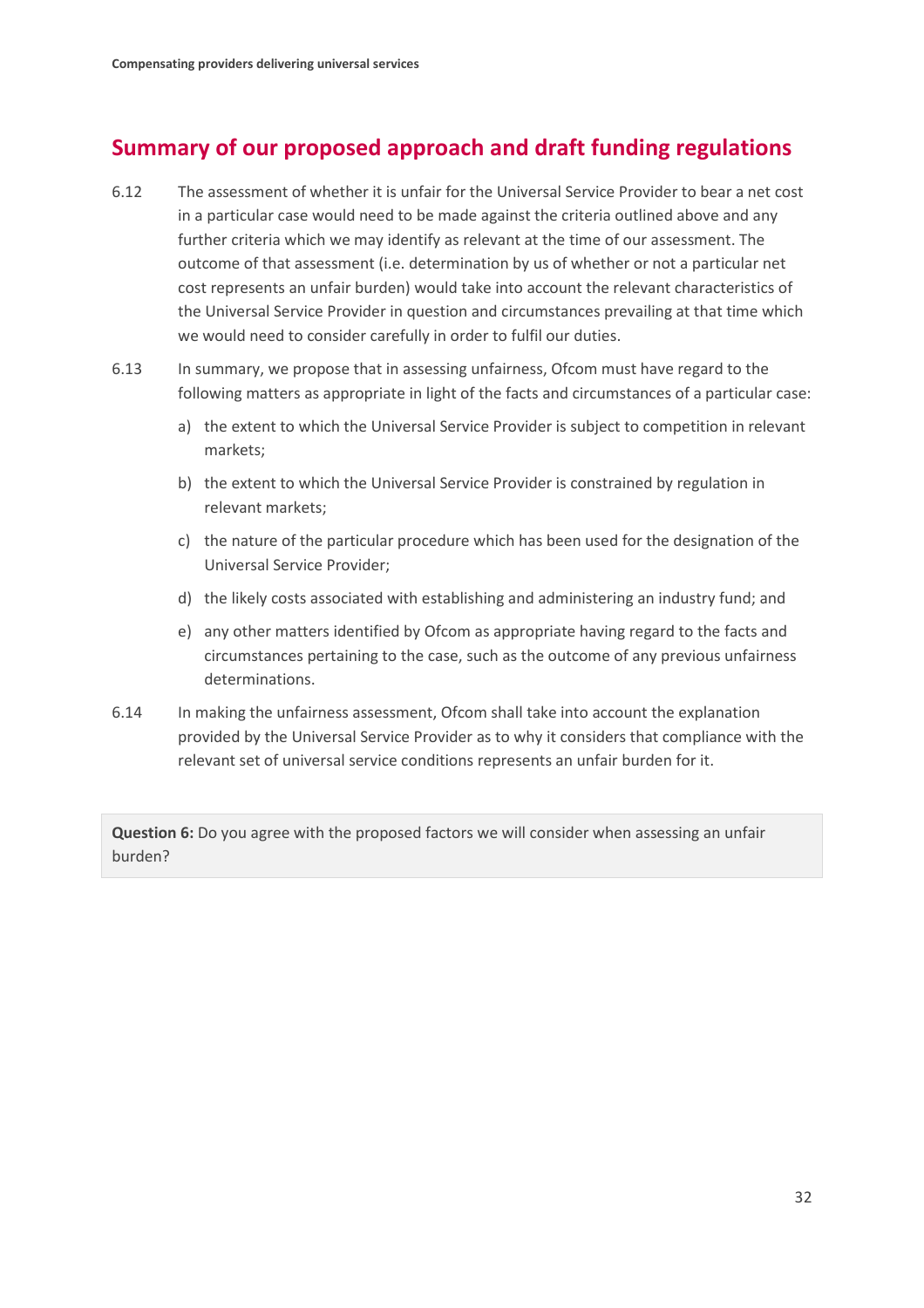# **Summary of our proposed approach and draft funding regulations**

- 6.12 The assessment of whether it is unfair for the Universal Service Provider to bear a net cost in a particular case would need to be made against the criteria outlined above and any further criteria which we may identify as relevant at the time of our assessment. The outcome of that assessment (i.e. determination by us of whether or not a particular net cost represents an unfair burden) would take into account the relevant characteristics of the Universal Service Provider in question and circumstances prevailing at that time which we would need to consider carefully in order to fulfil our duties.
- 6.13 In summary, we propose that in assessing unfairness, Ofcom must have regard to the following matters as appropriate in light of the facts and circumstances of a particular case:
	- a) the extent to which the Universal Service Provider is subject to competition in relevant markets;
	- b) the extent to which the Universal Service Provider is constrained by regulation in relevant markets;
	- c) the nature of the particular procedure which has been used for the designation of the Universal Service Provider;
	- d) the likely costs associated with establishing and administering an industry fund; and
	- e) any other matters identified by Ofcom as appropriate having regard to the facts and circumstances pertaining to the case, such as the outcome of any previous unfairness determinations.
- 6.14 In making the unfairness assessment, Ofcom shall take into account the explanation provided by the Universal Service Provider as to why it considers that compliance with the relevant set of universal service conditions represents an unfair burden for it.

**Question 6:** Do you agree with the proposed factors we will consider when assessing an unfair burden?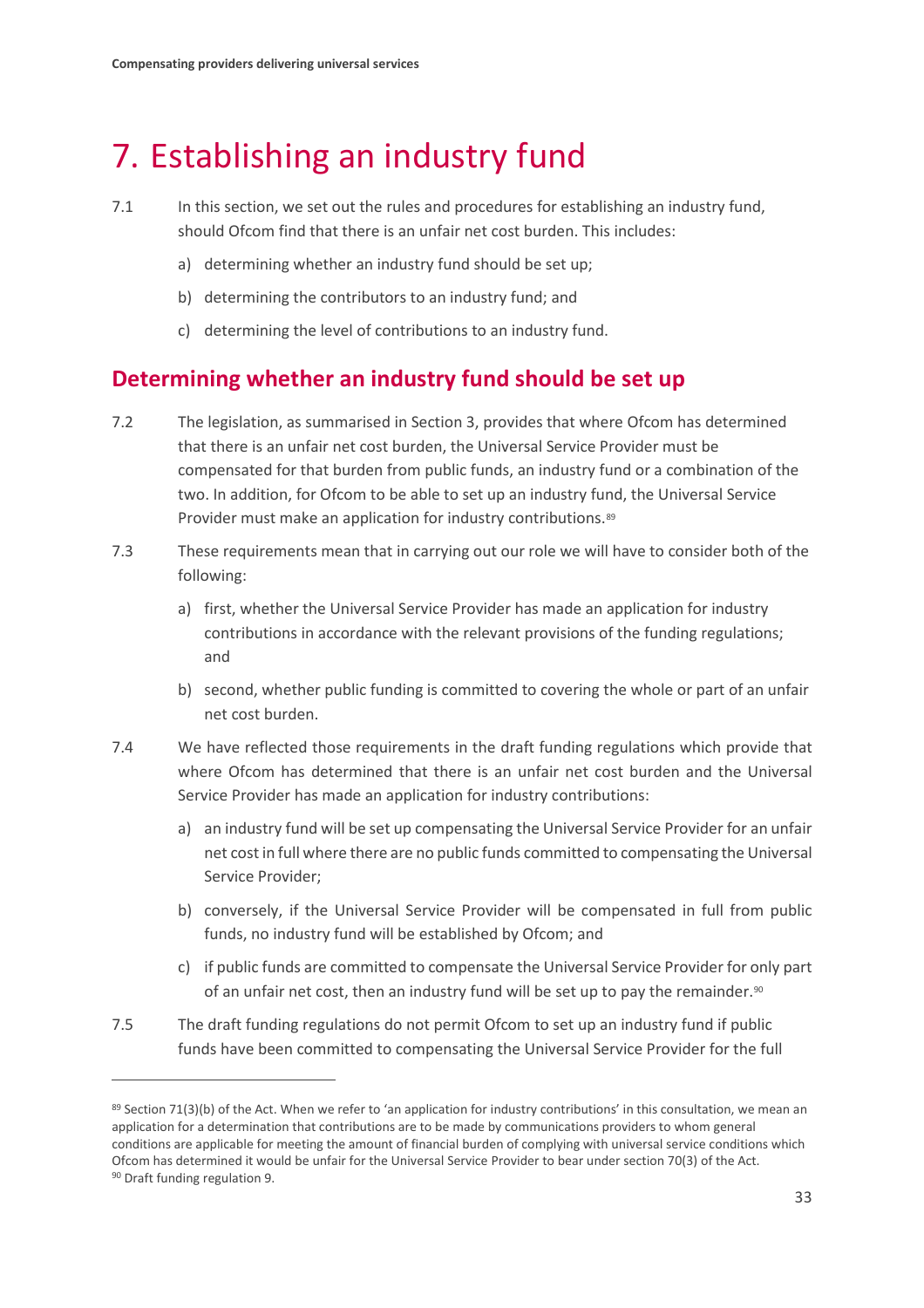# <span id="page-34-0"></span>7. Establishing an industry fund

- 7.1 In this section, we set out the rules and procedures for establishing an industry fund, should Ofcom find that there is an unfair net cost burden. This includes:
	- a) determining whether an industry fund should be set up;
	- b) determining the contributors to an industry fund; and
	- c) determining the level of contributions to an industry fund.

## **Determining whether an industry fund should be set up**

- 7.2 The legislation, as summarised in Section 3, provides that where Ofcom has determined that there is an unfair net cost burden, the Universal Service Provider must be compensated for that burden from public funds, an industry fund or a combination of the two. In addition, for Ofcom to be able to set up an industry fund, the Universal Service Provider must make an application for industry contributions.<sup>89</sup>
- 7.3 These requirements mean that in carrying out our role we will have to consider both of the following:
	- a) first, whether the Universal Service Provider has made an application for industry contributions in accordance with the relevant provisions of the funding regulations; and
	- b) second, whether public funding is committed to covering the whole or part of an unfair net cost burden.
- 7.4 We have reflected those requirements in the draft funding regulations which provide that where Ofcom has determined that there is an unfair net cost burden and the Universal Service Provider has made an application for industry contributions:
	- a) an industry fund will be set up compensating the Universal Service Provider for an unfair net cost in full where there are no public funds committed to compensating the Universal Service Provider;
	- b) conversely, if the Universal Service Provider will be compensated in full from public funds, no industry fund will be established by Ofcom; and
	- c) if public funds are committed to compensate the Universal Service Provider for only part of an unfair net cost, then an industry fund will be set up to pay the remainder.<sup>[90](#page-34-2)</sup>
- 7.5 The draft funding regulations do not permit Ofcom to set up an industry fund if public funds have been committed to compensating the Universal Service Provider for the full

<span id="page-34-2"></span><span id="page-34-1"></span><sup>89</sup> Section 71(3)(b) of the Act. When we refer to 'an application for industry contributions' in this consultation, we mean an application for a determination that contributions are to be made by communications providers to whom general conditions are applicable for meeting the amount of financial burden of complying with universal service conditions which Ofcom has determined it would be unfair for the Universal Service Provider to bear under section 70(3) of the Act. <sup>90</sup> Draft funding regulation 9.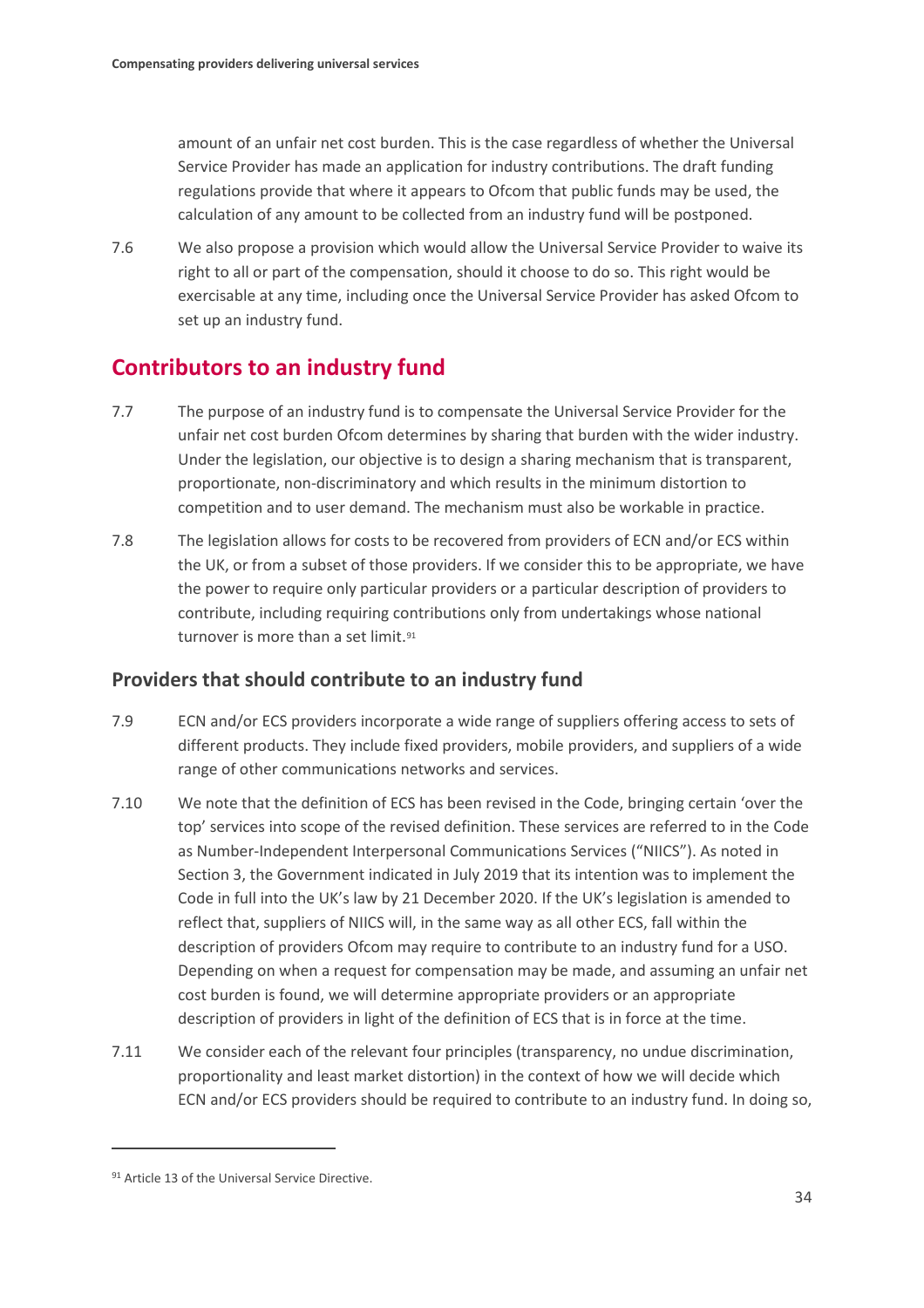amount of an unfair net cost burden. This is the case regardless of whether the Universal Service Provider has made an application for industry contributions. The draft funding regulations provide that where it appears to Ofcom that public funds may be used, the calculation of any amount to be collected from an industry fund will be postponed.

7.6 We also propose a provision which would allow the Universal Service Provider to waive its right to all or part of the compensation, should it choose to do so. This right would be exercisable at any time, including once the Universal Service Provider has asked Ofcom to set up an industry fund.

## **Contributors to an industry fund**

- 7.7 The purpose of an industry fund is to compensate the Universal Service Provider for the unfair net cost burden Ofcom determines by sharing that burden with the wider industry. Under the legislation, our objective is to design a sharing mechanism that is transparent, proportionate, non-discriminatory and which results in the minimum distortion to competition and to user demand. The mechanism must also be workable in practice.
- 7.8 The legislation allows for costs to be recovered from providers of ECN and/or ECS within the UK, or from a subset of those providers. If we consider this to be appropriate, we have the power to require only particular providers or a particular description of providers to contribute, including requiring contributions only from undertakings whose national turnover is more than a set limit.<sup>[91](#page-35-0)</sup>

## **Providers that should contribute to an industry fund**

- 7.9 ECN and/or ECS providers incorporate a wide range of suppliers offering access to sets of different products. They include fixed providers, mobile providers, and suppliers of a wide range of other communications networks and services.
- 7.10 We note that the definition of ECS has been revised in the Code, bringing certain 'over the top' services into scope of the revised definition. These services are referred to in the Code as Number-Independent Interpersonal Communications Services ("NIICS"). As noted in Section 3, the Government indicated in July 2019 that its intention was to implement the Code in full into the UK's law by 21 December 2020. If the UK's legislation is amended to reflect that, suppliers of NIICS will, in the same way as all other ECS, fall within the description of providers Ofcom may require to contribute to an industry fund for a USO. Depending on when a request for compensation may be made, and assuming an unfair net cost burden is found, we will determine appropriate providers or an appropriate description of providers in light of the definition of ECS that is in force at the time.
- 7.11 We consider each of the relevant four principles (transparency, no undue discrimination, proportionality and least market distortion) in the context of how we will decide which ECN and/or ECS providers should be required to contribute to an industry fund. In doing so,

<span id="page-35-0"></span><sup>91</sup> Article 13 of the Universal Service Directive.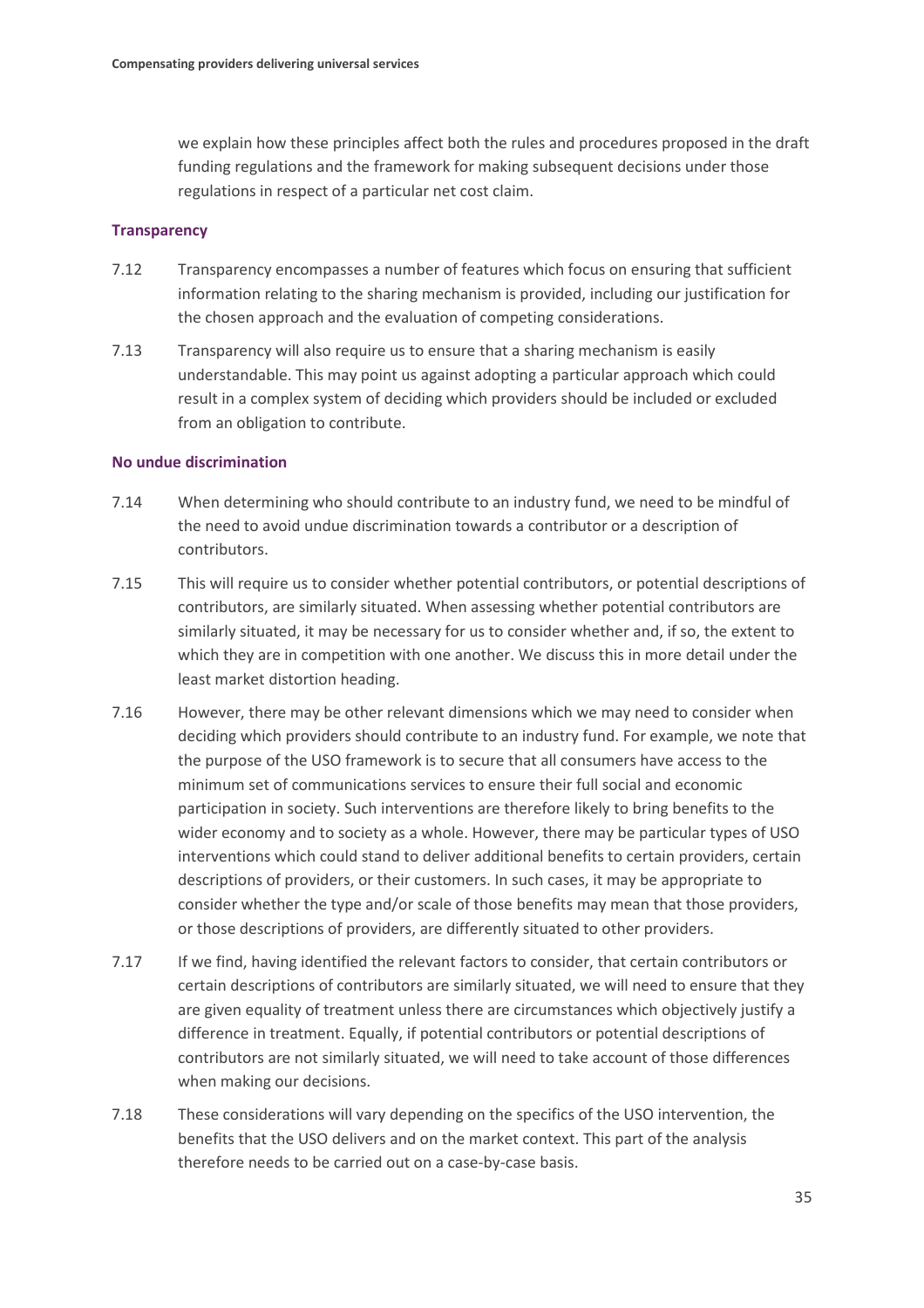we explain how these principles affect both the rules and procedures proposed in the draft funding regulations and the framework for making subsequent decisions under those regulations in respect of a particular net cost claim.

#### **Transparency**

- 7.12 Transparency encompasses a number of features which focus on ensuring that sufficient information relating to the sharing mechanism is provided, including our justification for the chosen approach and the evaluation of competing considerations.
- 7.13 Transparency will also require us to ensure that a sharing mechanism is easily understandable. This may point us against adopting a particular approach which could result in a complex system of deciding which providers should be included or excluded from an obligation to contribute.

#### **No undue discrimination**

- 7.14 When determining who should contribute to an industry fund, we need to be mindful of the need to avoid undue discrimination towards a contributor or a description of contributors.
- 7.15 This will require us to consider whether potential contributors, or potential descriptions of contributors, are similarly situated. When assessing whether potential contributors are similarly situated, it may be necessary for us to consider whether and, if so, the extent to which they are in competition with one another. We discuss this in more detail under the least market distortion heading.
- 7.16 However, there may be other relevant dimensions which we may need to consider when deciding which providers should contribute to an industry fund. For example, we note that the purpose of the USO framework is to secure that all consumers have access to the minimum set of communications services to ensure their full social and economic participation in society. Such interventions are therefore likely to bring benefits to the wider economy and to society as a whole. However, there may be particular types of USO interventions which could stand to deliver additional benefits to certain providers, certain descriptions of providers, or their customers. In such cases, it may be appropriate to consider whether the type and/or scale of those benefits may mean that those providers, or those descriptions of providers, are differently situated to other providers.
- 7.17 If we find, having identified the relevant factors to consider, that certain contributors or certain descriptions of contributors are similarly situated, we will need to ensure that they are given equality of treatment unless there are circumstances which objectively justify a difference in treatment. Equally, if potential contributors or potential descriptions of contributors are not similarly situated, we will need to take account of those differences when making our decisions.
- 7.18 These considerations will vary depending on the specifics of the USO intervention, the benefits that the USO delivers and on the market context. This part of the analysis therefore needs to be carried out on a case-by-case basis.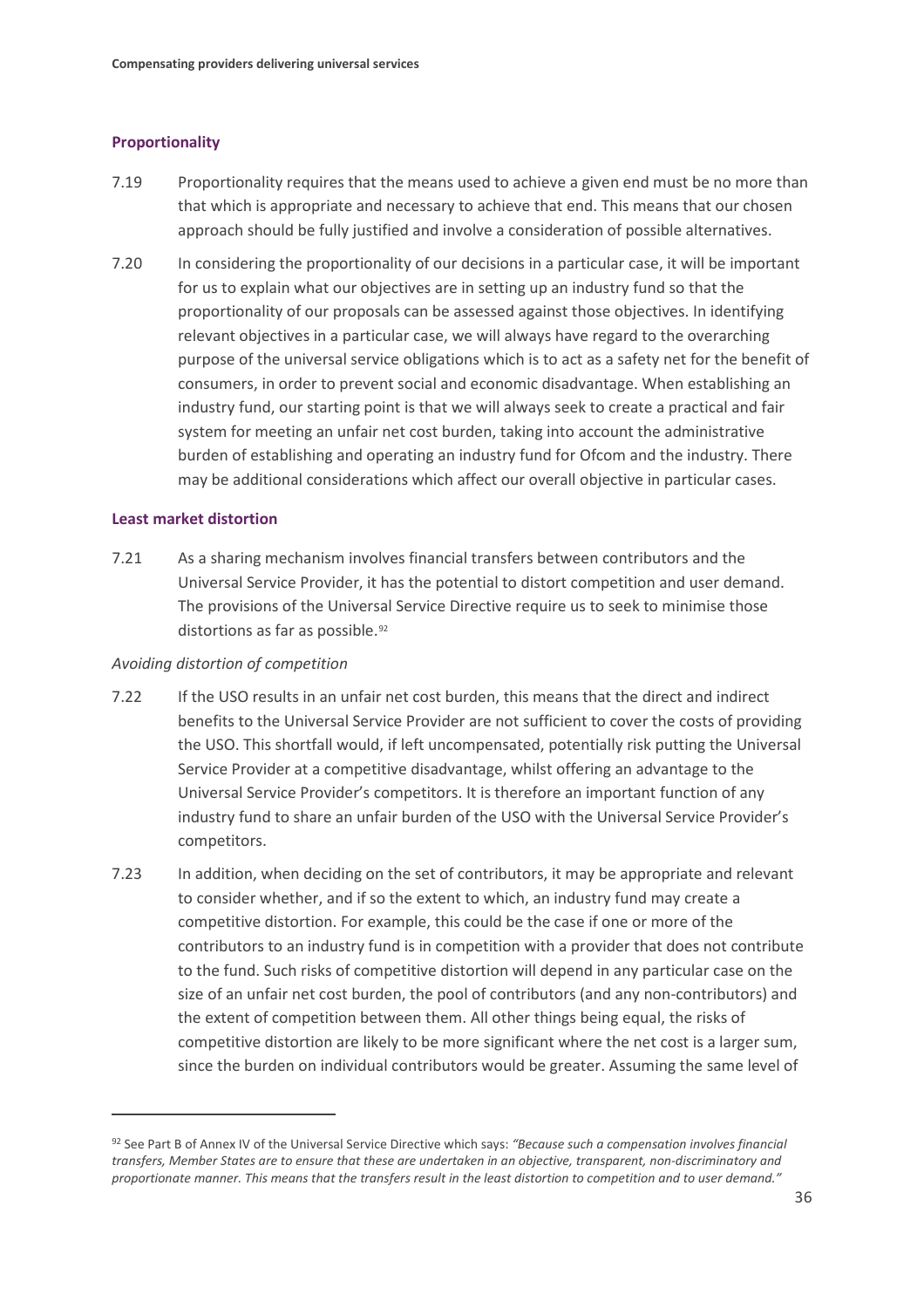#### **Proportionality**

- 7.19 Proportionality requires that the means used to achieve a given end must be no more than that which is appropriate and necessary to achieve that end. This means that our chosen approach should be fully justified and involve a consideration of possible alternatives.
- 7.20 In considering the proportionality of our decisions in a particular case, it will be important for us to explain what our objectives are in setting up an industry fund so that the proportionality of our proposals can be assessed against those objectives. In identifying relevant objectives in a particular case, we will always have regard to the overarching purpose of the universal service obligations which is to act as a safety net for the benefit of consumers, in order to prevent social and economic disadvantage. When establishing an industry fund, our starting point is that we will always seek to create a practical and fair system for meeting an unfair net cost burden, taking into account the administrative burden of establishing and operating an industry fund for Ofcom and the industry. There may be additional considerations which affect our overall objective in particular cases.

#### **Least market distortion**

 $\overline{a}$ 

7.21 As a sharing mechanism involves financial transfers between contributors and the Universal Service Provider, it has the potential to distort competition and user demand. The provisions of the Universal Service Directive require us to seek to minimise those distortions as far as possible.<sup>[92](#page-37-0)</sup>

#### *Avoiding distortion of competition*

- 7.22 If the USO results in an unfair net cost burden, this means that the direct and indirect benefits to the Universal Service Provider are not sufficient to cover the costs of providing the USO. This shortfall would, if left uncompensated, potentially risk putting the Universal Service Provider at a competitive disadvantage, whilst offering an advantage to the Universal Service Provider's competitors. It is therefore an important function of any industry fund to share an unfair burden of the USO with the Universal Service Provider's competitors.
- 7.23 In addition, when deciding on the set of contributors, it may be appropriate and relevant to consider whether, and if so the extent to which, an industry fund may create a competitive distortion. For example, this could be the case if one or more of the contributors to an industry fund is in competition with a provider that does not contribute to the fund. Such risks of competitive distortion will depend in any particular case on the size of an unfair net cost burden, the pool of contributors (and any non-contributors) and the extent of competition between them. All other things being equal, the risks of competitive distortion are likely to be more significant where the net cost is a larger sum, since the burden on individual contributors would be greater. Assuming the same level of

<span id="page-37-0"></span><sup>92</sup> See Part B of Annex IV of the Universal Service Directive which says: *"Because such a compensation involves financial transfers, Member States are to ensure that these are undertaken in an objective, transparent, non-discriminatory and proportionate manner. This means that the transfers result in the least distortion to competition and to user demand."*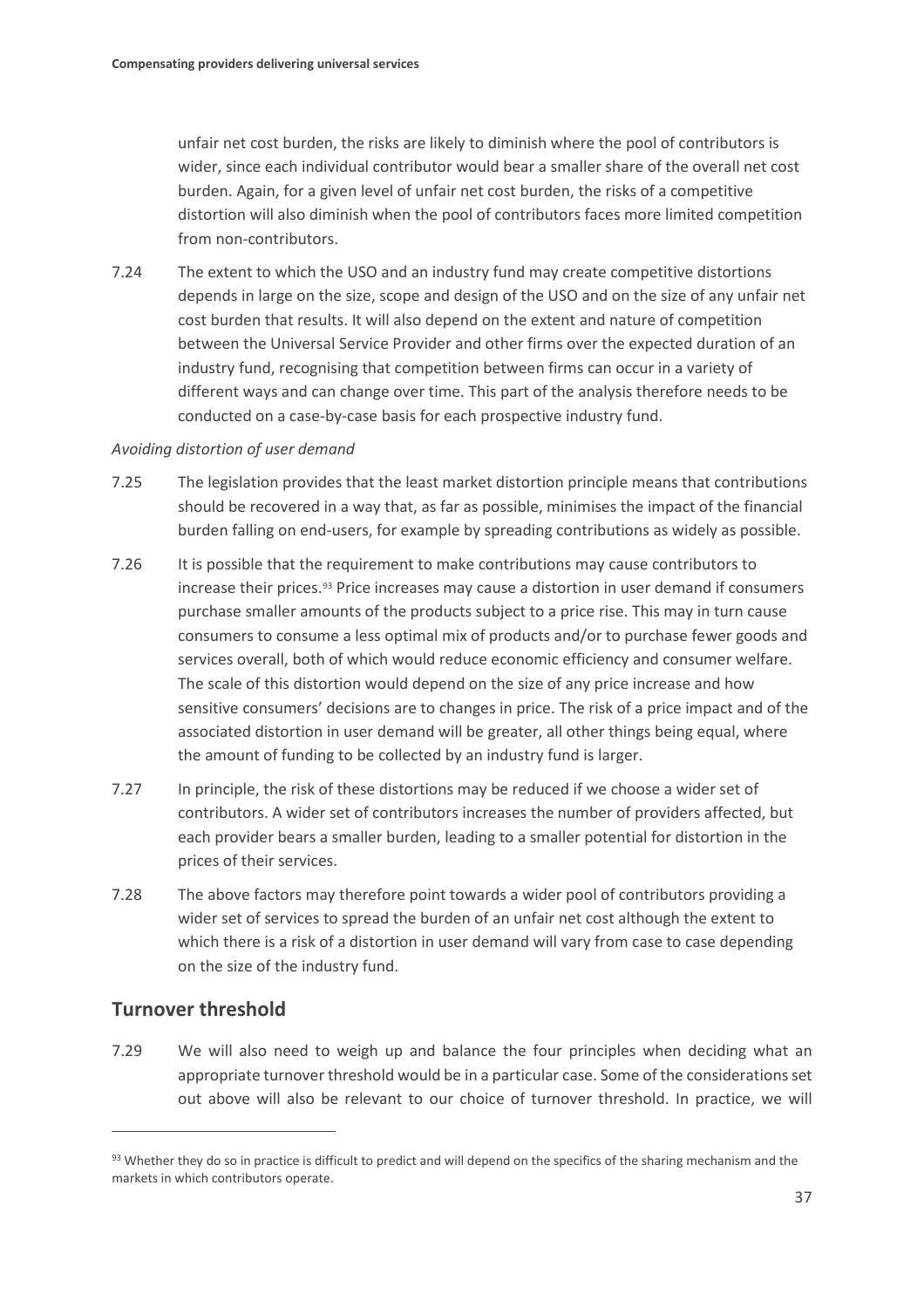unfair net cost burden, the risks are likely to diminish where the pool of contributors is wider, since each individual contributor would bear a smaller share of the overall net cost burden. Again, for a given level of unfair net cost burden, the risks of a competitive distortion will also diminish when the pool of contributors faces more limited competition from non-contributors.

7.24 The extent to which the USO and an industry fund may create competitive distortions depends in large on the size, scope and design of the USO and on the size of any unfair net cost burden that results. It will also depend on the extent and nature of competition between the Universal Service Provider and other firms over the expected duration of an industry fund, recognising that competition between firms can occur in a variety of different ways and can change over time. This part of the analysis therefore needs to be conducted on a case-by-case basis for each prospective industry fund.

#### *Avoiding distortion of user demand*

- 7.25 The legislation provides that the least market distortion principle means that contributions should be recovered in a way that, as far as possible, minimises the impact of the financial burden falling on end-users, for example by spreading contributions as widely as possible.
- 7.26 It is possible that the requirement to make contributions may cause contributors to increase their prices.[93](#page-38-0) Price increases may cause a distortion in user demand if consumers purchase smaller amounts of the products subject to a price rise. This may in turn cause consumers to consume a less optimal mix of products and/or to purchase fewer goods and services overall, both of which would reduce economic efficiency and consumer welfare. The scale of this distortion would depend on the size of any price increase and how sensitive consumers' decisions are to changes in price. The risk of a price impact and of the associated distortion in user demand will be greater, all other things being equal, where the amount of funding to be collected by an industry fund is larger.
- 7.27 In principle, the risk of these distortions may be reduced if we choose a wider set of contributors. A wider set of contributors increases the number of providers affected, but each provider bears a smaller burden, leading to a smaller potential for distortion in the prices of their services.
- 7.28 The above factors may therefore point towards a wider pool of contributors providing a wider set of services to spread the burden of an unfair net cost although the extent to which there is a risk of a distortion in user demand will vary from case to case depending on the size of the industry fund.

### **Turnover threshold**

 $\overline{a}$ 

7.29 We will also need to weigh up and balance the four principles when deciding what an appropriate turnover threshold would be in a particular case. Some of the considerations set out above will also be relevant to our choice of turnover threshold. In practice, we will

<span id="page-38-0"></span><sup>93</sup> Whether they do so in practice is difficult to predict and will depend on the specifics of the sharing mechanism and the markets in which contributors operate.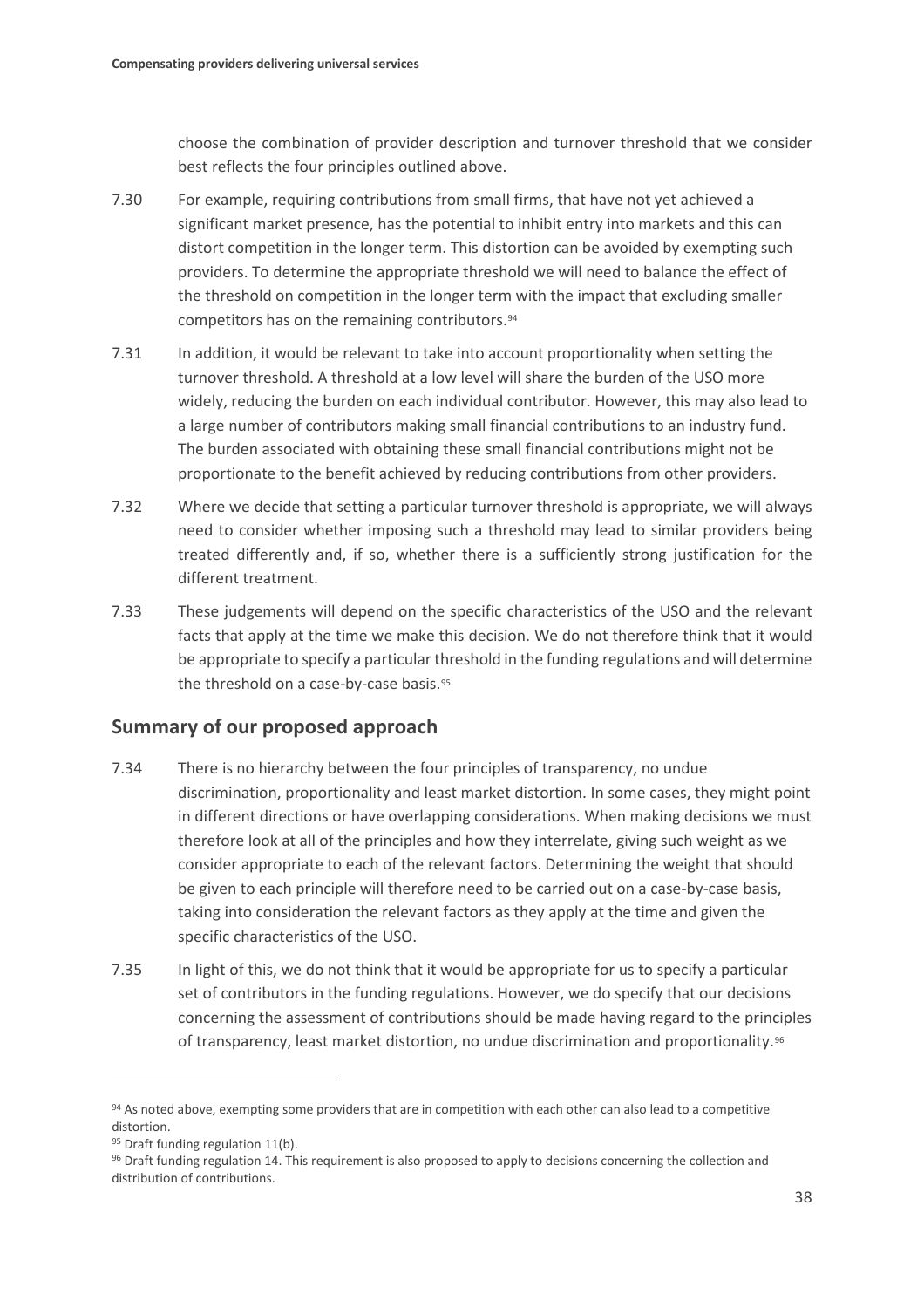choose the combination of provider description and turnover threshold that we consider best reflects the four principles outlined above.

- 7.30 For example, requiring contributions from small firms, that have not yet achieved a significant market presence, has the potential to inhibit entry into markets and this can distort competition in the longer term. This distortion can be avoided by exempting such providers. To determine the appropriate threshold we will need to balance the effect of the threshold on competition in the longer term with the impact that excluding smaller competitors has on the remaining contributors.[94](#page-39-0)
- 7.31 In addition, it would be relevant to take into account proportionality when setting the turnover threshold. A threshold at a low level will share the burden of the USO more widely, reducing the burden on each individual contributor. However, this may also lead to a large number of contributors making small financial contributions to an industry fund. The burden associated with obtaining these small financial contributions might not be proportionate to the benefit achieved by reducing contributions from other providers.
- 7.32 Where we decide that setting a particular turnover threshold is appropriate, we will always need to consider whether imposing such a threshold may lead to similar providers being treated differently and, if so, whether there is a sufficiently strong justification for the different treatment.
- 7.33 These judgements will depend on the specific characteristics of the USO and the relevant facts that apply at the time we make this decision. We do not therefore think that it would be appropriate to specify a particular threshold in the funding regulations and will determine the threshold on a case-by-case basis.[95](#page-39-1)

## **Summary of our proposed approach**

- 7.34 There is no hierarchy between the four principles of transparency, no undue discrimination, proportionality and least market distortion. In some cases, they might point in different directions or have overlapping considerations. When making decisions we must therefore look at all of the principles and how they interrelate, giving such weight as we consider appropriate to each of the relevant factors. Determining the weight that should be given to each principle will therefore need to be carried out on a case-by-case basis, taking into consideration the relevant factors as they apply at the time and given the specific characteristics of the USO.
- 7.35 In light of this, we do not think that it would be appropriate for us to specify a particular set of contributors in the funding regulations. However, we do specify that our decisions concerning the assessment of contributions should be made having regard to the principles of transparency, least market distortion, no undue discrimination and proportionality.<sup>[96](#page-39-2)</sup>

<span id="page-39-0"></span><sup>94</sup> As noted above, exempting some providers that are in competition with each other can also lead to a competitive distortion.

<span id="page-39-1"></span><sup>95</sup> Draft funding regulation 11(b).

<span id="page-39-2"></span><sup>96</sup> Draft funding regulation 14. This requirement is also proposed to apply to decisions concerning the collection and distribution of contributions.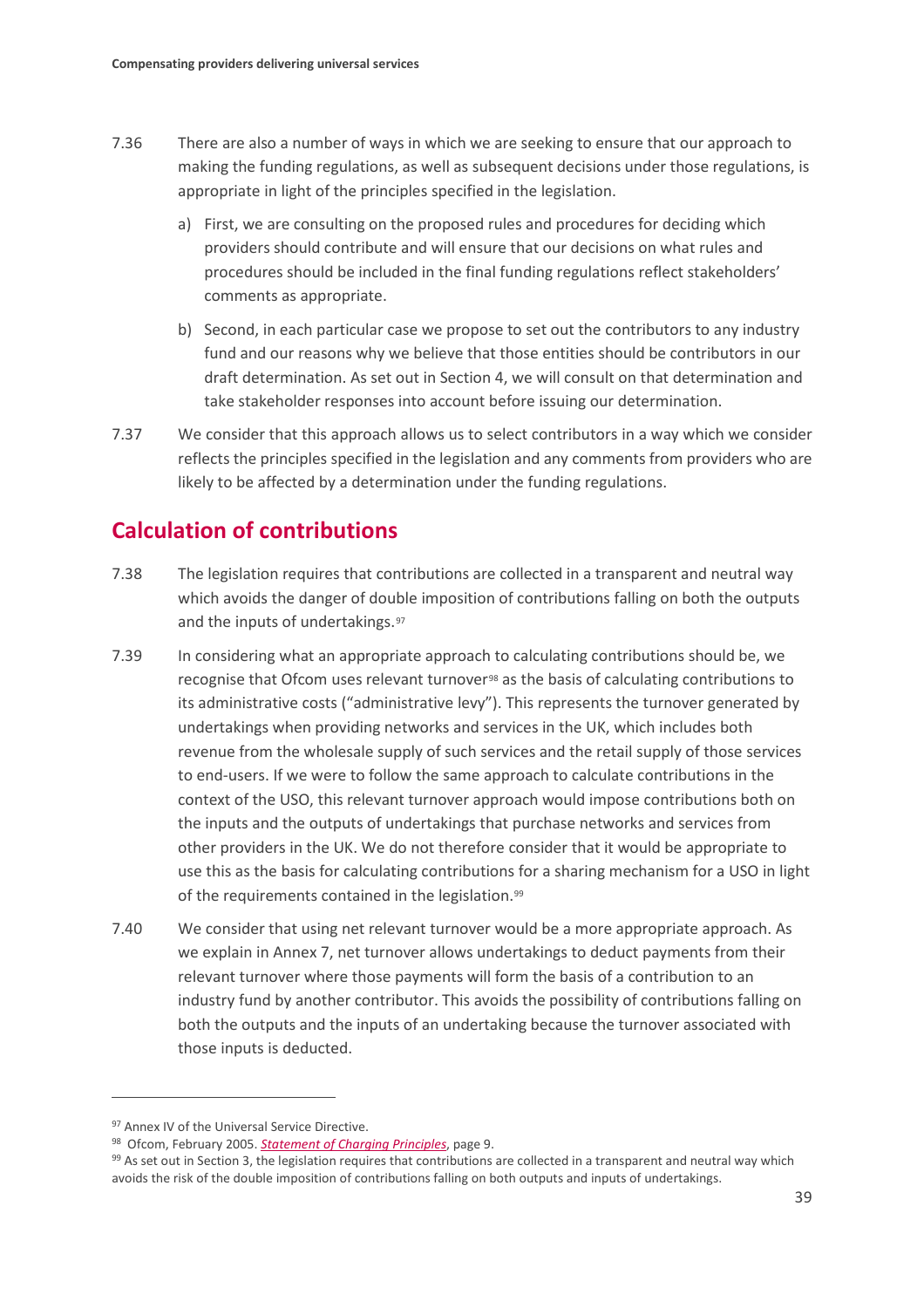- 7.36 There are also a number of ways in which we are seeking to ensure that our approach to making the funding regulations, as well as subsequent decisions under those regulations, is appropriate in light of the principles specified in the legislation.
	- a) First, we are consulting on the proposed rules and procedures for deciding which providers should contribute and will ensure that our decisions on what rules and procedures should be included in the final funding regulations reflect stakeholders' comments as appropriate.
	- b) Second, in each particular case we propose to set out the contributors to any industry fund and our reasons why we believe that those entities should be contributors in our draft determination. As set out in Section 4, we will consult on that determination and take stakeholder responses into account before issuing our determination.
- 7.37 We consider that this approach allows us to select contributors in a way which we consider reflects the principles specified in the legislation and any comments from providers who are likely to be affected by a determination under the funding regulations.

## **Calculation of contributions**

- 7.38 The legislation requires that contributions are collected in a transparent and neutral way which avoids the danger of double imposition of contributions falling on both the outputs and the inputs of undertakings.<sup>[97](#page-40-0)</sup>
- 7.39 In considering what an appropriate approach to calculating contributions should be, we recognise that Ofcom uses relevant turnover<sup>[98](#page-40-1)</sup> as the basis of calculating contributions to its administrative costs ("administrative levy"). This represents the turnover generated by undertakings when providing networks and services in the UK, which includes both revenue from the wholesale supply of such services and the retail supply of those services to end-users. If we were to follow the same approach to calculate contributions in the context of the USO, this relevant turnover approach would impose contributions both on the inputs and the outputs of undertakings that purchase networks and services from other providers in the UK. We do not therefore consider that it would be appropriate to use this as the basis for calculating contributions for a sharing mechanism for a USO in light of the requirements contained in the legislation.<sup>[99](#page-40-2)</sup>
- 7.40 We consider that using net relevant turnover would be a more appropriate approach. As we explain in Annex 7, net turnover allows undertakings to deduct payments from their relevant turnover where those payments will form the basis of a contribution to an industry fund by another contributor. This avoids the possibility of contributions falling on both the outputs and the inputs of an undertaking because the turnover associated with those inputs is deducted.

<span id="page-40-0"></span><sup>97</sup> Annex IV of the Universal Service Directive.

<span id="page-40-2"></span><span id="page-40-1"></span><sup>&</sup>lt;sup>98</sup> Ofcom[,](https://www.ofcom.org.uk/__data/assets/pdf_file/0019/51058/charging_principles.pdf) February 2005. *Statement of Charging Principles*, page 9.<br><sup>99</sup> As set out in Section 3, the legislation requires that contributions are collected in a transparent and neutral way which avoids the risk of the double imposition of contributions falling on both outputs and inputs of undertakings.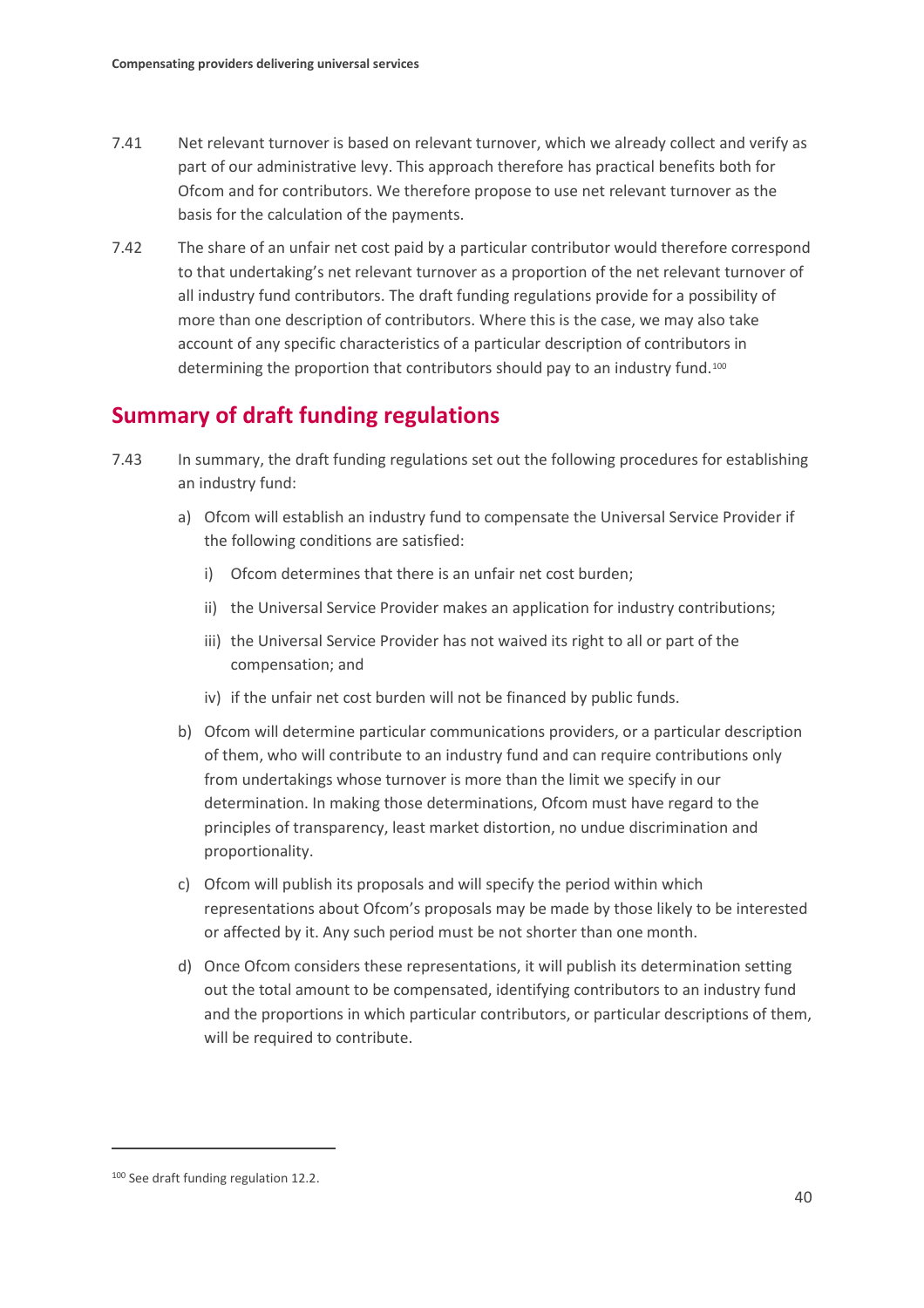- 7.41 Net relevant turnover is based on relevant turnover, which we already collect and verify as part of our administrative levy. This approach therefore has practical benefits both for Ofcom and for contributors. We therefore propose to use net relevant turnover as the basis for the calculation of the payments.
- 7.42 The share of an unfair net cost paid by a particular contributor would therefore correspond to that undertaking's net relevant turnover as a proportion of the net relevant turnover of all industry fund contributors. The draft funding regulations provide for a possibility of more than one description of contributors. Where this is the case, we may also take account of any specific characteristics of a particular description of contributors in determining the proportion that contributors should pay to an industry fund.[100](#page-41-0)

## **Summary of draft funding regulations**

- 7.43 In summary, the draft funding regulations set out the following procedures for establishing an industry fund:
	- a) Ofcom will establish an industry fund to compensate the Universal Service Provider if the following conditions are satisfied:
		- i) Ofcom determines that there is an unfair net cost burden;
		- ii) the Universal Service Provider makes an application for industry contributions;
		- iii) the Universal Service Provider has not waived its right to all or part of the compensation; and
		- iv) if the unfair net cost burden will not be financed by public funds.
	- b) Ofcom will determine particular communications providers, or a particular description of them, who will contribute to an industry fund and can require contributions only from undertakings whose turnover is more than the limit we specify in our determination. In making those determinations, Ofcom must have regard to the principles of transparency, least market distortion, no undue discrimination and proportionality.
	- c) Ofcom will publish its proposals and will specify the period within which representations about Ofcom's proposals may be made by those likely to be interested or affected by it. Any such period must be not shorter than one month.
	- d) Once Ofcom considers these representations, it will publish its determination setting out the total amount to be compensated, identifying contributors to an industry fund and the proportions in which particular contributors, or particular descriptions of them, will be required to contribute.

<span id="page-41-0"></span><sup>100</sup> See draft funding regulation 12.2.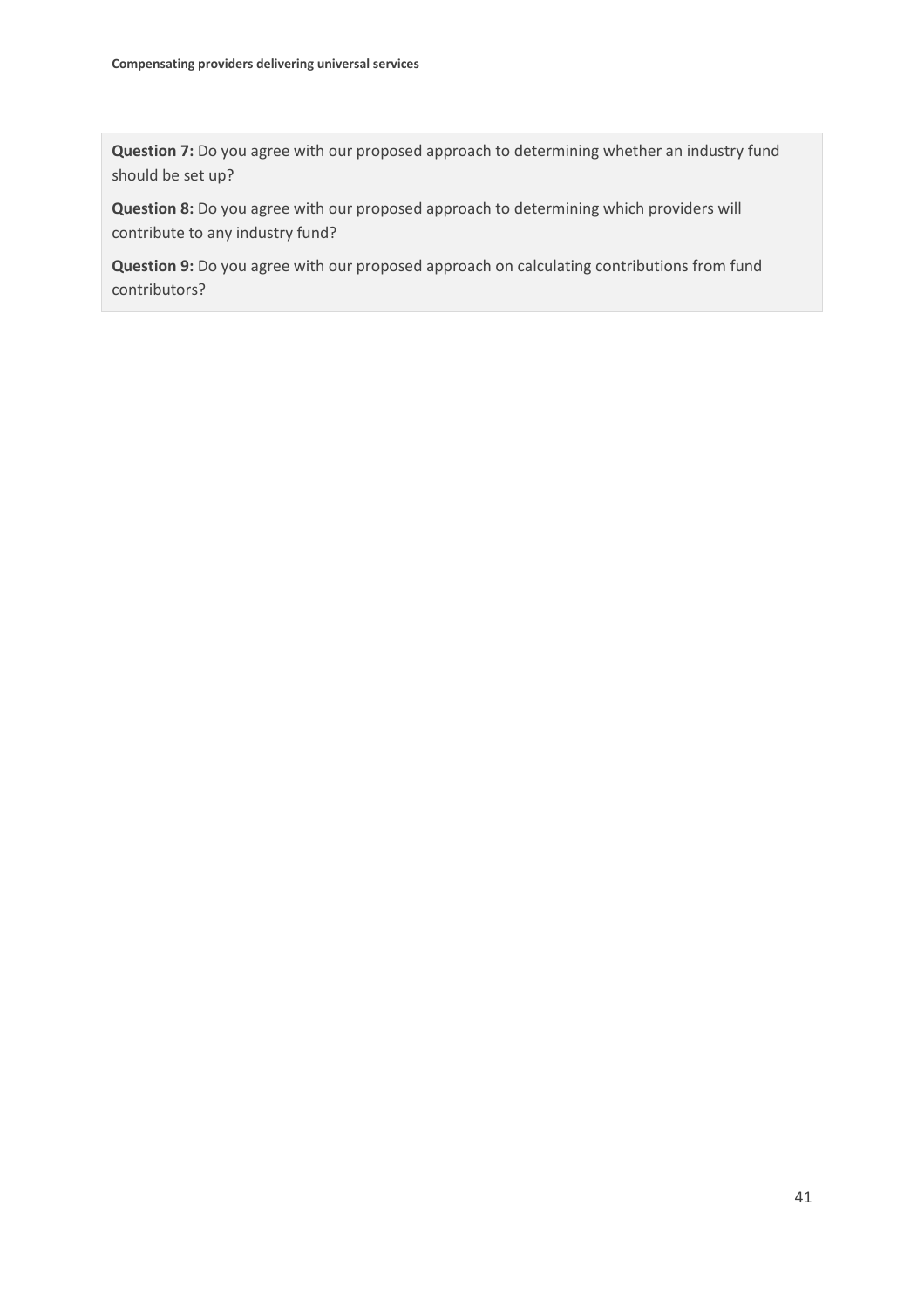**Question 7:** Do you agree with our proposed approach to determining whether an industry fund should be set up?

**Question 8:** Do you agree with our proposed approach to determining which providers will contribute to any industry fund?

**Question 9:** Do you agree with our proposed approach on calculating contributions from fund contributors?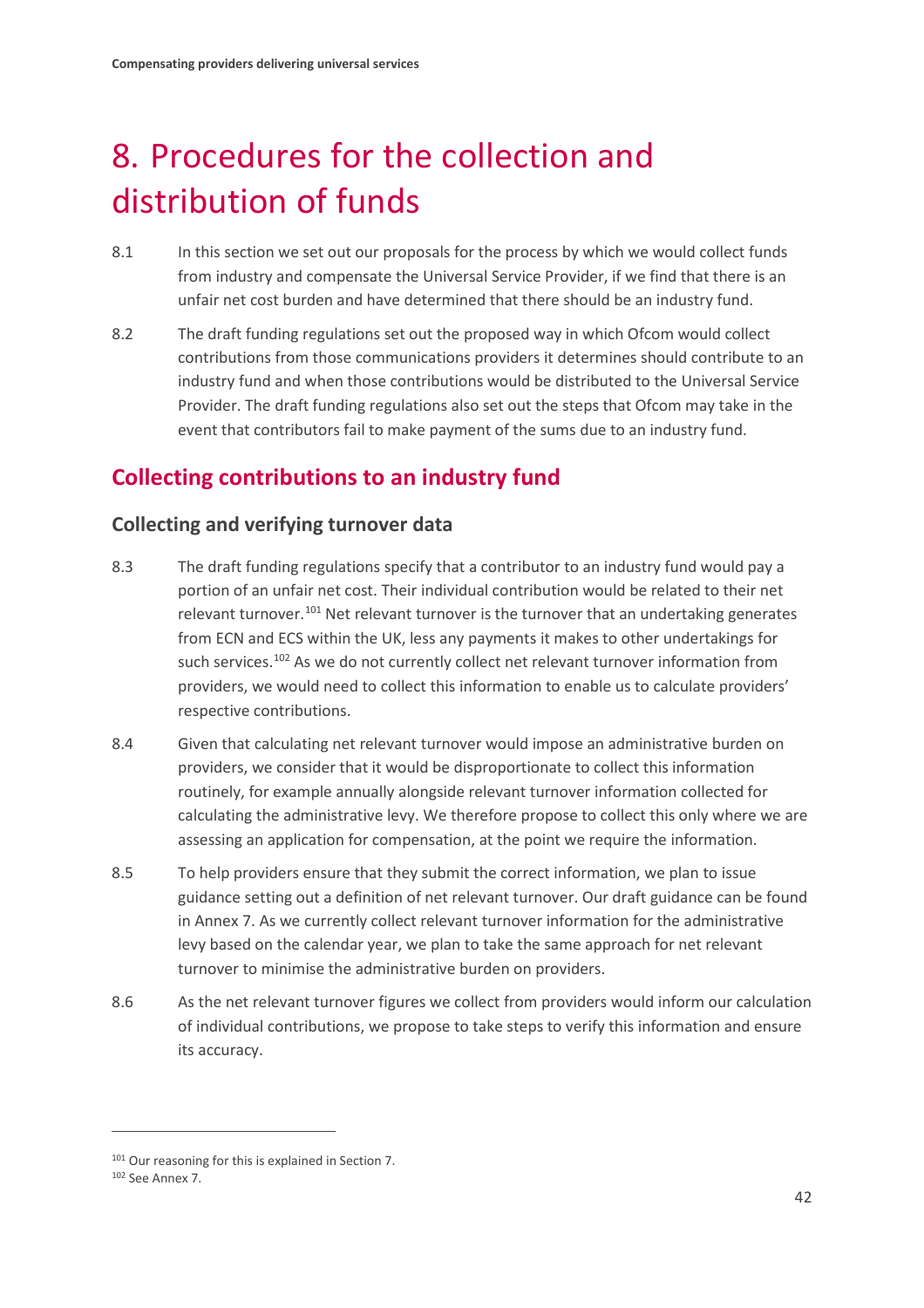# <span id="page-43-0"></span>8. Procedures for the collection and distribution of funds

- 8.1 In this section we set out our proposals for the process by which we would collect funds from industry and compensate the Universal Service Provider, if we find that there is an unfair net cost burden and have determined that there should be an industry fund.
- 8.2 The draft funding regulations set out the proposed way in which Ofcom would collect contributions from those communications providers it determines should contribute to an industry fund and when those contributions would be distributed to the Universal Service Provider. The draft funding regulations also set out the steps that Ofcom may take in the event that contributors fail to make payment of the sums due to an industry fund.

# **Collecting contributions to an industry fund**

## **Collecting and verifying turnover data**

- 8.3 The draft funding regulations specify that a contributor to an industry fund would pay a portion of an unfair net cost. Their individual contribution would be related to their net relevant turnover.<sup>[101](#page-43-1)</sup> Net relevant turnover is the turnover that an undertaking generates from ECN and ECS within the UK, less any payments it makes to other undertakings for such services.<sup>102</sup> As we do not currently collect net relevant turnover information from providers, we would need to collect this information to enable us to calculate providers' respective contributions.
- 8.4 Given that calculating net relevant turnover would impose an administrative burden on providers, we consider that it would be disproportionate to collect this information routinely, for example annually alongside relevant turnover information collected for calculating the administrative levy. We therefore propose to collect this only where we are assessing an application for compensation, at the point we require the information.
- 8.5 To help providers ensure that they submit the correct information, we plan to issue guidance setting out a definition of net relevant turnover. Our draft guidance can be found in Annex 7. As we currently collect relevant turnover information for the administrative levy based on the calendar year, we plan to take the same approach for net relevant turnover to minimise the administrative burden on providers.
- 8.6 As the net relevant turnover figures we collect from providers would inform our calculation of individual contributions, we propose to take steps to verify this information and ensure its accuracy.

<span id="page-43-1"></span><sup>101</sup> Our reasoning for this is explained in Section 7.

<span id="page-43-2"></span><sup>102</sup> See Annex 7.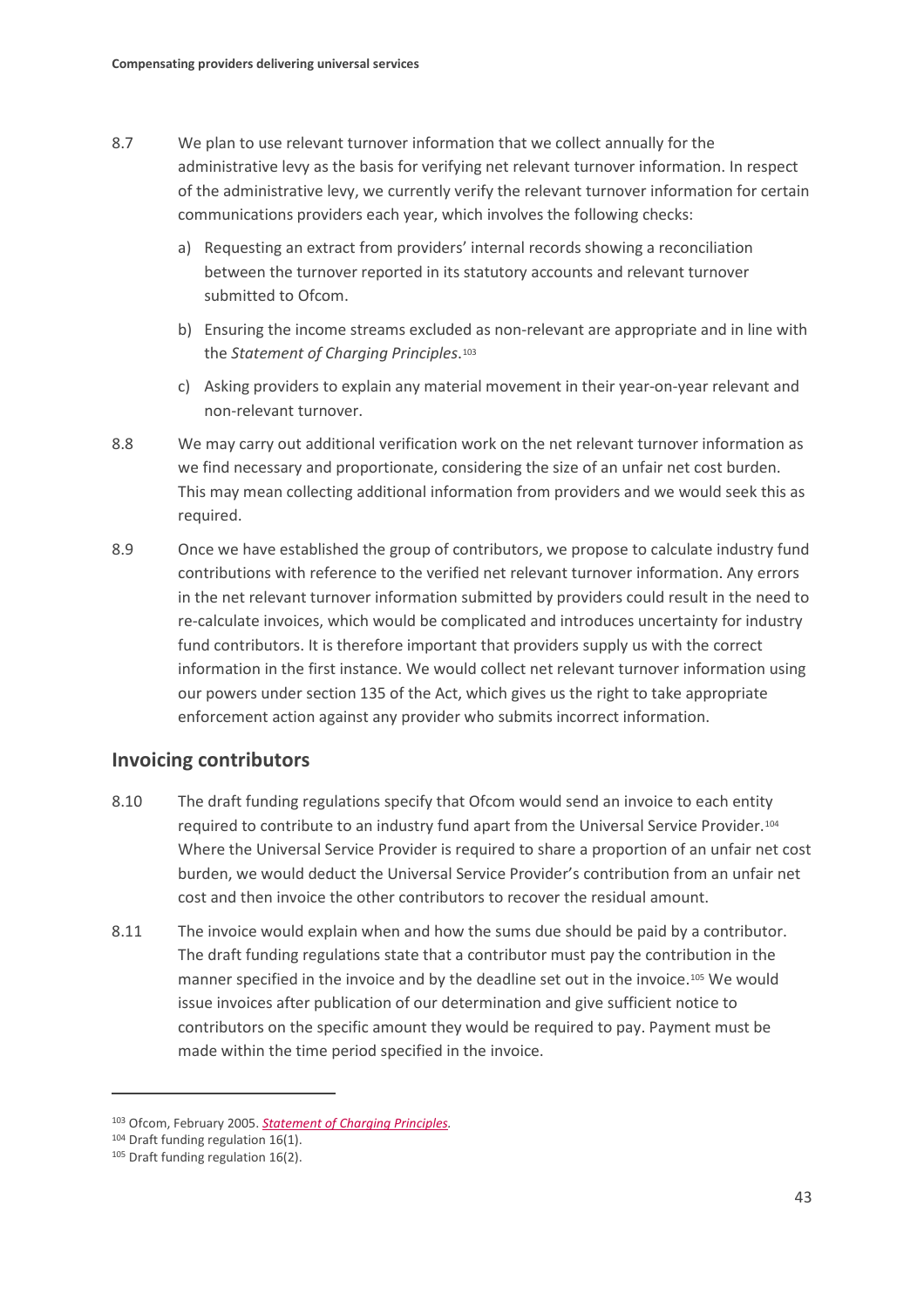- 8.7 We plan to use relevant turnover information that we collect annually for the administrative levy as the basis for verifying net relevant turnover information. In respect of the administrative levy, we currently verify the relevant turnover information for certain communications providers each year, which involves the following checks:
	- a) Requesting an extract from providers' internal records showing a reconciliation between the turnover reported in its statutory accounts and relevant turnover submitted to Ofcom.
	- b) Ensuring the income streams excluded as non-relevant are appropriate and in line with the *Statement of Charging Principles*.[103](#page-44-0)
	- c) Asking providers to explain any material movement in their year-on-year relevant and non-relevant turnover.
- 8.8 We may carry out additional verification work on the net relevant turnover information as we find necessary and proportionate, considering the size of an unfair net cost burden. This may mean collecting additional information from providers and we would seek this as required.
- 8.9 Once we have established the group of contributors, we propose to calculate industry fund contributions with reference to the verified net relevant turnover information. Any errors in the net relevant turnover information submitted by providers could result in the need to re-calculate invoices, which would be complicated and introduces uncertainty for industry fund contributors. It is therefore important that providers supply us with the correct information in the first instance. We would collect net relevant turnover information using our powers under section 135 of the Act, which gives us the right to take appropriate enforcement action against any provider who submits incorrect information.

### **Invoicing contributors**

- 8.10 The draft funding regulations specify that Ofcom would send an invoice to each entity required to contribute to an industry fund apart from the Universal Service Provider.[104](#page-44-1) Where the Universal Service Provider is required to share a proportion of an unfair net cost burden, we would deduct the Universal Service Provider's contribution from an unfair net cost and then invoice the other contributors to recover the residual amount.
- 8.11 The invoice would explain when and how the sums due should be paid by a contributor. The draft funding regulations state that a contributor must pay the contribution in the manner specified in the invoice and by the deadline set out in the invoice.<sup>[105](#page-44-2)</sup> We would issue invoices after publication of our determination and give sufficient notice to contributors on the specific amount they would be required to pay. Payment must be made within the time period specified in the invoice.

<span id="page-44-0"></span><sup>103</sup> Ofcom, February 2005. *[Statement of Charging Principles.](https://www.ofcom.org.uk/__data/assets/pdf_file/0019/51058/charging_principles.pdf)*

<span id="page-44-1"></span><sup>104</sup> Draft funding regulation 16(1).

<span id="page-44-2"></span><sup>105</sup> Draft funding regulation 16(2).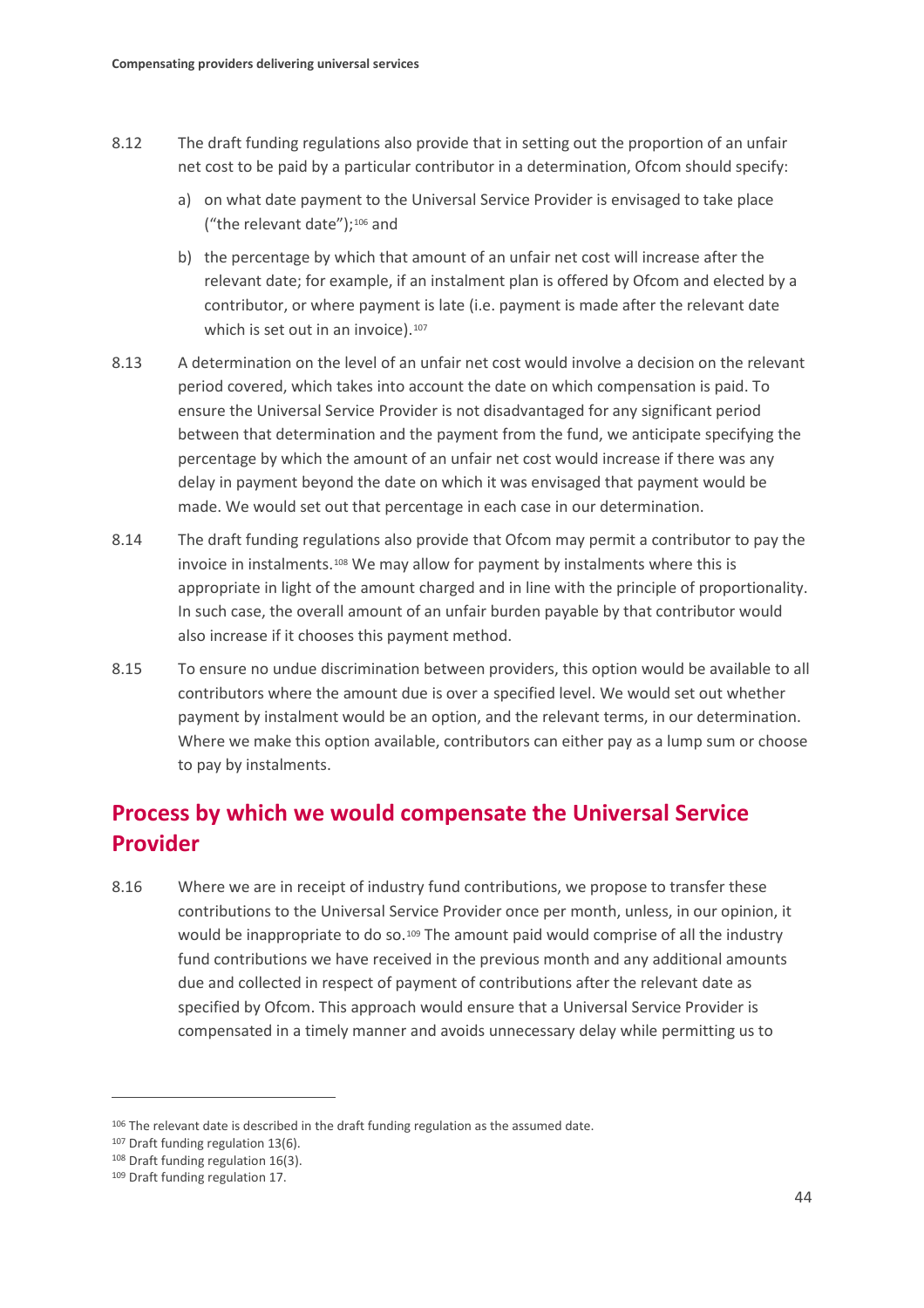- 8.12 The draft funding regulations also provide that in setting out the proportion of an unfair net cost to be paid by a particular contributor in a determination, Ofcom should specify:
	- a) on what date payment to the Universal Service Provider is envisaged to take place ("the relevant date");<sup>[106](#page-45-0)</sup> and
	- b) the percentage by which that amount of an unfair net cost will increase after the relevant date; for example, if an instalment plan is offered by Ofcom and elected by a contributor, or where payment is late (i.e. payment is made after the relevant date which is set out in an invoice).<sup>[107](#page-45-1)</sup>
- 8.13 A determination on the level of an unfair net cost would involve a decision on the relevant period covered, which takes into account the date on which compensation is paid. To ensure the Universal Service Provider is not disadvantaged for any significant period between that determination and the payment from the fund, we anticipate specifying the percentage by which the amount of an unfair net cost would increase if there was any delay in payment beyond the date on which it was envisaged that payment would be made. We would set out that percentage in each case in our determination.
- 8.14 The draft funding regulations also provide that Ofcom may permit a contributor to pay the invoice in instalments.[108](#page-45-2) We may allow for payment by instalments where this is appropriate in light of the amount charged and in line with the principle of proportionality. In such case, the overall amount of an unfair burden payable by that contributor would also increase if it chooses this payment method.
- 8.15 To ensure no undue discrimination between providers, this option would be available to all contributors where the amount due is over a specified level. We would set out whether payment by instalment would be an option, and the relevant terms, in our determination. Where we make this option available, contributors can either pay as a lump sum or choose to pay by instalments.

# **Process by which we would compensate the Universal Service Provider**

8.16 Where we are in receipt of industry fund contributions, we propose to transfer these contributions to the Universal Service Provider once per month, unless, in our opinion, it would be inappropriate to do so.<sup>[109](#page-45-3)</sup> The amount paid would comprise of all the industry fund contributions we have received in the previous month and any additional amounts due and collected in respect of payment of contributions after the relevant date as specified by Ofcom. This approach would ensure that a Universal Service Provider is compensated in a timely manner and avoids unnecessary delay while permitting us to

<span id="page-45-0"></span><sup>106</sup> The relevant date is described in the draft funding regulation as the assumed date.

<span id="page-45-1"></span><sup>107</sup> Draft funding regulation 13(6).

<span id="page-45-2"></span><sup>108</sup> Draft funding regulation 16(3).

<span id="page-45-3"></span><sup>109</sup> Draft funding regulation 17.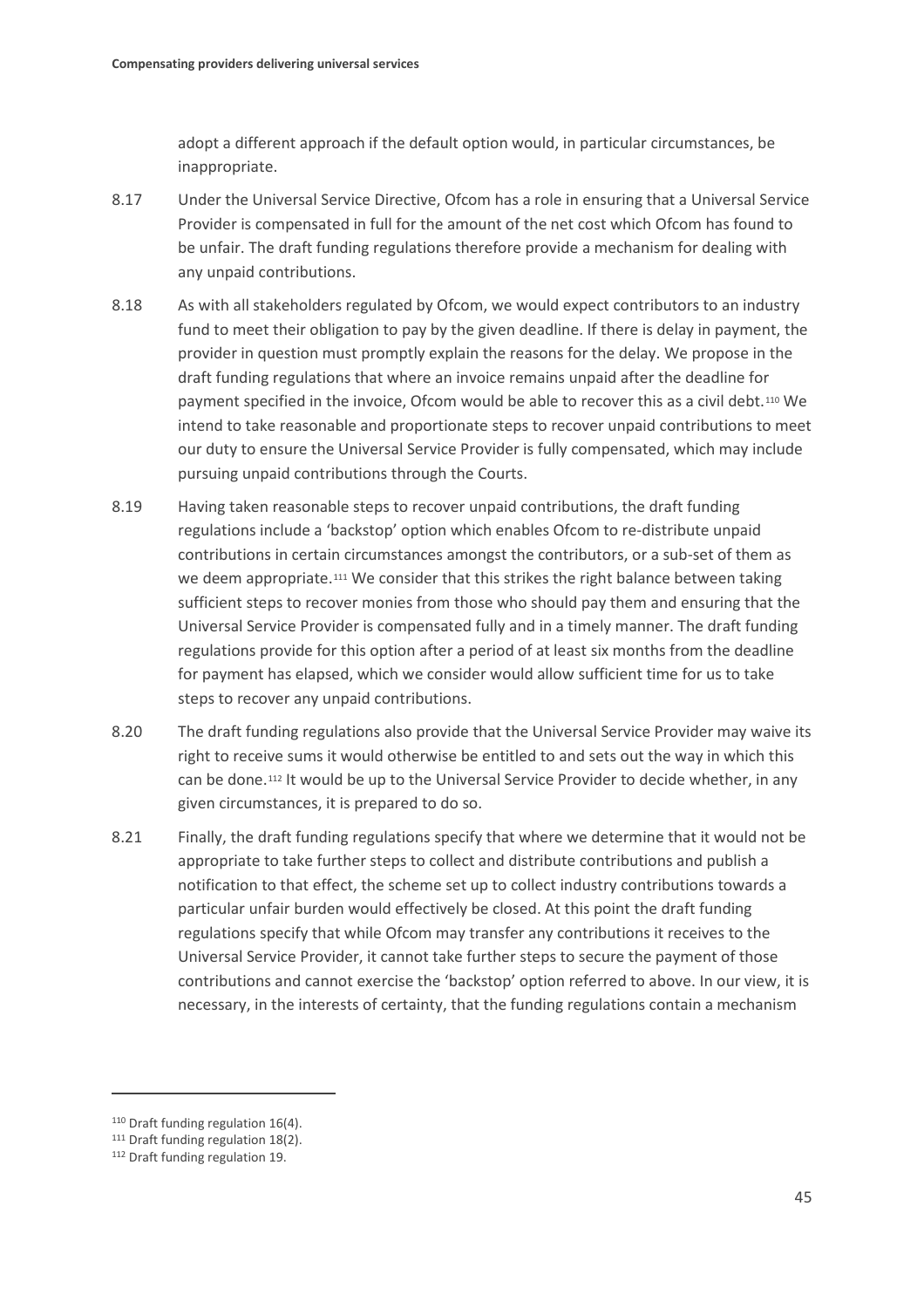adopt a different approach if the default option would, in particular circumstances, be inappropriate.

- 8.17 Under the Universal Service Directive, Ofcom has a role in ensuring that a Universal Service Provider is compensated in full for the amount of the net cost which Ofcom has found to be unfair. The draft funding regulations therefore provide a mechanism for dealing with any unpaid contributions.
- 8.18 As with all stakeholders regulated by Ofcom, we would expect contributors to an industry fund to meet their obligation to pay by the given deadline. If there is delay in payment, the provider in question must promptly explain the reasons for the delay. We propose in the draft funding regulations that where an invoice remains unpaid after the deadline for payment specified in the invoice, Ofcom would be able to recover this as a civil debt.[110](#page-46-0) We intend to take reasonable and proportionate steps to recover unpaid contributions to meet our duty to ensure the Universal Service Provider is fully compensated, which may include pursuing unpaid contributions through the Courts.
- 8.19 Having taken reasonable steps to recover unpaid contributions, the draft funding regulations include a 'backstop' option which enables Ofcom to re-distribute unpaid contributions in certain circumstances amongst the contributors, or a sub-set of them as we deem appropriate.<sup>[111](#page-46-1)</sup> We consider that this strikes the right balance between taking sufficient steps to recover monies from those who should pay them and ensuring that the Universal Service Provider is compensated fully and in a timely manner. The draft funding regulations provide for this option after a period of at least six months from the deadline for payment has elapsed, which we consider would allow sufficient time for us to take steps to recover any unpaid contributions.
- 8.20 The draft funding regulations also provide that the Universal Service Provider may waive its right to receive sums it would otherwise be entitled to and sets out the way in which this can be done.[112](#page-46-2) It would be up to the Universal Service Provider to decide whether, in any given circumstances, it is prepared to do so.
- 8.21 Finally, the draft funding regulations specify that where we determine that it would not be appropriate to take further steps to collect and distribute contributions and publish a notification to that effect, the scheme set up to collect industry contributions towards a particular unfair burden would effectively be closed. At this point the draft funding regulations specify that while Ofcom may transfer any contributions it receives to the Universal Service Provider, it cannot take further steps to secure the payment of those contributions and cannot exercise the 'backstop' option referred to above. In our view, it is necessary, in the interests of certainty, that the funding regulations contain a mechanism

<span id="page-46-0"></span><sup>110</sup> Draft funding regulation 16(4).

<span id="page-46-1"></span><sup>111</sup> Draft funding regulation 18(2).

<span id="page-46-2"></span><sup>112</sup> Draft funding regulation 19.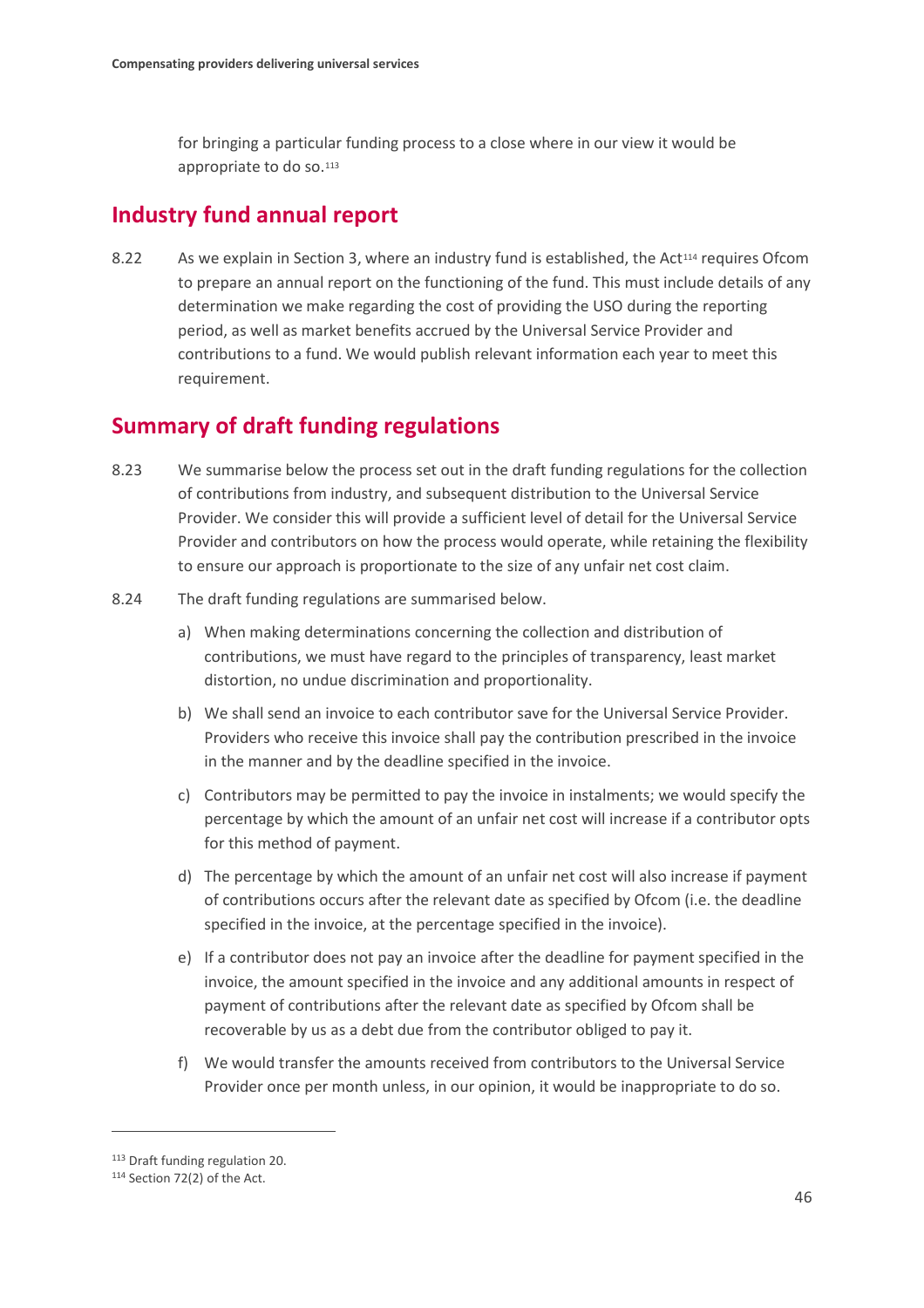for bringing a particular funding process to a close where in our view it would be appropriate to do so.<sup>[113](#page-47-0)</sup>

## **Industry fund annual report**

8.22 As we explain in Section 3, where an industry fund is established, the Act<sup>[114](#page-47-1)</sup> requires Ofcom to prepare an annual report on the functioning of the fund. This must include details of any determination we make regarding the cost of providing the USO during the reporting period, as well as market benefits accrued by the Universal Service Provider and contributions to a fund. We would publish relevant information each year to meet this requirement.

## **Summary of draft funding regulations**

- 8.23 We summarise below the process set out in the draft funding regulations for the collection of contributions from industry, and subsequent distribution to the Universal Service Provider. We consider this will provide a sufficient level of detail for the Universal Service Provider and contributors on how the process would operate, while retaining the flexibility to ensure our approach is proportionate to the size of any unfair net cost claim.
- 8.24 The draft funding regulations are summarised below.
	- a) When making determinations concerning the collection and distribution of contributions, we must have regard to the principles of transparency, least market distortion, no undue discrimination and proportionality.
	- b) We shall send an invoice to each contributor save for the Universal Service Provider. Providers who receive this invoice shall pay the contribution prescribed in the invoice in the manner and by the deadline specified in the invoice.
	- c) Contributors may be permitted to pay the invoice in instalments; we would specify the percentage by which the amount of an unfair net cost will increase if a contributor opts for this method of payment.
	- d) The percentage by which the amount of an unfair net cost will also increase if payment of contributions occurs after the relevant date as specified by Ofcom (i.e. the deadline specified in the invoice, at the percentage specified in the invoice).
	- e) If a contributor does not pay an invoice after the deadline for payment specified in the invoice, the amount specified in the invoice and any additional amounts in respect of payment of contributions after the relevant date as specified by Ofcom shall be recoverable by us as a debt due from the contributor obliged to pay it.
	- f) We would transfer the amounts received from contributors to the Universal Service Provider once per month unless, in our opinion, it would be inappropriate to do so.

<span id="page-47-0"></span><sup>113</sup> Draft funding regulation 20.

<span id="page-47-1"></span><sup>114</sup> Section 72(2) of the Act.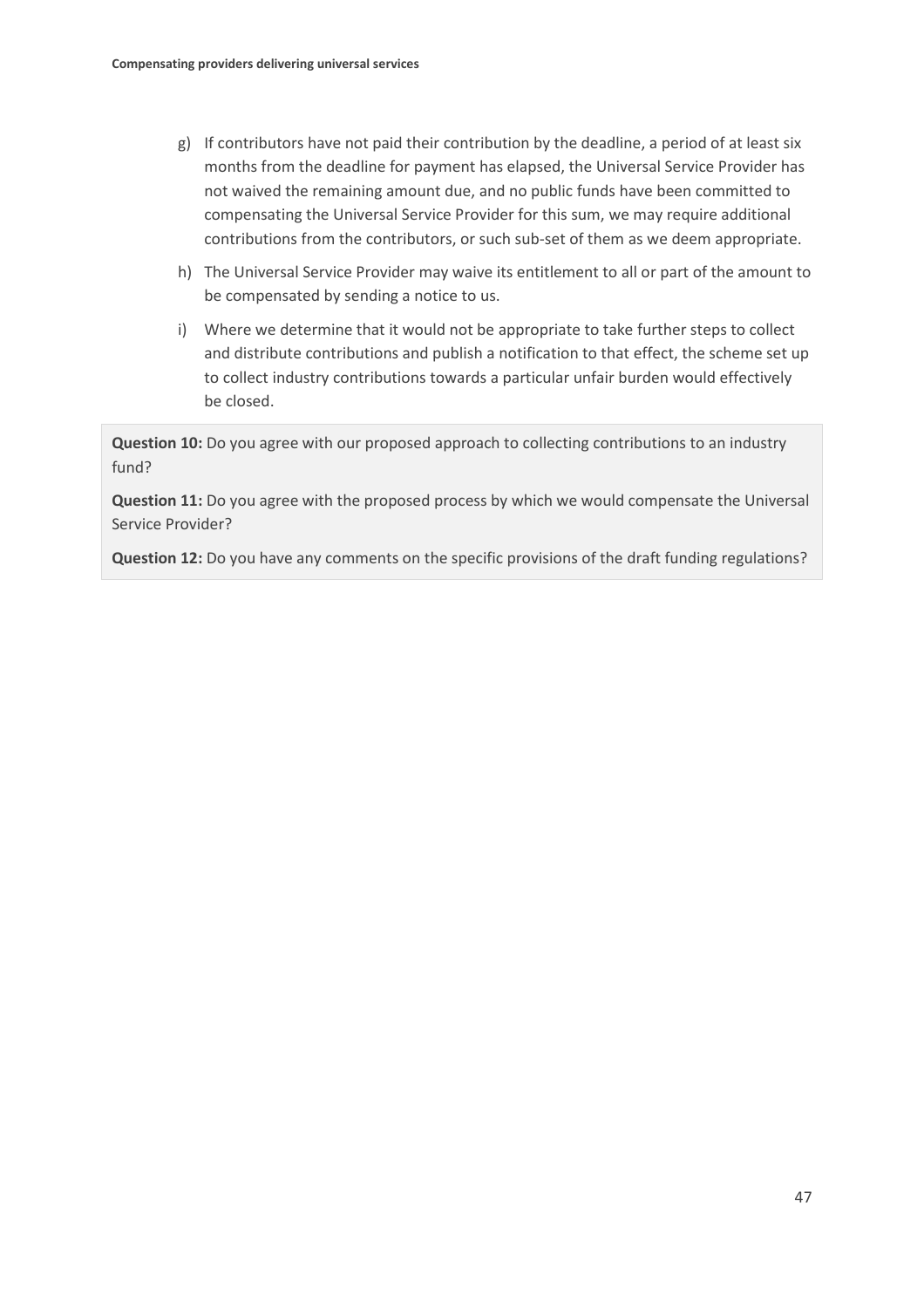- g) If contributors have not paid their contribution by the deadline, a period of at least six months from the deadline for payment has elapsed, the Universal Service Provider has not waived the remaining amount due, and no public funds have been committed to compensating the Universal Service Provider for this sum, we may require additional contributions from the contributors, or such sub-set of them as we deem appropriate.
- h) The Universal Service Provider may waive its entitlement to all or part of the amount to be compensated by sending a notice to us.
- i) Where we determine that it would not be appropriate to take further steps to collect and distribute contributions and publish a notification to that effect, the scheme set up to collect industry contributions towards a particular unfair burden would effectively be closed.

**Question 10:** Do you agree with our proposed approach to collecting contributions to an industry fund?

**Question 11:** Do you agree with the proposed process by which we would compensate the Universal Service Provider?

**Question 12:** Do you have any comments on the specific provisions of the draft funding regulations?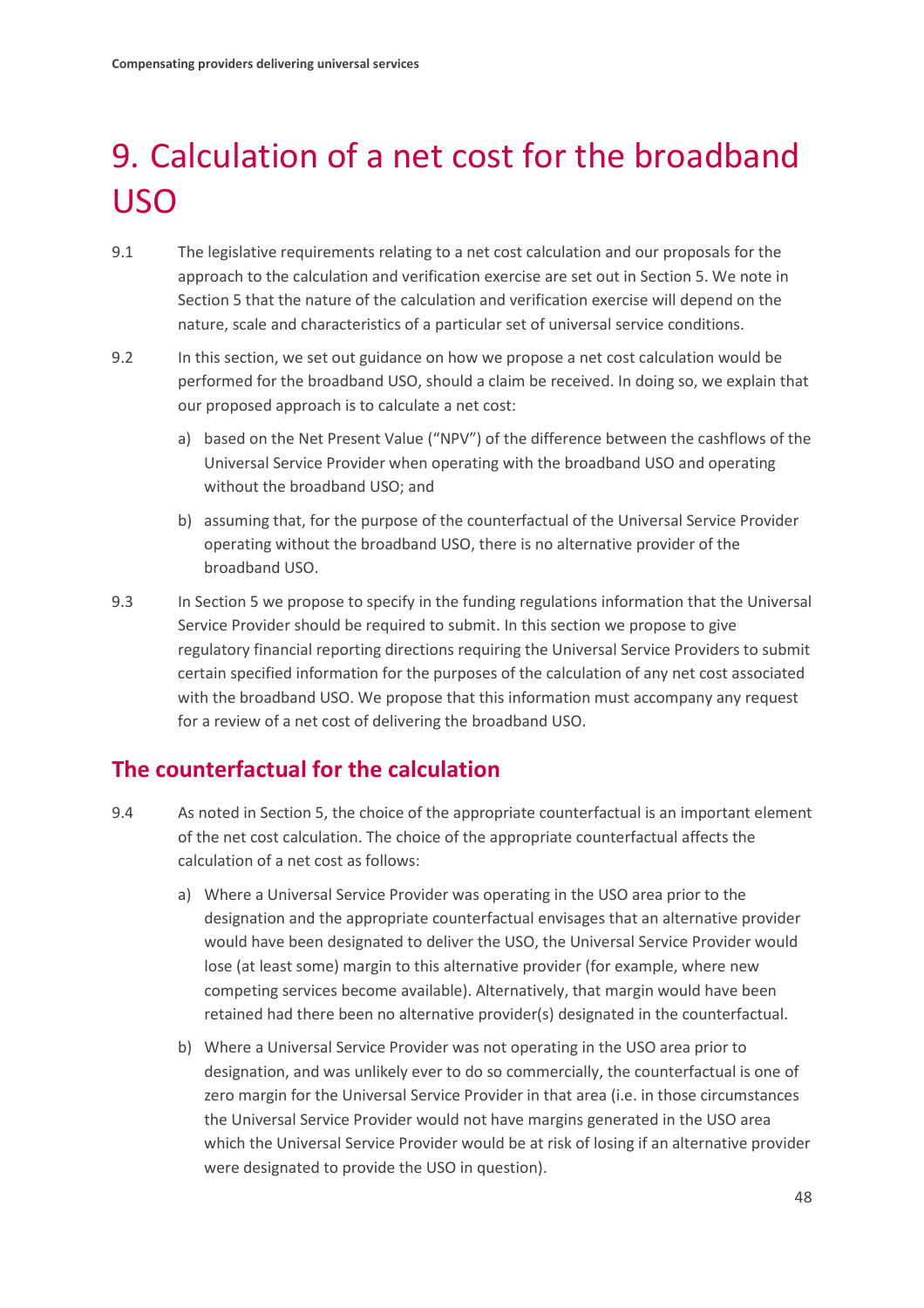# <span id="page-49-0"></span>9. Calculation of a net cost for the broadband USO

- 9.1 The legislative requirements relating to a net cost calculation and our proposals for the approach to the calculation and verification exercise are set out in Section 5. We note in Section 5 that the nature of the calculation and verification exercise will depend on the nature, scale and characteristics of a particular set of universal service conditions.
- 9.2 In this section, we set out guidance on how we propose a net cost calculation would be performed for the broadband USO, should a claim be received. In doing so, we explain that our proposed approach is to calculate a net cost:
	- a) based on the Net Present Value ("NPV") of the difference between the cashflows of the Universal Service Provider when operating with the broadband USO and operating without the broadband USO; and
	- b) assuming that, for the purpose of the counterfactual of the Universal Service Provider operating without the broadband USO, there is no alternative provider of the broadband USO.
- 9.3 In Section 5 we propose to specify in the funding regulations information that the Universal Service Provider should be required to submit. In this section we propose to give regulatory financial reporting directions requiring the Universal Service Providers to submit certain specified information for the purposes of the calculation of any net cost associated with the broadband USO. We propose that this information must accompany any request for a review of a net cost of delivering the broadband USO.

## **The counterfactual for the calculation**

- 9.4 As noted in Section 5, the choice of the appropriate counterfactual is an important element of the net cost calculation. The choice of the appropriate counterfactual affects the calculation of a net cost as follows:
	- a) Where a Universal Service Provider was operating in the USO area prior to the designation and the appropriate counterfactual envisages that an alternative provider would have been designated to deliver the USO, the Universal Service Provider would lose (at least some) margin to this alternative provider (for example, where new competing services become available). Alternatively, that margin would have been retained had there been no alternative provider(s) designated in the counterfactual.
	- b) Where a Universal Service Provider was not operating in the USO area prior to designation, and was unlikely ever to do so commercially, the counterfactual is one of zero margin for the Universal Service Provider in that area (i.e. in those circumstances the Universal Service Provider would not have margins generated in the USO area which the Universal Service Provider would be at risk of losing if an alternative provider were designated to provide the USO in question).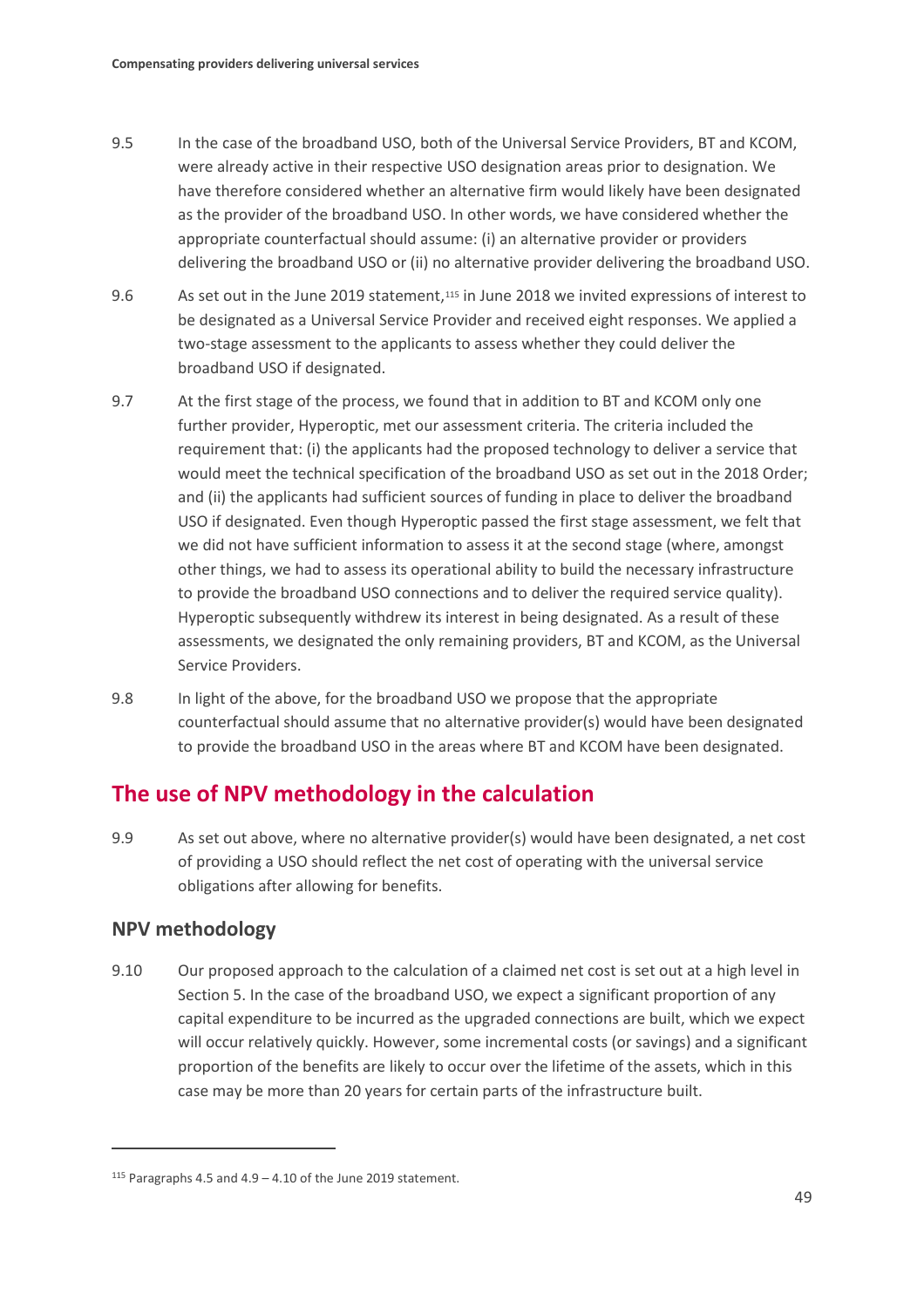- 9.5 In the case of the broadband USO, both of the Universal Service Providers, BT and KCOM, were already active in their respective USO designation areas prior to designation. We have therefore considered whether an alternative firm would likely have been designated as the provider of the broadband USO. In other words, we have considered whether the appropriate counterfactual should assume: (i) an alternative provider or providers delivering the broadband USO or (ii) no alternative provider delivering the broadband USO.
- 9.6 As set out in the June 2019 statement,<sup>[115](#page-50-0)</sup> in June 2018 we invited expressions of interest to be designated as a Universal Service Provider and received eight responses. We applied a two-stage assessment to the applicants to assess whether they could deliver the broadband USO if designated.
- 9.7 At the first stage of the process, we found that in addition to BT and KCOM only one further provider, Hyperoptic, met our assessment criteria. The criteria included the requirement that: (i) the applicants had the proposed technology to deliver a service that would meet the technical specification of the broadband USO as set out in the 2018 Order; and (ii) the applicants had sufficient sources of funding in place to deliver the broadband USO if designated. Even though Hyperoptic passed the first stage assessment, we felt that we did not have sufficient information to assess it at the second stage (where, amongst other things, we had to assess its operational ability to build the necessary infrastructure to provide the broadband USO connections and to deliver the required service quality). Hyperoptic subsequently withdrew its interest in being designated. As a result of these assessments, we designated the only remaining providers, BT and KCOM, as the Universal Service Providers.
- 9.8 In light of the above, for the broadband USO we propose that the appropriate counterfactual should assume that no alternative provider(s) would have been designated to provide the broadband USO in the areas where BT and KCOM have been designated.

## **The use of NPV methodology in the calculation**

9.9 As set out above, where no alternative provider(s) would have been designated, a net cost of providing a USO should reflect the net cost of operating with the universal service obligations after allowing for benefits.

## **NPV methodology**

 $\overline{a}$ 

9.10 Our proposed approach to the calculation of a claimed net cost is set out at a high level in Section 5. In the case of the broadband USO, we expect a significant proportion of any capital expenditure to be incurred as the upgraded connections are built, which we expect will occur relatively quickly. However, some incremental costs (or savings) and a significant proportion of the benefits are likely to occur over the lifetime of the assets, which in this case may be more than 20 years for certain parts of the infrastructure built.

<span id="page-50-0"></span> $115$  Paragraphs 4.5 and 4.9 – 4.10 of the June 2019 statement.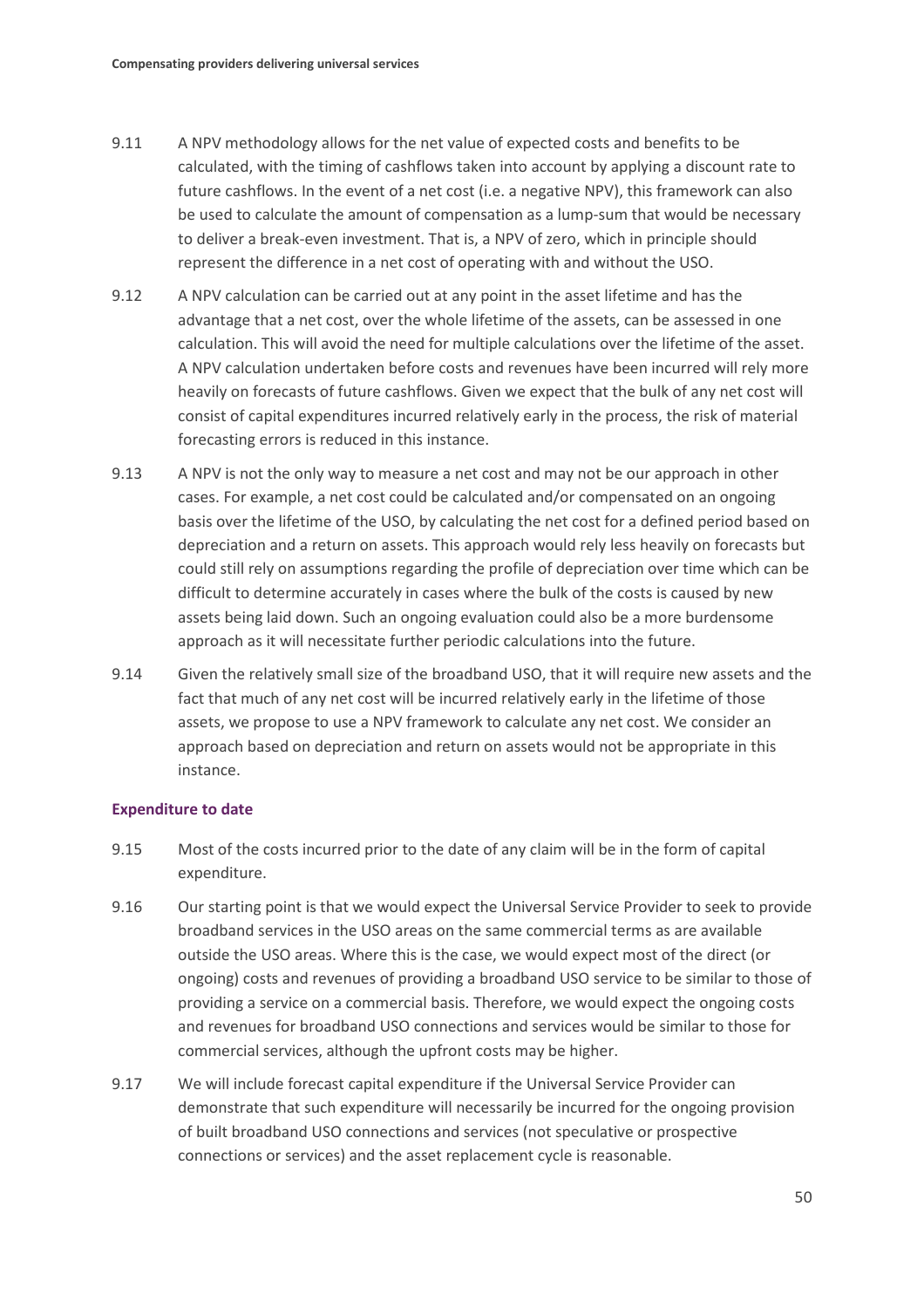- 9.11 A NPV methodology allows for the net value of expected costs and benefits to be calculated, with the timing of cashflows taken into account by applying a discount rate to future cashflows. In the event of a net cost (i.e. a negative NPV), this framework can also be used to calculate the amount of compensation as a lump-sum that would be necessary to deliver a break-even investment. That is, a NPV of zero, which in principle should represent the difference in a net cost of operating with and without the USO.
- 9.12 A NPV calculation can be carried out at any point in the asset lifetime and has the advantage that a net cost, over the whole lifetime of the assets, can be assessed in one calculation. This will avoid the need for multiple calculations over the lifetime of the asset. A NPV calculation undertaken before costs and revenues have been incurred will rely more heavily on forecasts of future cashflows. Given we expect that the bulk of any net cost will consist of capital expenditures incurred relatively early in the process, the risk of material forecasting errors is reduced in this instance.
- 9.13 A NPV is not the only way to measure a net cost and may not be our approach in other cases. For example, a net cost could be calculated and/or compensated on an ongoing basis over the lifetime of the USO, by calculating the net cost for a defined period based on depreciation and a return on assets. This approach would rely less heavily on forecasts but could still rely on assumptions regarding the profile of depreciation over time which can be difficult to determine accurately in cases where the bulk of the costs is caused by new assets being laid down. Such an ongoing evaluation could also be a more burdensome approach as it will necessitate further periodic calculations into the future.
- 9.14 Given the relatively small size of the broadband USO, that it will require new assets and the fact that much of any net cost will be incurred relatively early in the lifetime of those assets, we propose to use a NPV framework to calculate any net cost. We consider an approach based on depreciation and return on assets would not be appropriate in this instance.

#### **Expenditure to date**

- 9.15 Most of the costs incurred prior to the date of any claim will be in the form of capital expenditure.
- 9.16 Our starting point is that we would expect the Universal Service Provider to seek to provide broadband services in the USO areas on the same commercial terms as are available outside the USO areas. Where this is the case, we would expect most of the direct (or ongoing) costs and revenues of providing a broadband USO service to be similar to those of providing a service on a commercial basis. Therefore, we would expect the ongoing costs and revenues for broadband USO connections and services would be similar to those for commercial services, although the upfront costs may be higher.
- 9.17 We will include forecast capital expenditure if the Universal Service Provider can demonstrate that such expenditure will necessarily be incurred for the ongoing provision of built broadband USO connections and services (not speculative or prospective connections or services) and the asset replacement cycle is reasonable.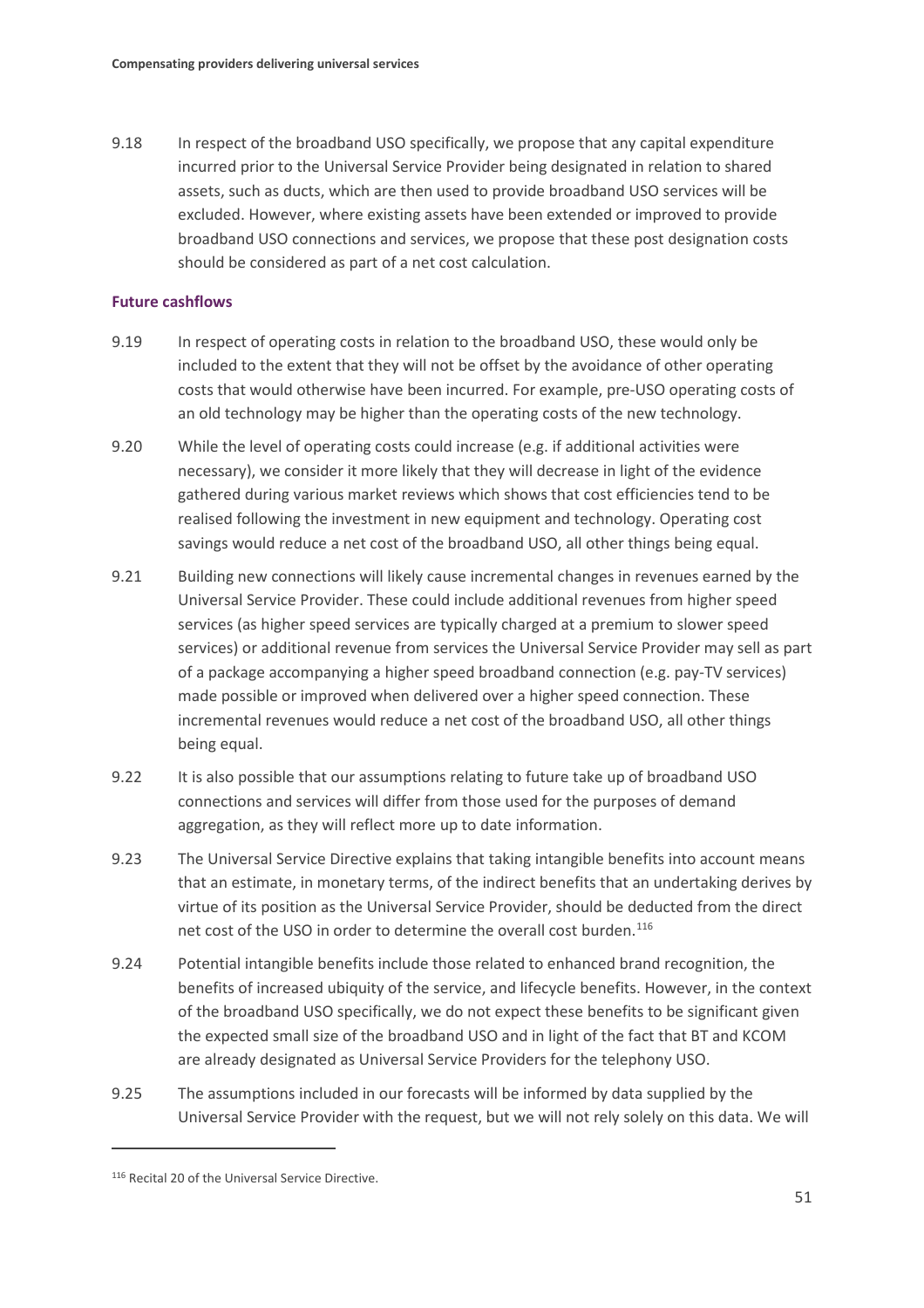9.18 In respect of the broadband USO specifically, we propose that any capital expenditure incurred prior to the Universal Service Provider being designated in relation to shared assets, such as ducts, which are then used to provide broadband USO services will be excluded. However, where existing assets have been extended or improved to provide broadband USO connections and services, we propose that these post designation costs should be considered as part of a net cost calculation.

#### **Future cashflows**

- 9.19 In respect of operating costs in relation to the broadband USO, these would only be included to the extent that they will not be offset by the avoidance of other operating costs that would otherwise have been incurred. For example, pre-USO operating costs of an old technology may be higher than the operating costs of the new technology.
- 9.20 While the level of operating costs could increase (e.g. if additional activities were necessary), we consider it more likely that they will decrease in light of the evidence gathered during various market reviews which shows that cost efficiencies tend to be realised following the investment in new equipment and technology. Operating cost savings would reduce a net cost of the broadband USO, all other things being equal.
- 9.21 Building new connections will likely cause incremental changes in revenues earned by the Universal Service Provider. These could include additional revenues from higher speed services (as higher speed services are typically charged at a premium to slower speed services) or additional revenue from services the Universal Service Provider may sell as part of a package accompanying a higher speed broadband connection (e.g. pay-TV services) made possible or improved when delivered over a higher speed connection. These incremental revenues would reduce a net cost of the broadband USO, all other things being equal.
- 9.22 It is also possible that our assumptions relating to future take up of broadband USO connections and services will differ from those used for the purposes of demand aggregation, as they will reflect more up to date information.
- 9.23 The Universal Service Directive explains that taking intangible benefits into account means that an estimate, in monetary terms, of the indirect benefits that an undertaking derives by virtue of its position as the Universal Service Provider, should be deducted from the direct net cost of the USO in order to determine the overall cost burden.<sup>[116](#page-52-0)</sup>
- 9.24 Potential intangible benefits include those related to enhanced brand recognition, the benefits of increased ubiquity of the service, and lifecycle benefits. However, in the context of the broadband USO specifically, we do not expect these benefits to be significant given the expected small size of the broadband USO and in light of the fact that BT and KCOM are already designated as Universal Service Providers for the telephony USO.
- 9.25 The assumptions included in our forecasts will be informed by data supplied by the Universal Service Provider with the request, but we will not rely solely on this data. We will

<span id="page-52-0"></span><sup>116</sup> Recital 20 of the Universal Service Directive.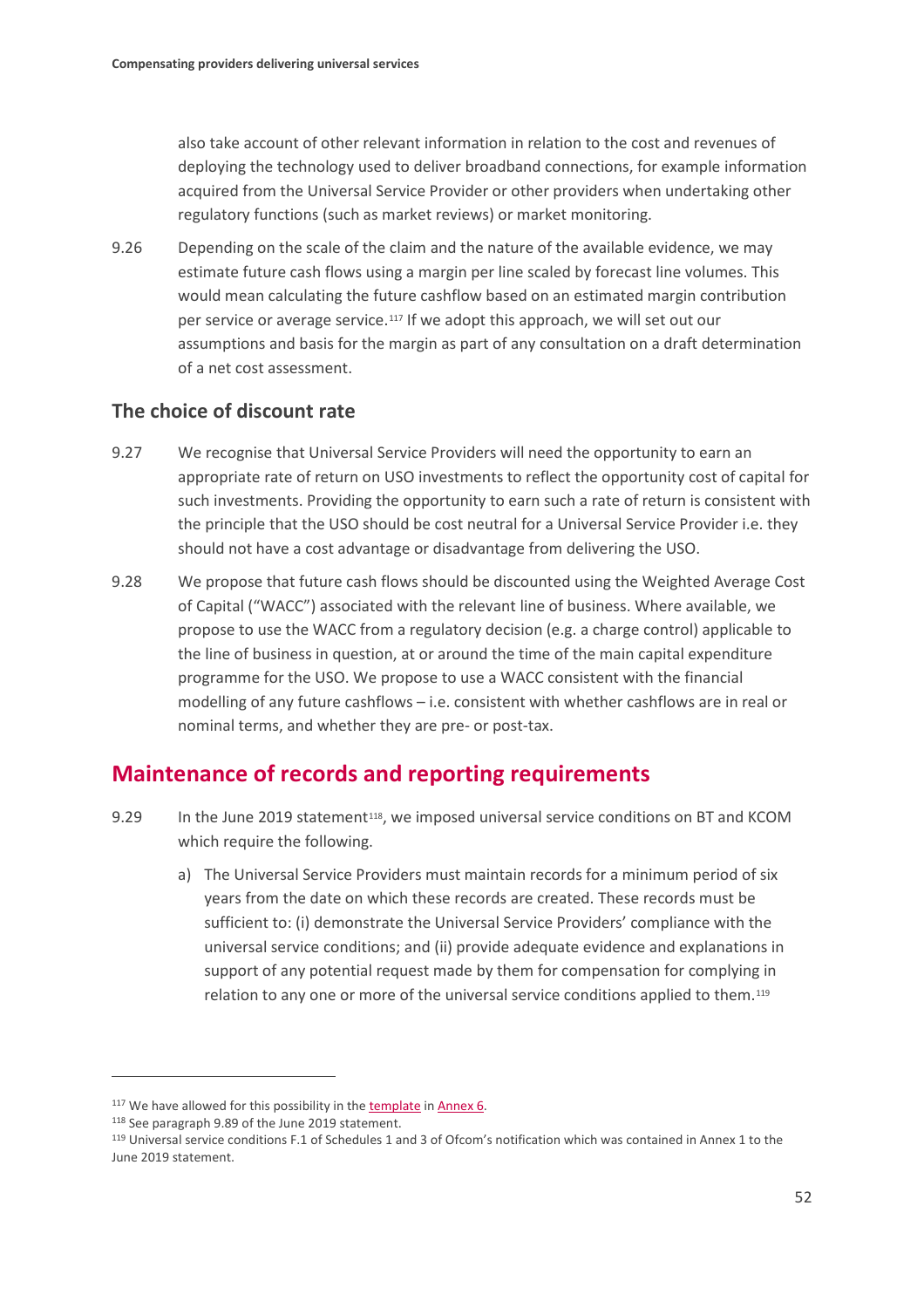also take account of other relevant information in relation to the cost and revenues of deploying the technology used to deliver broadband connections, for example information acquired from the Universal Service Provider or other providers when undertaking other regulatory functions (such as market reviews) or market monitoring.

9.26 Depending on the scale of the claim and the nature of the available evidence, we may estimate future cash flows using a margin per line scaled by forecast line volumes. This would mean calculating the future cashflow based on an estimated margin contribution per service or average service.<sup>[117](#page-53-0)</sup> If we adopt this approach, we will set out our assumptions and basis for the margin as part of any consultation on a draft determination of a net cost assessment.

## **The choice of discount rate**

- 9.27 We recognise that Universal Service Providers will need the opportunity to earn an appropriate rate of return on USO investments to reflect the opportunity cost of capital for such investments. Providing the opportunity to earn such a rate of return is consistent with the principle that the USO should be cost neutral for a Universal Service Provider i.e. they should not have a cost advantage or disadvantage from delivering the USO.
- 9.28 We propose that future cash flows should be discounted using the Weighted Average Cost of Capital ("WACC") associated with the relevant line of business. Where available, we propose to use the WACC from a regulatory decision (e.g. a charge control) applicable to the line of business in question, at or around the time of the main capital expenditure programme for the USO. We propose to use a WACC consistent with the financial modelling of any future cashflows – i.e. consistent with whether cashflows are in real or nominal terms, and whether they are pre- or post-tax.

## **Maintenance of records and reporting requirements**

- 9.29 In the June 2019 statement<sup>118</sup>, we imposed universal service conditions on BT and KCOM which require the following.
	- a) The Universal Service Providers must maintain records for a minimum period of six years from the date on which these records are created. These records must be sufficient to: (i) demonstrate the Universal Service Providers' compliance with the universal service conditions; and (ii) provide adequate evidence and explanations in support of any potential request made by them for compensation for complying in relation to any one or more of the universal service conditions applied to them.<sup>[119](#page-53-2)</sup>

<span id="page-53-0"></span><sup>&</sup>lt;sup>117</sup> We have allowed for this possibility in the [template](https://www.ofcom.org.uk/__data/assets/file/0027/176454/proposed-template-net-cost-claim.xlsb) in [Annex 6.](https://www.ofcom.org.uk/__data/assets/pdf_file/0028/176455/annex-6-draft-reporting-direction.pdf)

<span id="page-53-2"></span><span id="page-53-1"></span><sup>&</sup>lt;sup>118</sup> See paragraph 9.89 of the June 2019 statement.<br><sup>119</sup> Universal service conditions F.1 of Schedules 1 and 3 of Ofcom's notification which was contained in Annex 1 to the June 2019 statement.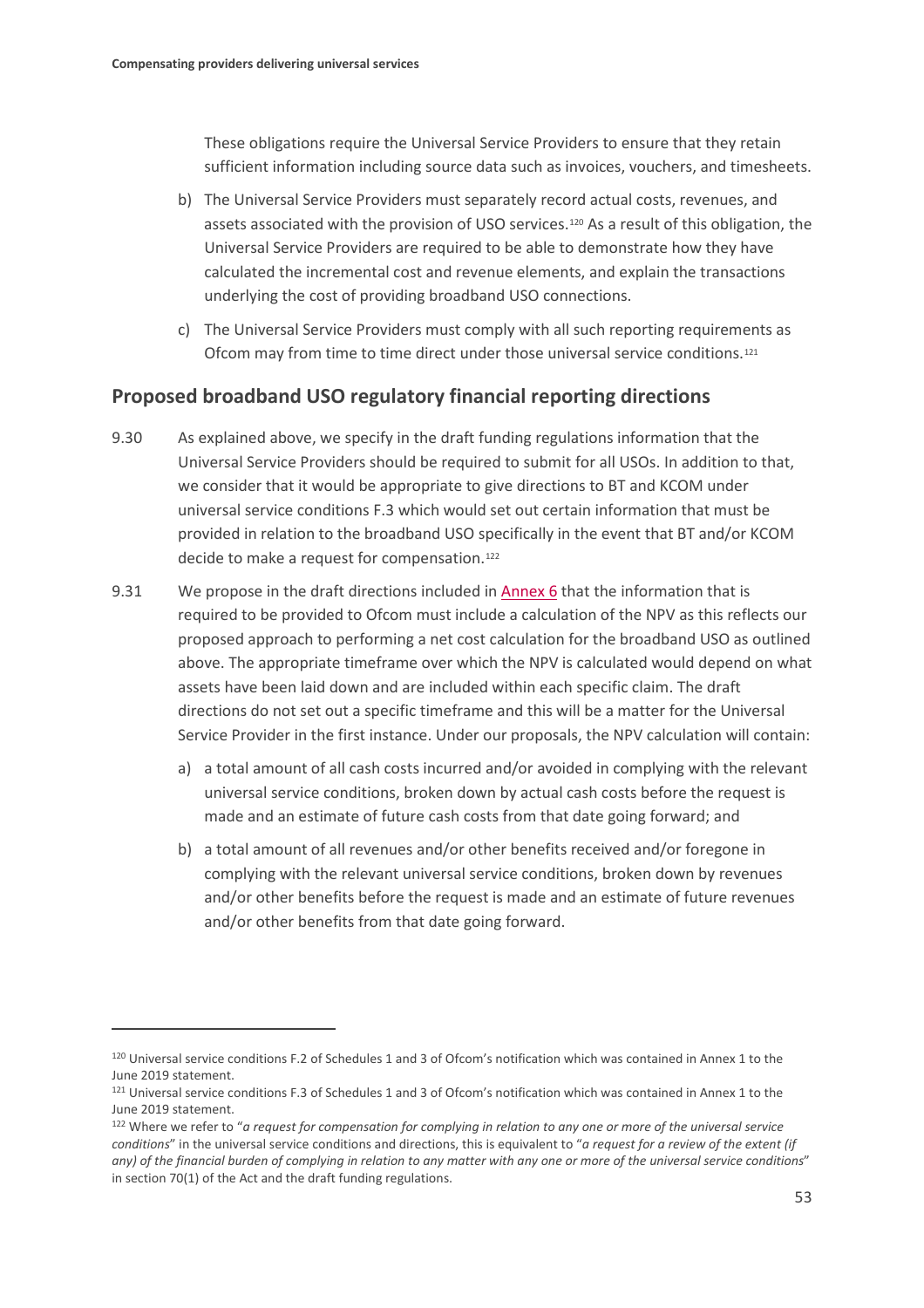These obligations require the Universal Service Providers to ensure that they retain sufficient information including source data such as invoices, vouchers, and timesheets.

- b) The Universal Service Providers must separately record actual costs, revenues, and assets associated with the provision of USO services.[120](#page-54-0) As a result of this obligation, the Universal Service Providers are required to be able to demonstrate how they have calculated the incremental cost and revenue elements, and explain the transactions underlying the cost of providing broadband USO connections.
- c) The Universal Service Providers must comply with all such reporting requirements as Ofcom may from time to time direct under those universal service conditions.[121](#page-54-1)

## **Proposed broadband USO regulatory financial reporting directions**

- 9.30 As explained above, we specify in the draft funding regulations information that the Universal Service Providers should be required to submit for all USOs. In addition to that, we consider that it would be appropriate to give directions to BT and KCOM under universal service conditions F.3 which would set out certain information that must be provided in relation to the broadband USO specifically in the event that BT and/or KCOM decide to make a request for compensation.<sup>[122](#page-54-2)</sup>
- 9.31 We propose in the draft directions included i[n Annex 6](https://www.ofcom.org.uk/__data/assets/pdf_file/0028/176455/annex-6-draft-reporting-direction.pdf) that the information that is required to be provided to Ofcom must include a calculation of the NPV as this reflects our proposed approach to performing a net cost calculation for the broadband USO as outlined above. The appropriate timeframe over which the NPV is calculated would depend on what assets have been laid down and are included within each specific claim. The draft directions do not set out a specific timeframe and this will be a matter for the Universal Service Provider in the first instance. Under our proposals, the NPV calculation will contain:
	- a) a total amount of all cash costs incurred and/or avoided in complying with the relevant universal service conditions, broken down by actual cash costs before the request is made and an estimate of future cash costs from that date going forward; and
	- b) a total amount of all revenues and/or other benefits received and/or foregone in complying with the relevant universal service conditions, broken down by revenues and/or other benefits before the request is made and an estimate of future revenues and/or other benefits from that date going forward.

<span id="page-54-0"></span><sup>120</sup> Universal service conditions F.2 of Schedules 1 and 3 of Ofcom's notification which was contained in Annex 1 to the June 2019 statement.

<span id="page-54-1"></span><sup>121</sup> Universal service conditions F.3 of Schedules 1 and 3 of Ofcom's notification which was contained in Annex 1 to the June 2019 statement.

<span id="page-54-2"></span><sup>122</sup> Where we refer to "*a request for compensation for complying in relation to any one or more of the universal service conditions*" in the universal service conditions and directions, this is equivalent to "*a request for a review of the extent (if any) of the financial burden of complying in relation to any matter with any one or more of the universal service conditions*" in section 70(1) of the Act and the draft funding regulations.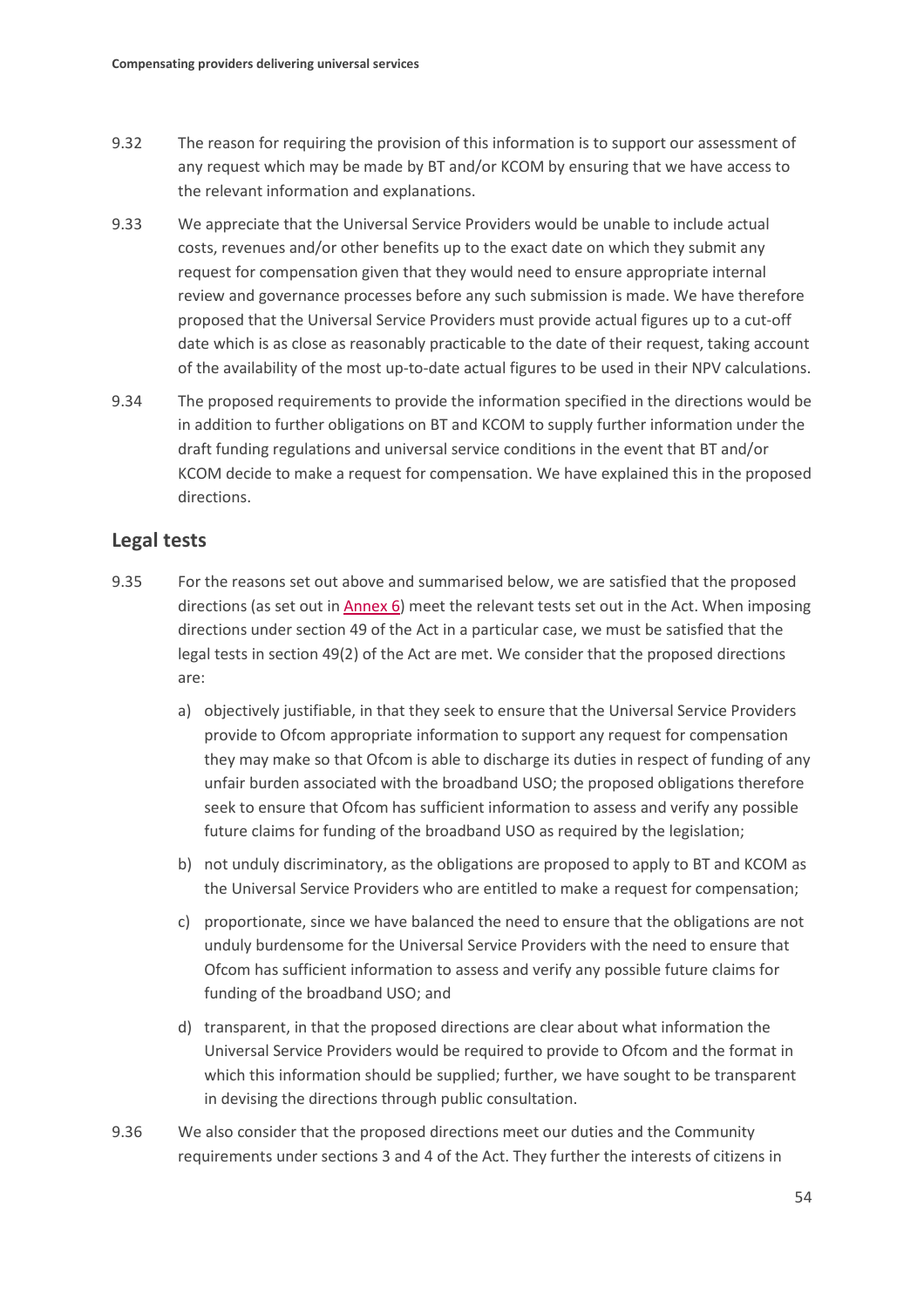- 9.32 The reason for requiring the provision of this information is to support our assessment of any request which may be made by BT and/or KCOM by ensuring that we have access to the relevant information and explanations.
- 9.33 We appreciate that the Universal Service Providers would be unable to include actual costs, revenues and/or other benefits up to the exact date on which they submit any request for compensation given that they would need to ensure appropriate internal review and governance processes before any such submission is made. We have therefore proposed that the Universal Service Providers must provide actual figures up to a cut-off date which is as close as reasonably practicable to the date of their request, taking account of the availability of the most up-to-date actual figures to be used in their NPV calculations.
- 9.34 The proposed requirements to provide the information specified in the directions would be in addition to further obligations on BT and KCOM to supply further information under the draft funding regulations and universal service conditions in the event that BT and/or KCOM decide to make a request for compensation. We have explained this in the proposed directions.

### **Legal tests**

- 9.35 For the reasons set out above and summarised below, we are satisfied that the proposed directions (as set out i[n Annex 6\)](https://www.ofcom.org.uk/__data/assets/pdf_file/0028/176455/annex-6-draft-reporting-direction.pdf) meet the relevant tests set out in the Act. When imposing directions under section 49 of the Act in a particular case, we must be satisfied that the legal tests in section 49(2) of the Act are met. We consider that the proposed directions are:
	- a) objectively justifiable, in that they seek to ensure that the Universal Service Providers provide to Ofcom appropriate information to support any request for compensation they may make so that Ofcom is able to discharge its duties in respect of funding of any unfair burden associated with the broadband USO; the proposed obligations therefore seek to ensure that Ofcom has sufficient information to assess and verify any possible future claims for funding of the broadband USO as required by the legislation;
	- b) not unduly discriminatory, as the obligations are proposed to apply to BT and KCOM as the Universal Service Providers who are entitled to make a request for compensation;
	- c) proportionate, since we have balanced the need to ensure that the obligations are not unduly burdensome for the Universal Service Providers with the need to ensure that Ofcom has sufficient information to assess and verify any possible future claims for funding of the broadband USO; and
	- d) transparent, in that the proposed directions are clear about what information the Universal Service Providers would be required to provide to Ofcom and the format in which this information should be supplied; further, we have sought to be transparent in devising the directions through public consultation.
- 9.36 We also consider that the proposed directions meet our duties and the Community requirements under sections 3 and 4 of the Act. They further the interests of citizens in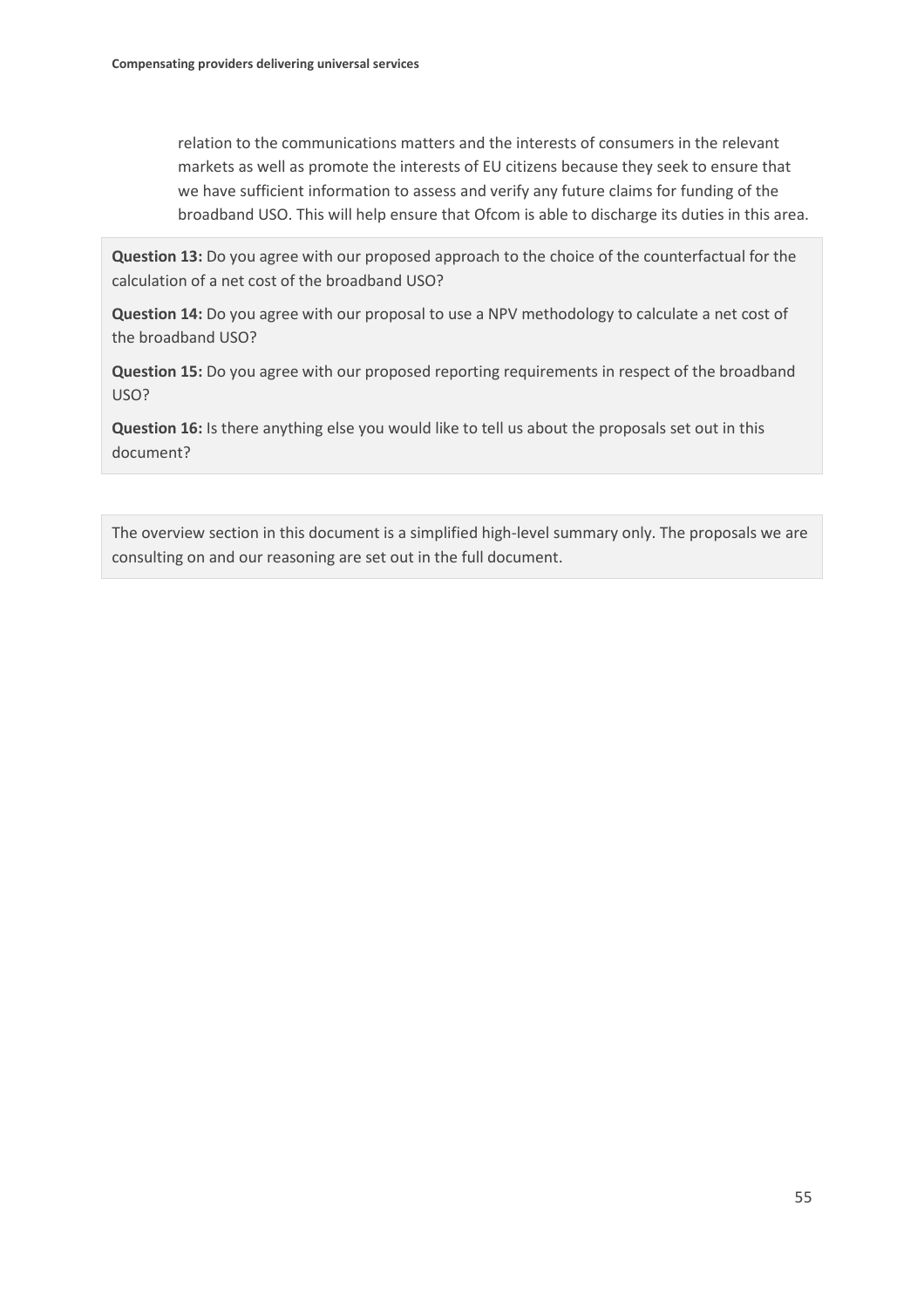relation to the communications matters and the interests of consumers in the relevant markets as well as promote the interests of EU citizens because they seek to ensure that we have sufficient information to assess and verify any future claims for funding of the broadband USO. This will help ensure that Ofcom is able to discharge its duties in this area.

**Question 13:** Do you agree with our proposed approach to the choice of the counterfactual for the calculation of a net cost of the broadband USO?

**Question 14:** Do you agree with our proposal to use a NPV methodology to calculate a net cost of the broadband USO?

**Question 15:** Do you agree with our proposed reporting requirements in respect of the broadband USO?

**Question 16:** Is there anything else you would like to tell us about the proposals set out in this document?

The overview section in this document is a simplified high-level summary only. The proposals we are consulting on and our reasoning are set out in the full document.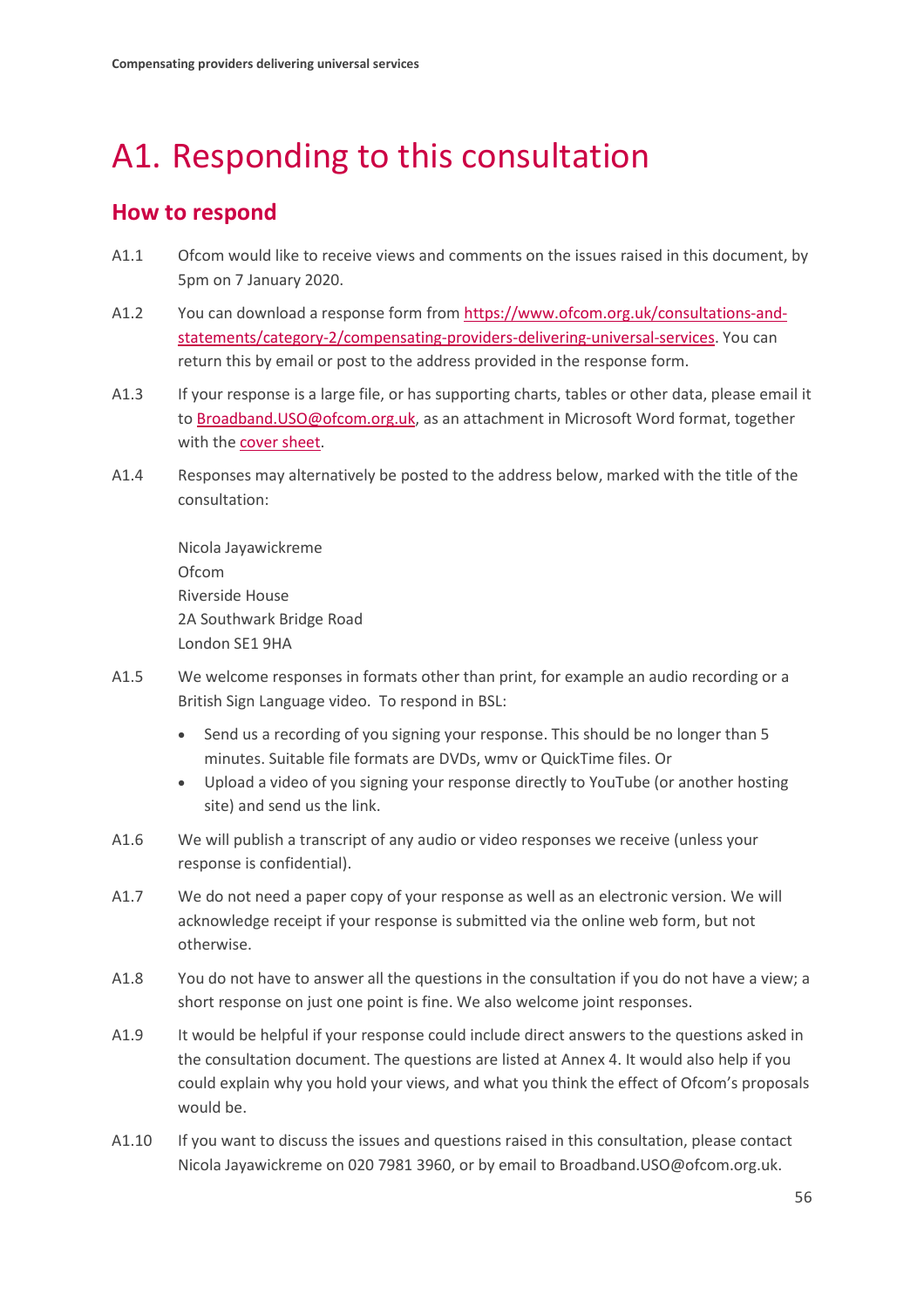# <span id="page-57-0"></span>A1. Responding to this consultation

## **How to respond**

- A1.1 Ofcom would like to receive views and comments on the issues raised in this document, by 5pm on 7 January 2020.
- A1.2 You can download a response form from [https://www.ofcom.org.uk/consultations-and](https://www.ofcom.org.uk/consultations-and-statements/category-2/compensating-providers-delivering-universal-services)[statements/category-2/compensating-providers-delivering-universal-services.](https://www.ofcom.org.uk/consultations-and-statements/category-2/compensating-providers-delivering-universal-services) You can return this by email or post to the address provided in the response form.
- A1.3 If your response is a large file, or has supporting charts, tables or other data, please email it t[o Broadband.USO@ofcom.org.uk,](mailto:Broadband.USO@ofcom.org.uk) as an attachment in Microsoft Word format, together with th[e cover sheet.](https://www.ofcom.org.uk/consultations-and-statements/consultation-response-coversheet)
- A1.4 Responses may alternatively be posted to the address below, marked with the title of the consultation:

Nicola Jayawickreme Ofcom Riverside House 2A Southwark Bridge Road London SE1 9HA

- A1.5 We welcome responses in formats other than print, for example an audio recording or a British Sign Language video. To respond in BSL:
	- Send us a recording of you signing your response. This should be no longer than 5 minutes. Suitable file formats are DVDs, wmv or QuickTime files. Or
	- Upload a video of you signing your response directly to YouTube (or another hosting site) and send us the link.
- A1.6 We will publish a transcript of any audio or video responses we receive (unless your response is confidential).
- A1.7 We do not need a paper copy of your response as well as an electronic version. We will acknowledge receipt if your response is submitted via the online web form, but not otherwise.
- A1.8 You do not have to answer all the questions in the consultation if you do not have a view; a short response on just one point is fine. We also welcome joint responses.
- A1.9 It would be helpful if your response could include direct answers to the questions asked in the consultation document. The questions are listed at Annex 4. It would also help if you could explain why you hold your views, and what you think the effect of Ofcom's proposals would be.
- A1.10 If you want to discuss the issues and questions raised in this consultation, please contact Nicola Jayawickreme on 020 7981 3960, or by email to Broadband.USO@ofcom.org.uk.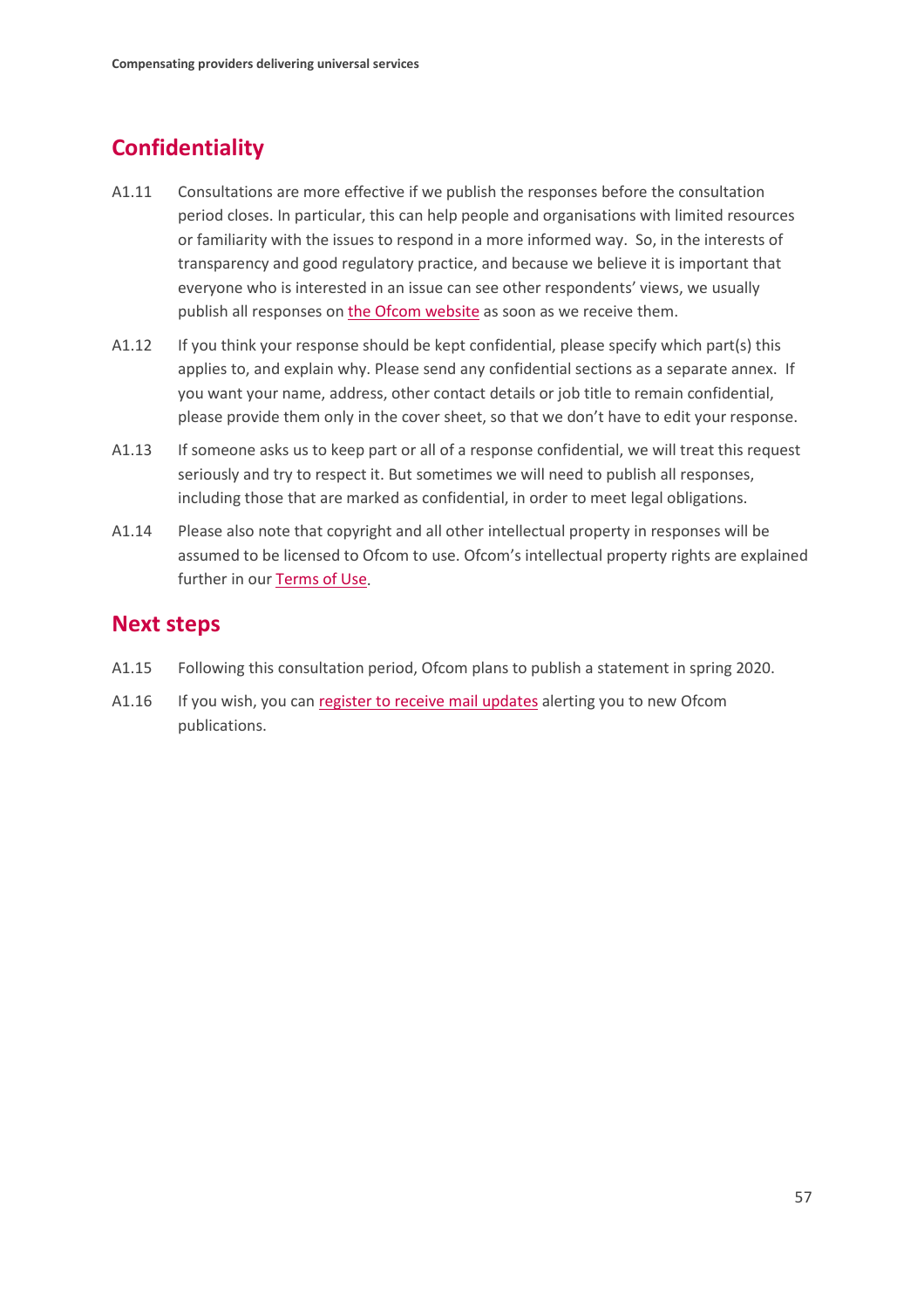# **Confidentiality**

- A1.11 Consultations are more effective if we publish the responses before the consultation period closes. In particular, this can help people and organisations with limited resources or familiarity with the issues to respond in a more informed way. So, in the interests of transparency and good regulatory practice, and because we believe it is important that everyone who is interested in an issue can see other respondents' views, we usually publish all responses on [the Ofcom website](http://www.ofcom.org.uk/) as soon as we receive them.
- A1.12 If you think your response should be kept confidential, please specify which part(s) this applies to, and explain why. Please send any confidential sections as a separate annex. If you want your name, address, other contact details or job title to remain confidential, please provide them only in the cover sheet, so that we don't have to edit your response.
- A1.13 If someone asks us to keep part or all of a response confidential, we will treat this request seriously and try to respect it. But sometimes we will need to publish all responses, including those that are marked as confidential, in order to meet legal obligations.
- A1.14 Please also note that copyright and all other intellectual property in responses will be assumed to be licensed to Ofcom to use. Ofcom's intellectual property rights are explained further in ou[r Terms of Use.](https://www.ofcom.org.uk/about-ofcom/website/terms-of-use)

## **Next steps**

- A1.15 Following this consultation period, Ofcom plans to publish a statement in spring 2020.
- A1.16 If you wish, you can [register to receive mail updates](https://www.ofcom.org.uk/about-ofcom/latest/email-updates) alerting you to new Ofcom publications.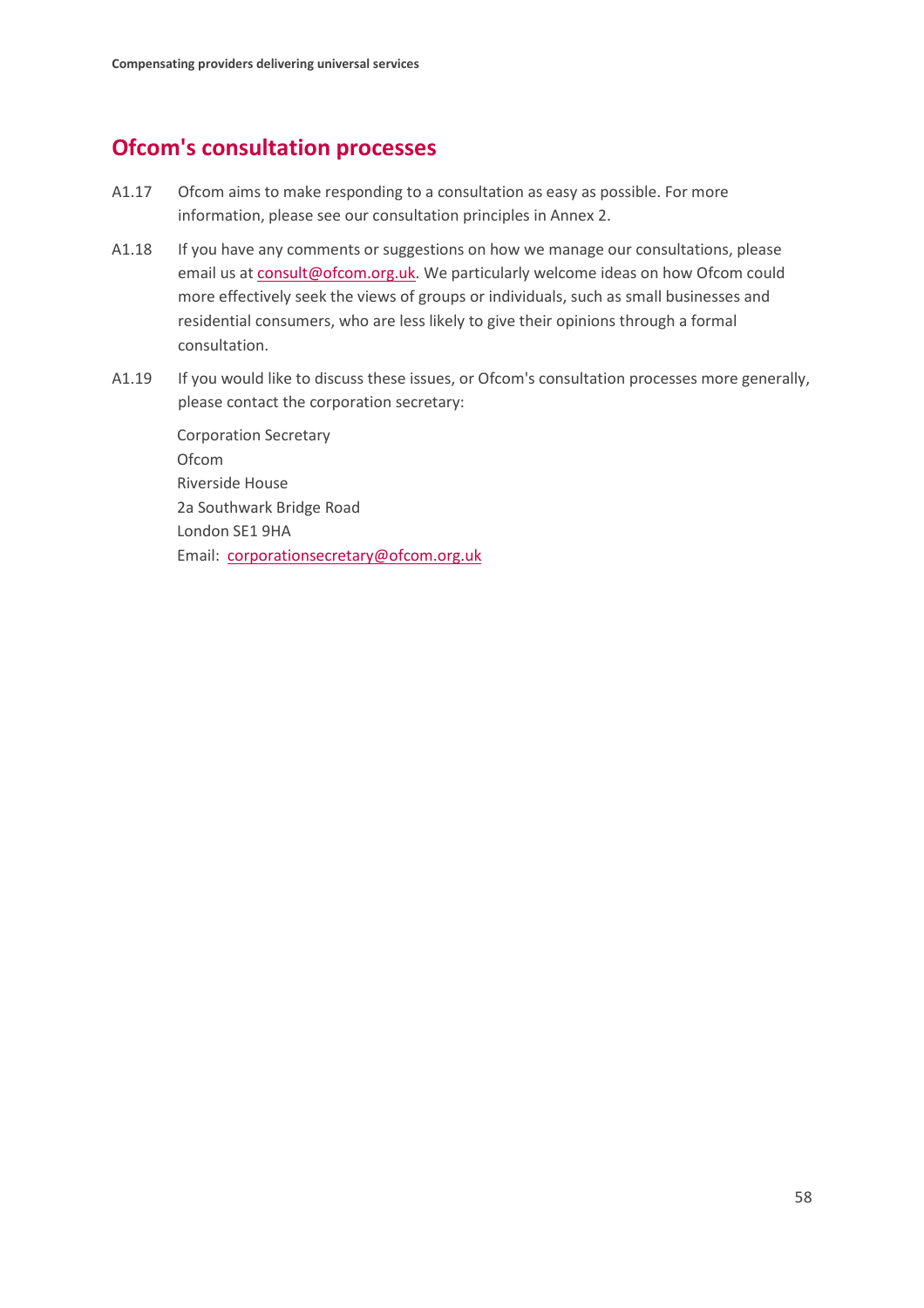## **Ofcom's consultation processes**

- A1.17 Ofcom aims to make responding to a consultation as easy as possible. For more information, please see our consultation principles in Annex 2.
- A1.18 If you have any comments or suggestions on how we manage our consultations, please email us a[t consult@ofcom.org.uk.](mailto:consult@ofcom.org.uk) We particularly welcome ideas on how Ofcom could more effectively seek the views of groups or individuals, such as small businesses and residential consumers, who are less likely to give their opinions through a formal consultation.
- A1.19 If you would like to discuss these issues, or Ofcom's consultation processes more generally, please contact the corporation secretary:

Corporation Secretary Ofcom Riverside House 2a Southwark Bridge Road London SE1 9HA Email: [corporationsecretary@ofcom.org.uk](mailto:corporationsecretary@ofcom.org.uk)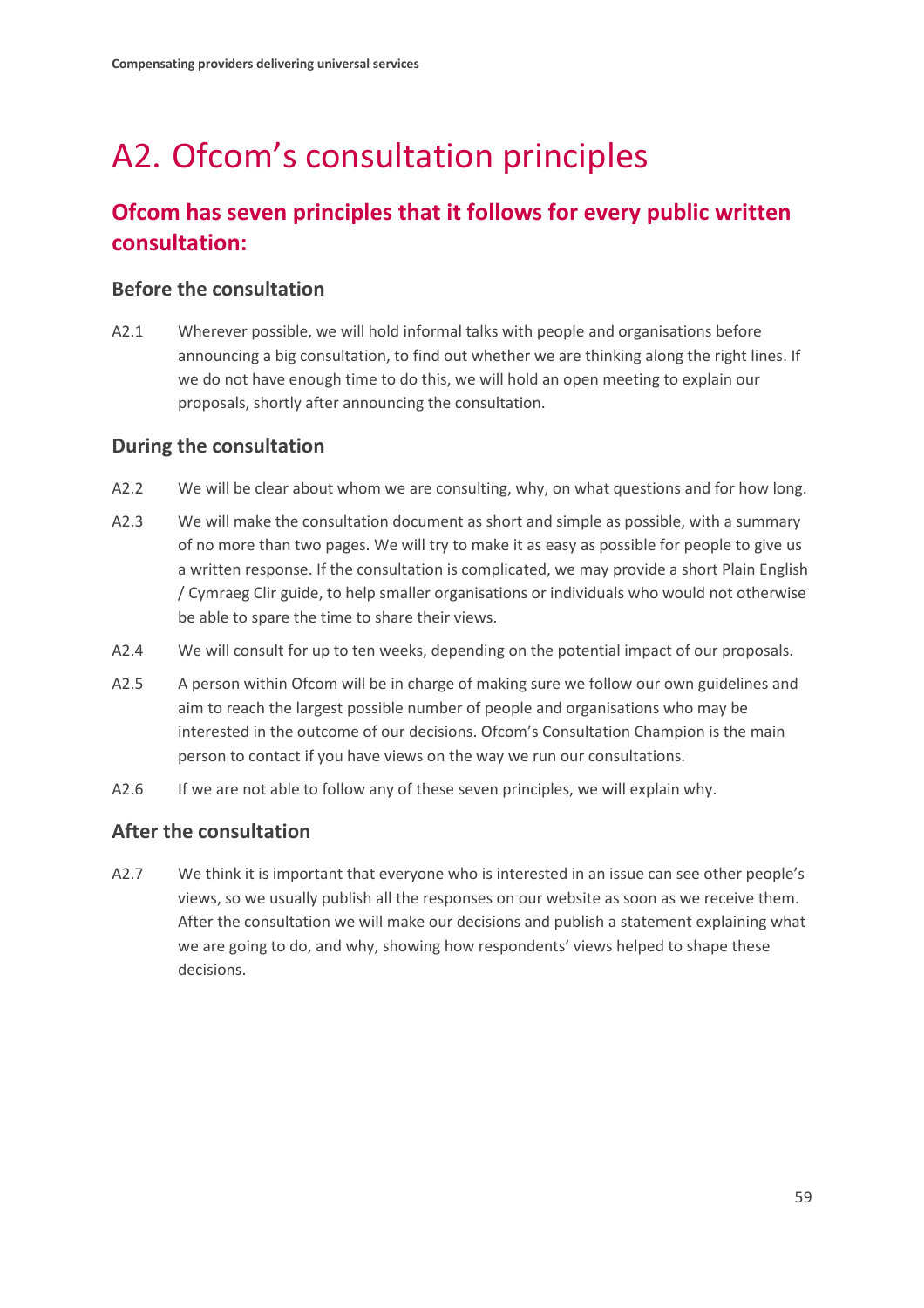# <span id="page-60-0"></span>A2. Ofcom's consultation principles

# **Ofcom has seven principles that it follows for every public written consultation:**

### **Before the consultation**

A2.1 Wherever possible, we will hold informal talks with people and organisations before announcing a big consultation, to find out whether we are thinking along the right lines. If we do not have enough time to do this, we will hold an open meeting to explain our proposals, shortly after announcing the consultation.

### **During the consultation**

- A2.2 We will be clear about whom we are consulting, why, on what questions and for how long.
- A2.3 We will make the consultation document as short and simple as possible, with a summary of no more than two pages. We will try to make it as easy as possible for people to give us a written response. If the consultation is complicated, we may provide a short Plain English / Cymraeg Clir guide, to help smaller organisations or individuals who would not otherwise be able to spare the time to share their views.
- A2.4 We will consult for up to ten weeks, depending on the potential impact of our proposals.
- A2.5 A person within Ofcom will be in charge of making sure we follow our own guidelines and aim to reach the largest possible number of people and organisations who may be interested in the outcome of our decisions. Ofcom's Consultation Champion is the main person to contact if you have views on the way we run our consultations.
- A2.6 If we are not able to follow any of these seven principles, we will explain why.

## **After the consultation**

A2.7 We think it is important that everyone who is interested in an issue can see other people's views, so we usually publish all the responses on our website as soon as we receive them. After the consultation we will make our decisions and publish a statement explaining what we are going to do, and why, showing how respondents' views helped to shape these decisions.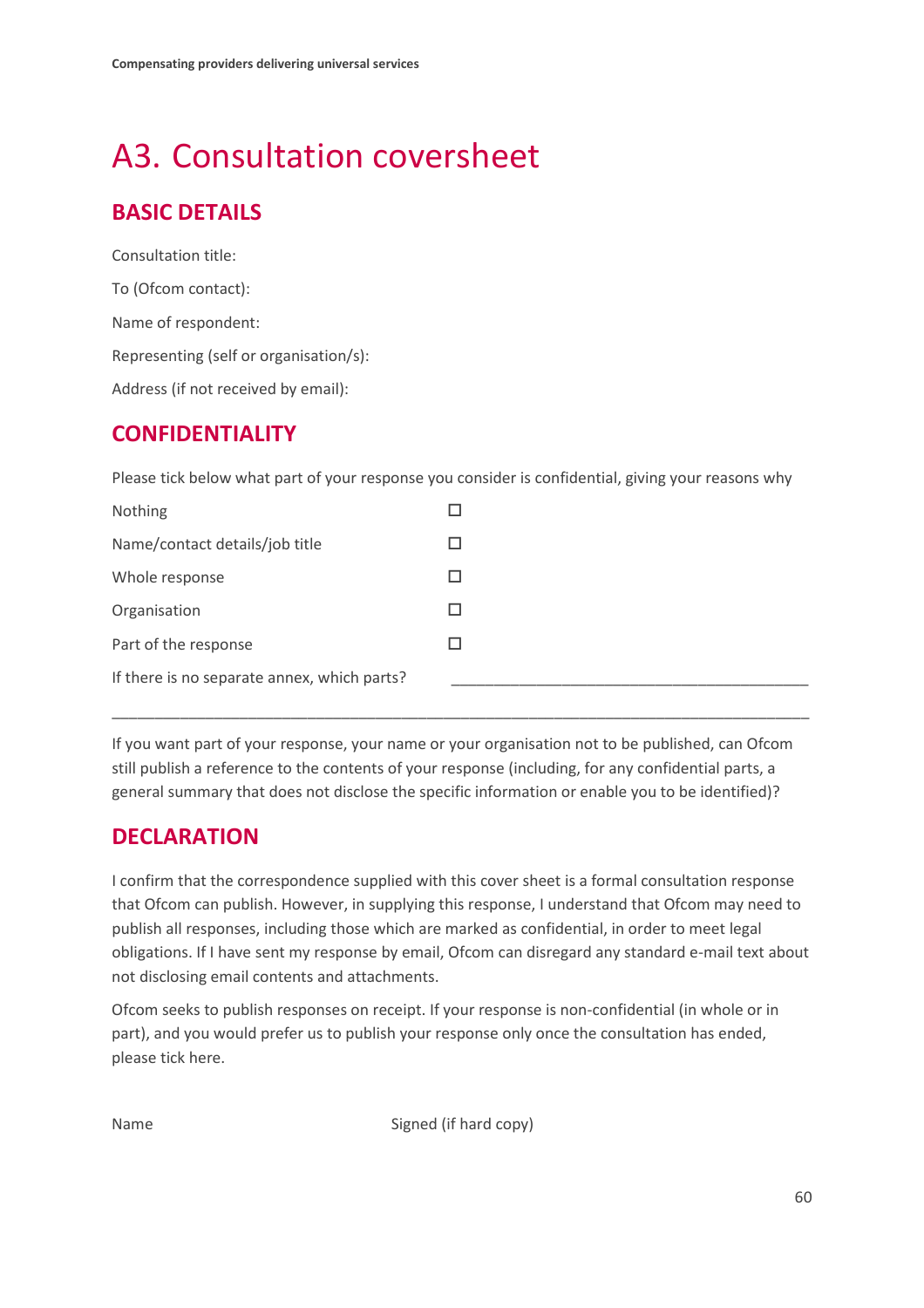# <span id="page-61-0"></span>A3. Consultation coversheet

# **BASIC DETAILS**

Consultation title: To (Ofcom contact): Name of respondent: Representing (self or organisation/s): Address (if not received by email):

## **CONFIDENTIALITY**

Please tick below what part of your response you consider is confidential, giving your reasons why

| Nothing                                     |  |
|---------------------------------------------|--|
| Name/contact details/job title              |  |
| Whole response                              |  |
| Organisation                                |  |
| Part of the response                        |  |
| If there is no separate annex, which parts? |  |
|                                             |  |

If you want part of your response, your name or your organisation not to be published, can Ofcom still publish a reference to the contents of your response (including, for any confidential parts, a general summary that does not disclose the specific information or enable you to be identified)?

\_\_\_\_\_\_\_\_\_\_\_\_\_\_\_\_\_\_\_\_\_\_\_\_\_\_\_\_\_\_\_\_\_\_\_\_\_\_\_\_\_\_\_\_\_\_\_\_\_\_\_\_\_\_\_\_\_\_\_\_\_\_\_\_\_\_\_\_\_\_\_\_\_\_\_\_\_\_\_\_\_\_

## **DECLARATION**

I confirm that the correspondence supplied with this cover sheet is a formal consultation response that Ofcom can publish. However, in supplying this response, I understand that Ofcom may need to publish all responses, including those which are marked as confidential, in order to meet legal obligations. If I have sent my response by email, Ofcom can disregard any standard e-mail text about not disclosing email contents and attachments.

Ofcom seeks to publish responses on receipt. If your response is non-confidential (in whole or in part), and you would prefer us to publish your response only once the consultation has ended, please tick here.

Name Signed (if hard copy)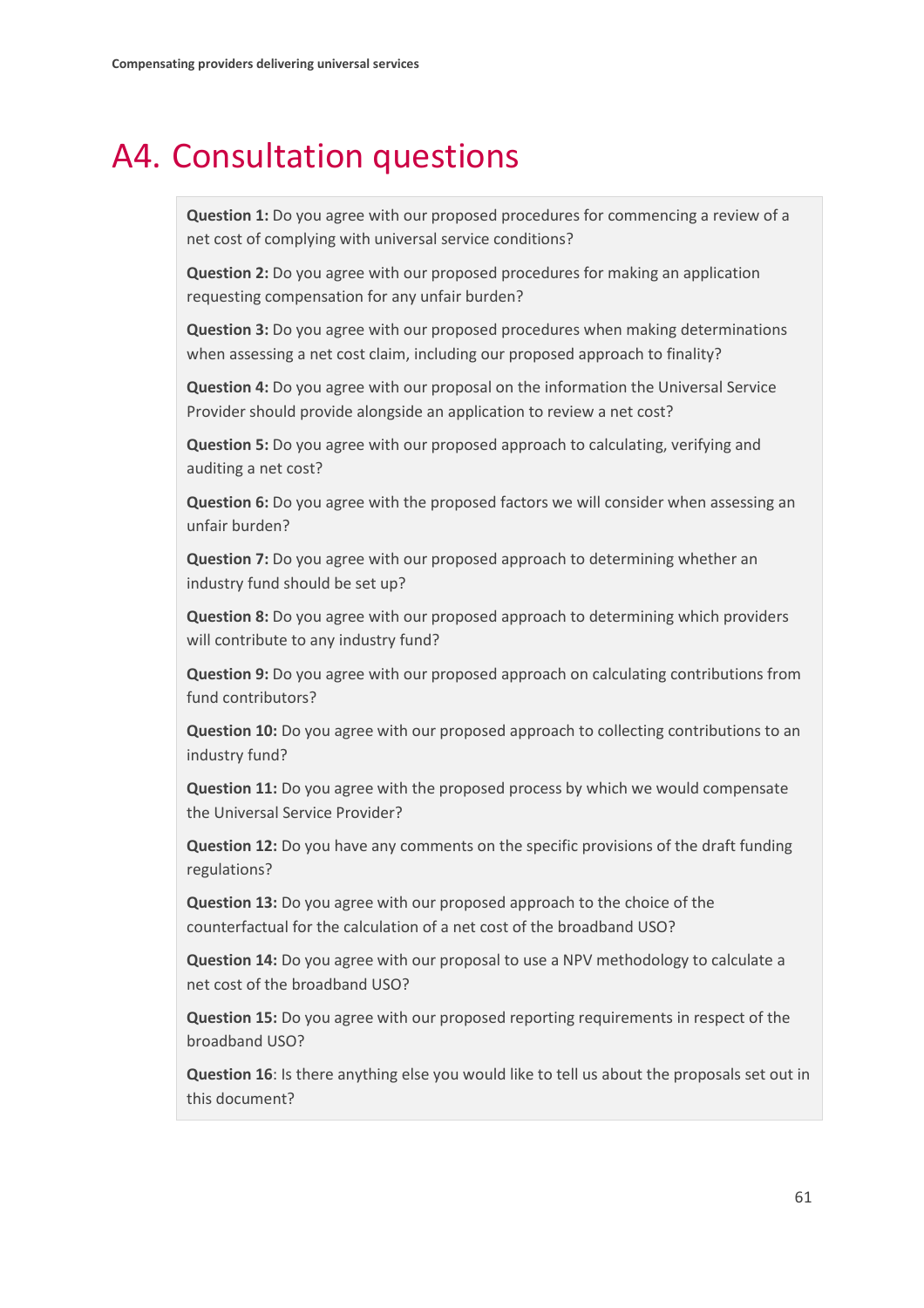# <span id="page-62-0"></span>A4. Consultation questions

**Question 1:** Do you agree with our proposed procedures for commencing a review of a net cost of complying with universal service conditions?

**Question 2:** Do you agree with our proposed procedures for making an application requesting compensation for any unfair burden?

**Question 3:** Do you agree with our proposed procedures when making determinations when assessing a net cost claim, including our proposed approach to finality?

**Question 4:** Do you agree with our proposal on the information the Universal Service Provider should provide alongside an application to review a net cost?

**Question 5:** Do you agree with our proposed approach to calculating, verifying and auditing a net cost?

**Question 6:** Do you agree with the proposed factors we will consider when assessing an unfair burden?

**Question 7:** Do you agree with our proposed approach to determining whether an industry fund should be set up?

**Question 8:** Do you agree with our proposed approach to determining which providers will contribute to any industry fund?

**Question 9:** Do you agree with our proposed approach on calculating contributions from fund contributors?

**Question 10:** Do you agree with our proposed approach to collecting contributions to an industry fund?

**Question 11:** Do you agree with the proposed process by which we would compensate the Universal Service Provider?

**Question 12:** Do you have any comments on the specific provisions of the draft funding regulations?

**Question 13:** Do you agree with our proposed approach to the choice of the counterfactual for the calculation of a net cost of the broadband USO?

**Question 14:** Do you agree with our proposal to use a NPV methodology to calculate a net cost of the broadband USO?

**Question 15:** Do you agree with our proposed reporting requirements in respect of the broadband USO?

**Question 16**: Is there anything else you would like to tell us about the proposals set out in this document?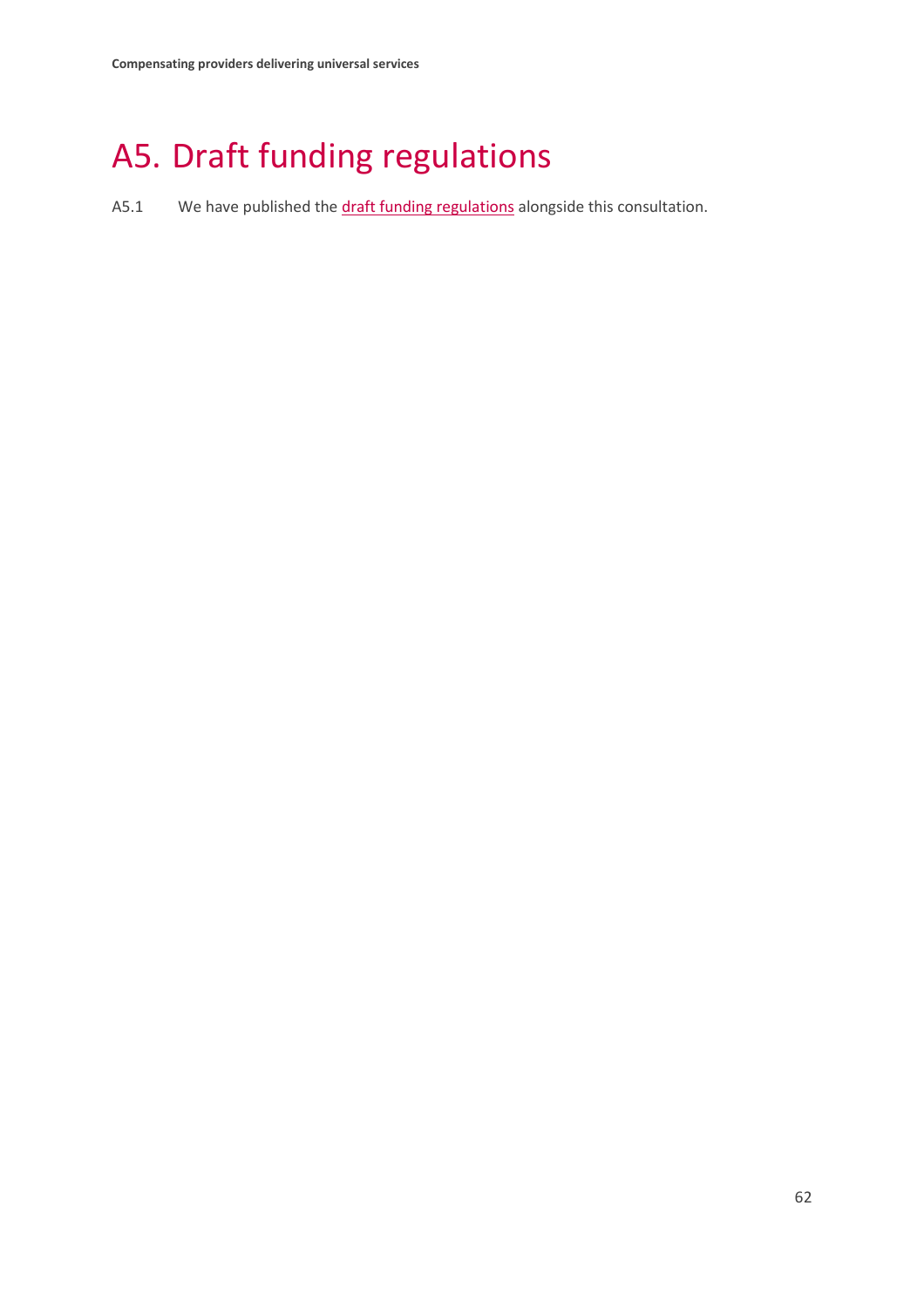# <span id="page-63-0"></span>A5. Draft funding regulations

A5.1 We have published the draft [funding regulations](https://www.ofcom.org.uk/__data/assets/pdf_file/0029/176456/annex-5-draft-funding-regulations.pdf) alongside this consultation.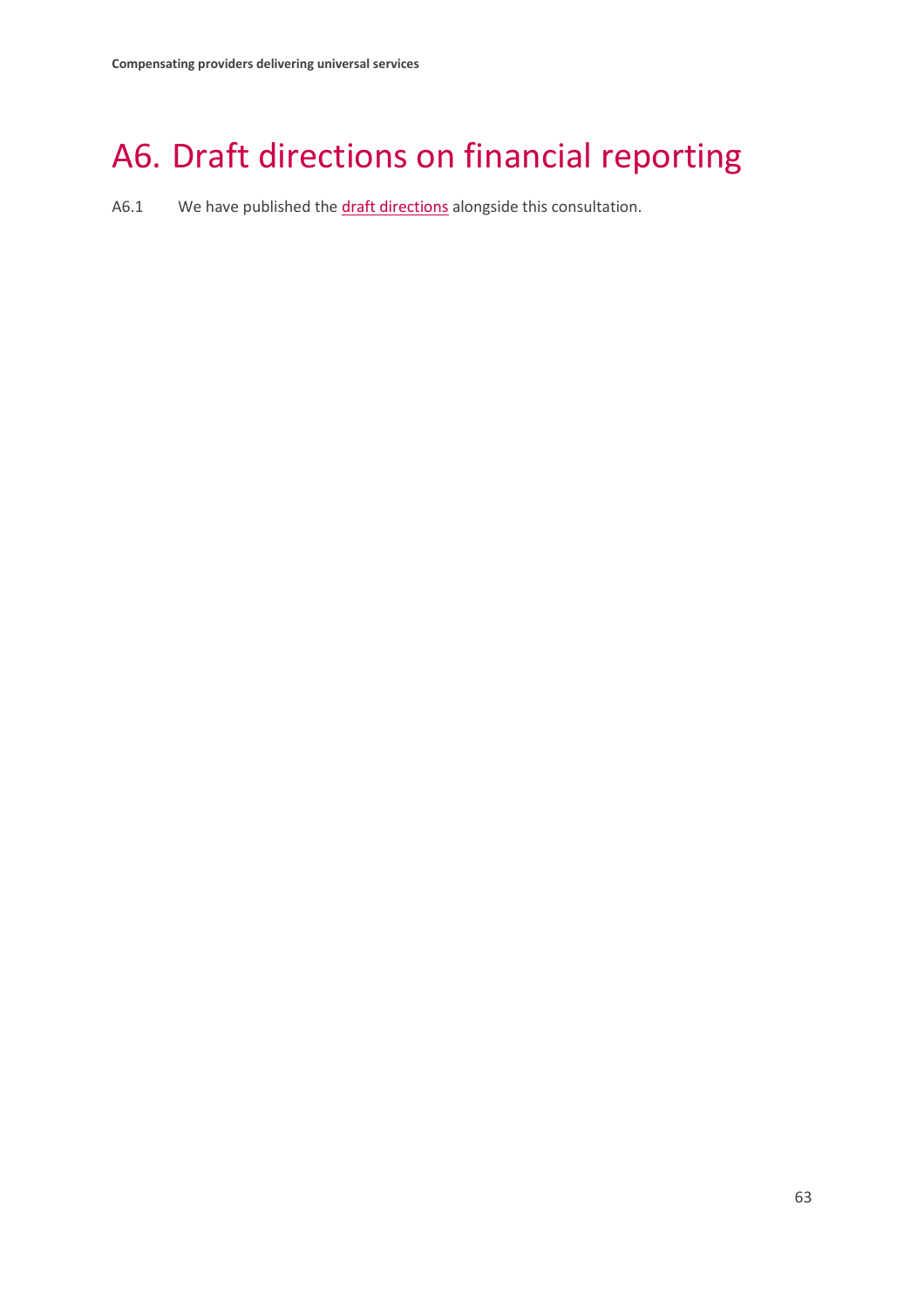# <span id="page-64-0"></span>A6. Draft directions on financial reporting

A6.1 We have published the [draft directions](https://www.ofcom.org.uk/__data/assets/pdf_file/0028/176455/annex-6-draft-reporting-direction.pdf) alongside this consultation.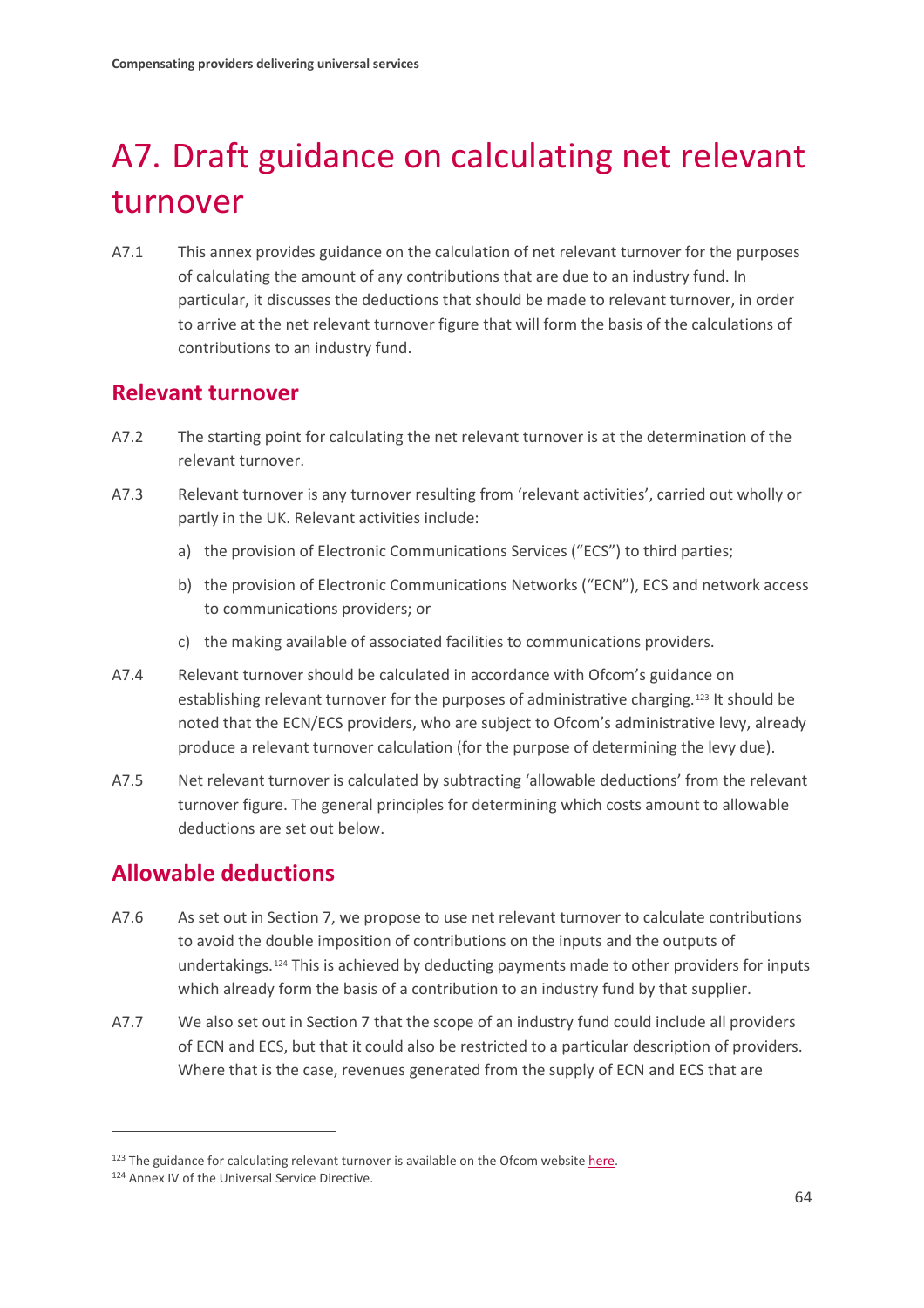# <span id="page-65-0"></span>A7. Draft guidance on calculating net relevant turnover

A7.1 This annex provides guidance on the calculation of net relevant turnover for the purposes of calculating the amount of any contributions that are due to an industry fund. In particular, it discusses the deductions that should be made to relevant turnover, in order to arrive at the net relevant turnover figure that will form the basis of the calculations of contributions to an industry fund.

## **Relevant turnover**

- A7.2 The starting point for calculating the net relevant turnover is at the determination of the relevant turnover.
- A7.3 Relevant turnover is any turnover resulting from 'relevant activities', carried out wholly or partly in the UK. Relevant activities include:
	- a) the provision of Electronic Communications Services ("ECS") to third parties;
	- b) the provision of Electronic Communications Networks ("ECN"), ECS and network access to communications providers; or
	- c) the making available of associated facilities to communications providers.
- A7.4 Relevant turnover should be calculated in accordance with Ofcom's guidance on establishing relevant turnover for the purposes of administrative charging.<sup>[123](#page-65-1)</sup> It should be noted that the ECN/ECS providers, who are subject to Ofcom's administrative levy, already produce a relevant turnover calculation (for the purpose of determining the levy due).
- A7.5 Net relevant turnover is calculated by subtracting 'allowable deductions' from the relevant turnover figure. The general principles for determining which costs amount to allowable deductions are set out below.

## **Allowable deductions**

- A7.6 As set out in Section 7, we propose to use net relevant turnover to calculate contributions to avoid the double imposition of contributions on the inputs and the outputs of undertakings.[124](#page-65-2) This is achieved by deducting payments made to other providers for inputs which already form the basis of a contribution to an industry fund by that supplier.
- A7.7 We also set out in Section 7 that the scope of an industry fund could include all providers of ECN and ECS, but that it could also be restricted to a particular description of providers. Where that is the case, revenues generated from the supply of ECN and ECS that are

<span id="page-65-1"></span><sup>&</sup>lt;sup>123</sup> The guidance for calculating relevant turnover is available on the Ofcom website [here.](https://www.ofcom.org.uk/__data/assets/pdf_file/0017/80801/definition_of_relevant_acitvity_guidelines.pdf)

<span id="page-65-2"></span><sup>124</sup> Annex IV of the Universal Service Directive.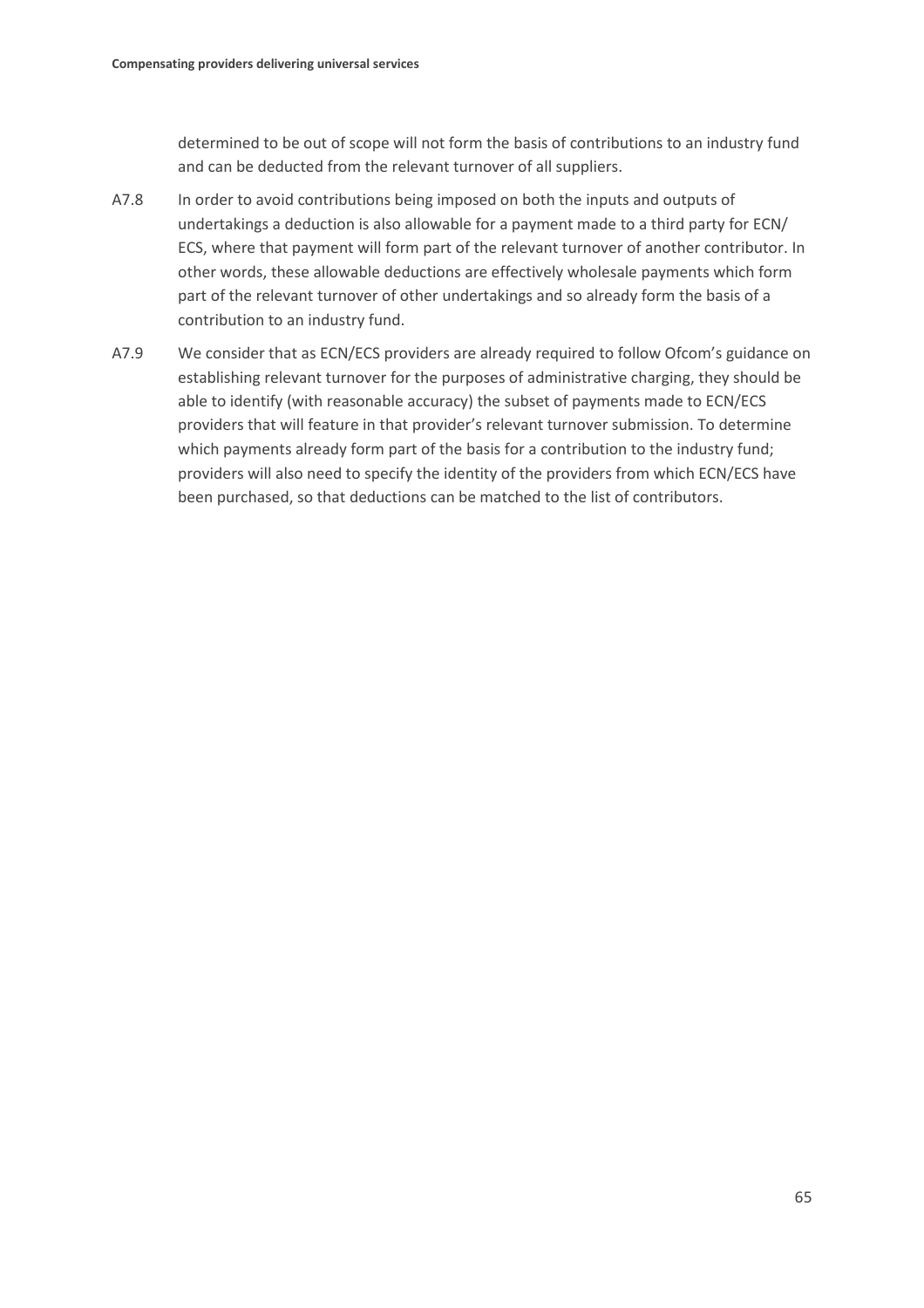determined to be out of scope will not form the basis of contributions to an industry fund and can be deducted from the relevant turnover of all suppliers.

- A7.8 In order to avoid contributions being imposed on both the inputs and outputs of undertakings a deduction is also allowable for a payment made to a third party for ECN/ ECS, where that payment will form part of the relevant turnover of another contributor. In other words, these allowable deductions are effectively wholesale payments which form part of the relevant turnover of other undertakings and so already form the basis of a contribution to an industry fund.
- A7.9 We consider that as ECN/ECS providers are already required to follow Ofcom's guidance on establishing relevant turnover for the purposes of administrative charging, they should be able to identify (with reasonable accuracy) the subset of payments made to ECN/ECS providers that will feature in that provider's relevant turnover submission. To determine which payments already form part of the basis for a contribution to the industry fund; providers will also need to specify the identity of the providers from which ECN/ECS have been purchased, so that deductions can be matched to the list of contributors.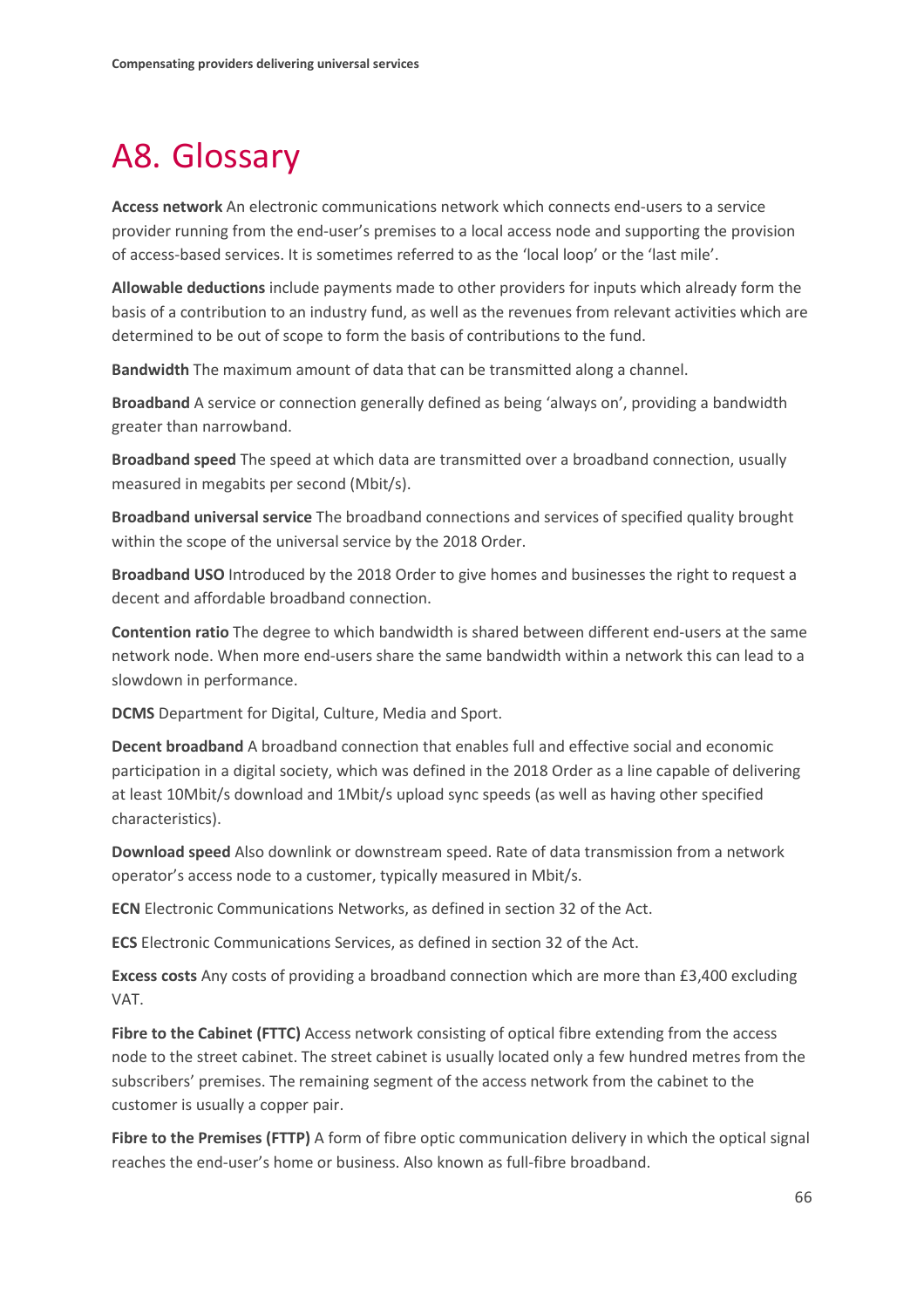# <span id="page-67-0"></span>A8. Glossary

**Access network** An electronic communications network which connects end-users to a service provider running from the end-user's premises to a local access node and supporting the provision of access-based services. It is sometimes referred to as the 'local loop' or the 'last mile'.

**Allowable deductions** include payments made to other providers for inputs which already form the basis of a contribution to an industry fund, as well as the revenues from relevant activities which are determined to be out of scope to form the basis of contributions to the fund.

**Bandwidth** The maximum amount of data that can be transmitted along a channel.

**Broadband** A service or connection generally defined as being 'always on', providing a bandwidth greater than narrowband.

**Broadband speed** The speed at which data are transmitted over a broadband connection, usually measured in megabits per second (Mbit/s).

**Broadband universal service** The broadband connections and services of specified quality brought within the scope of the universal service by the 2018 Order.

**Broadband USO** Introduced by the 2018 Order to give homes and businesses the right to request a decent and affordable broadband connection.

**Contention ratio** The degree to which bandwidth is shared between different end-users at the same network node. When more end-users share the same bandwidth within a network this can lead to a slowdown in performance.

**DCMS** Department for Digital, Culture, Media and Sport.

**Decent broadband** A broadband connection that enables full and effective social and economic participation in a digital society, which was defined in the 2018 Order as a line capable of delivering at least 10Mbit/s download and 1Mbit/s upload sync speeds (as well as having other specified characteristics).

**Download speed** Also downlink or downstream speed. Rate of data transmission from a network operator's access node to a customer, typically measured in Mbit/s.

**ECN** Electronic Communications Networks, as defined in section 32 of the Act.

**ECS** Electronic Communications Services, as defined in section 32 of the Act.

**Excess costs** Any costs of providing a broadband connection which are more than £3,400 excluding VAT.

**Fibre to the Cabinet (FTTC)** Access network consisting of optical fibre extending from the access node to the street cabinet. The street cabinet is usually located only a few hundred metres from the subscribers' premises. The remaining segment of the access network from the cabinet to the customer is usually a copper pair.

**Fibre to the Premises (FTTP)** A form of fibre optic communication delivery in which the optical signal reaches the end-user's home or business. Also known as full-fibre broadband.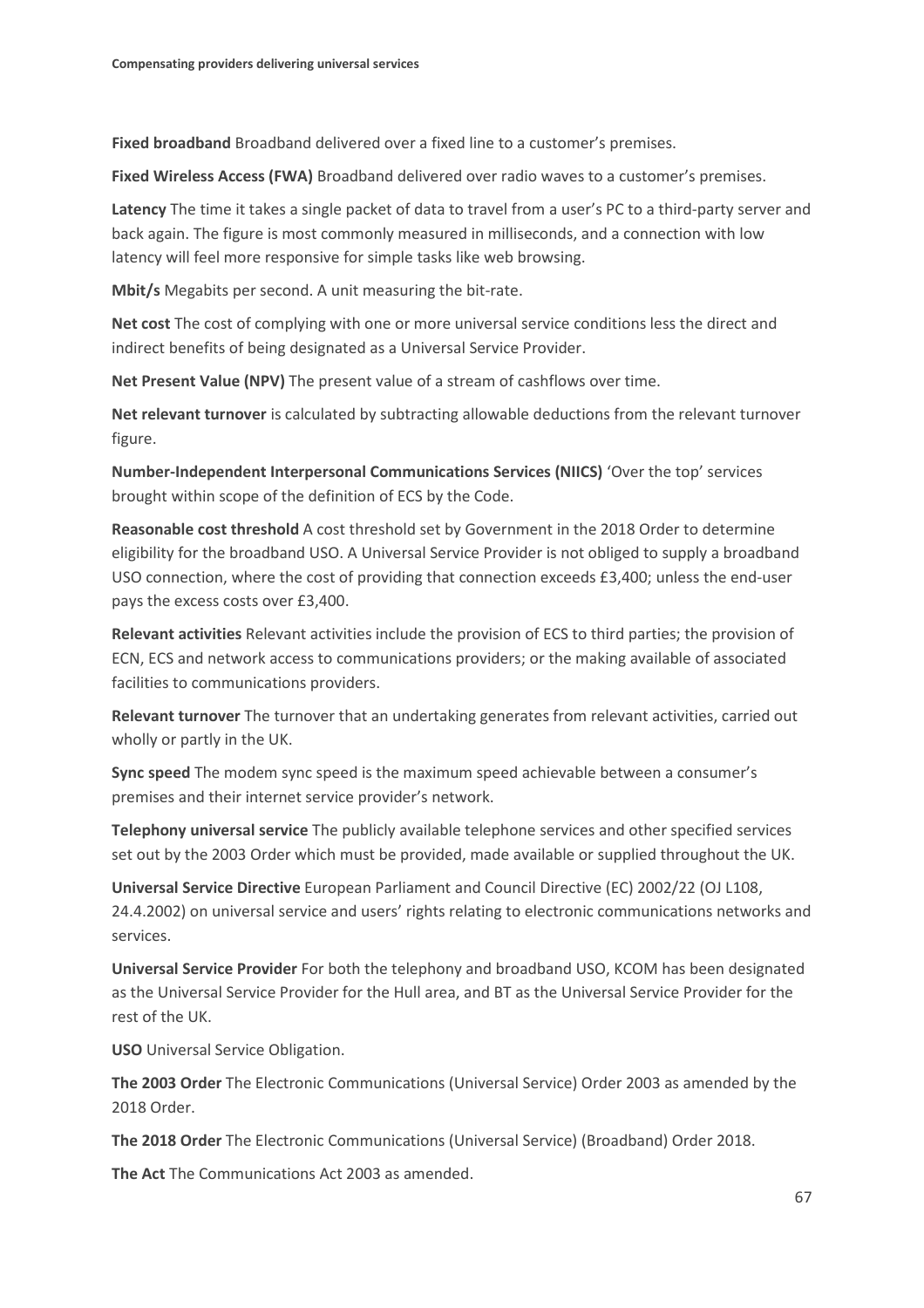**Fixed broadband** Broadband delivered over a fixed line to a customer's premises.

**Fixed Wireless Access (FWA)** Broadband delivered over radio waves to a customer's premises.

**Latency** The time it takes a single packet of data to travel from a user's PC to a third-party server and back again. The figure is most commonly measured in milliseconds, and a connection with low latency will feel more responsive for simple tasks like web browsing.

**Mbit/s** Megabits per second. A unit measuring the bit-rate.

**Net cost** The cost of complying with one or more universal service conditions less the direct and indirect benefits of being designated as a Universal Service Provider.

**Net Present Value (NPV)** The present value of a stream of cashflows over time.

**Net relevant turnover** is calculated by subtracting allowable deductions from the relevant turnover figure.

**Number-Independent Interpersonal Communications Services (NIICS)** 'Over the top' services brought within scope of the definition of ECS by the Code.

**Reasonable cost threshold** A cost threshold set by Government in the 2018 Order to determine eligibility for the broadband USO. A Universal Service Provider is not obliged to supply a broadband USO connection, where the cost of providing that connection exceeds £3,400; unless the end-user pays the excess costs over £3,400.

**Relevant activities** Relevant activities include the provision of ECS to third parties; the provision of ECN, ECS and network access to communications providers; or the making available of associated facilities to communications providers.

**Relevant turnover** The turnover that an undertaking generates from relevant activities, carried out wholly or partly in the UK.

**Sync speed** The modem sync speed is the maximum speed achievable between a consumer's premises and their internet service provider's network.

**Telephony universal service** The publicly available telephone services and other specified services set out by the 2003 Order which must be provided, made available or supplied throughout the UK.

**Universal Service Directive** European Parliament and Council Directive (EC) 2002/22 (OJ L108, 24.4.2002) on universal service and users' rights relating to electronic communications networks and services.

**Universal Service Provider** For both the telephony and broadband USO, KCOM has been designated as the Universal Service Provider for the Hull area, and BT as the Universal Service Provider for the rest of the UK.

**USO** Universal Service Obligation.

**The 2003 Order** The Electronic Communications (Universal Service) Order 2003 as amended by the 2018 Order.

**The 2018 Order** The Electronic Communications (Universal Service) (Broadband) Order 2018.

**The Act** The Communications Act 2003 as amended.